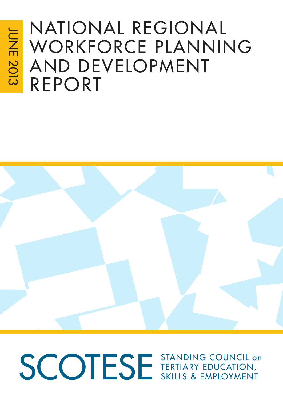# NatioNal RegioNal WORKFORCE PLANNING aNd develoPmeNt RePoRt



# SCOTESE STANDING COUNCIL ON teRtiaRY educatioN, SkillS & emPloYmeNt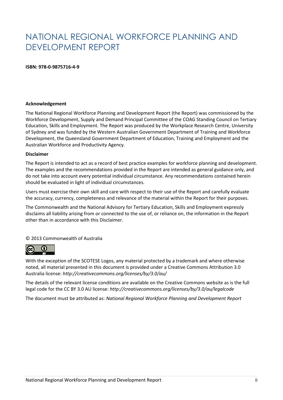# NATIONAL REGIONAL WORKFORCE PLANNING AND DEVELOPMENT REPORT

## **ISBN: 978-0-9875716-4-9**

## **Acknowledgement**

The National Regional Workforce Planning and Development Report (the Report) was commissioned by the Workforce Development, Supply and Demand Principal Committee of the COAG Standing Council on Tertiary Education, Skills and Employment. The Report was produced by the Workplace Research Centre, University of Sydney and was funded by the Western Australian Government Department of Training and Workforce Development, the Queensland Government Department of Education, Training and Employment and the Australian Workforce and Productivity Agency.

#### **Disclaimer**

The Report is intended to act as a record of best practice examples for workforce planning and development. The examples and the recommendations provided in the Report are intended as general guidance only, and do not take into account every potential individual circumstance. Any recommendations contained herein should be evaluated in light of individual circumstances.

Users must exercise their own skill and care with respect to their use of the Report and carefully evaluate the accuracy, currency, completeness and relevance of the material within the Report for their purposes.

The Commonwealth and the National Advisory for Tertiary Education, Skills and Employment expressly disclaims all liability arising from or connected to the use of, or reliance on, the information in the Report other than in accordance with this Disclaimer.

## © 2013 Commonwealth of Australia



With the exception of the SCOTESE Logos, any material protected by a trademark and where otherwise noted, all material presented in this document is provided under a Creative Commons Attribution 3.0 Australia license: *http://creativecommons.org/licenses/by/3.0/au/*

The details of the relevant license conditions are available on the Creative Commons website as is the full legal code for the CC BY 3.0 AU license: *http://creativecommons.org/licenses/by/3.0/au/legalcode*

The document must be attributed as: *National Regional Workforce Planning and Development Report*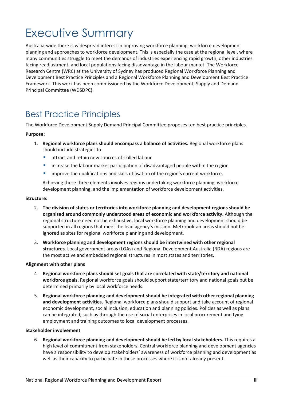# <span id="page-2-0"></span>Executive Summary

Australia-wide there is widespread interest in improving workforce planning, workforce development planning and approaches to workforce development. This is especially the case at the regional level, where many communities struggle to meet the demands of industries experiencing rapid growth, other industries facing readjustment, and local populations facing disadvantage in the labour market. The Workforce Research Centre (WRC) at the University of Sydney has produced Regional Workforce Planning and Development Best Practice Principles and a Regional Workforce Planning and Development Best Practice Framework*.* This work has been commissioned by the Workforce Development, Supply and Demand Principal Committee (WDSDPC).

# <span id="page-2-1"></span>Best Practice Principles

The Workforce Development Supply Demand Principal Committee proposes ten best practice principles.

## **Purpose:**

- 1. **Regional workforce plans should encompass a balance of activities.** Regional workforce plans should include strategies to:
	- **EXTERCT** attract and retain new sources of skilled labour
	- **EXED** increase the labour market participation of disadvantaged people within the region
	- **In ultarally improve the qualifications and skills utilisation of the region's current workforce.**

Achieving these three elements involves regions undertaking workforce planning, workforce development planning, and the implementation of workforce development activities.

## **Structure:**

- 2. **The division of states or territories into workforce planning and development regions should be organised around commonly understood areas of economic and workforce activity.** Although the regional structure need not be exhaustive, local workforce planning and development should be supported in all regions that meet the lead agency's mission. Metropolitan areas should not be ignored as sites for regional workforce planning and development.
- 3. **Workforce planning and development regions should be intertwined with other regional structures**. Local government areas (LGAs) and Regional Development Australia (RDA) regions are the most active and embedded regional structures in most states and territories.

## **Alignment with other plans**

- 4. **Regional workforce plans should set goals that are correlated with state/territory and national workforce goals.** Regional workforce goals should support state/territory and national goals but be determined primarily by local workforce needs.
- 5. **Regional workforce planning and development should be integrated with other regional planning and development activities.** Regional workforce plans should support and take account of regional economic development, social inclusion, education and planning policies. Policies as well as plans can be integrated, such as through the use of social enterprises in local procurement and tying employment and training outcomes to local development processes.

## **Stakeholder involvement**

6. **Regional workforce planning and development should be led by local stakeholders.** This requires a high level of commitment from stakeholders. Central workforce planning and development agencies have a responsibility to develop stakeholders' awareness of workforce planning and development as well as their capacity to participate in these processes where it is not already present.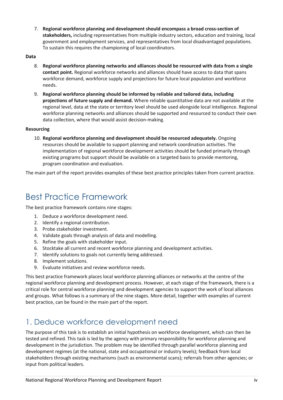7. **Regional workforce planning and development should encompass a broad cross-section of stakeholders,** including representatives from multiple industry sectors, education and training, local government and employment services, and representatives from local disadvantaged populations. To sustain this requires the championing of local coordinators.

## **Data**

- 8. **Regional workforce planning networks and alliances should be resourced with data from a single contact point.** Regional workforce networks and alliances should have access to data that spans workforce demand, workforce supply and projections for future local population and workforce needs.
- 9. **Regional workforce planning should be informed by reliable and tailored data, including projections of future supply and demand.** Where reliable quantitative data are not available at the regional level, data at the state or territory level should be used alongside local intelligence. Regional workforce planning networks and alliances should be supported and resourced to conduct their own data collection, where that would assist decision-making.

## **Resourcing**

10. **Regional workforce planning and development should be resourced adequately.** Ongoing resources should be available to support planning and network coordination activities. The implementation of regional workforce development activities should be funded primarily through existing programs but support should be available on a targeted basis to provide mentoring, program coordination and evaluation.

The main part of the report provides examples of these best practice principles taken from current practice.

# <span id="page-3-0"></span>Best Practice Framework

The best practice framework contains nine stages:

- 1. Deduce a workforce development need.
- 2. Identify a regional contribution.
- 3. Probe stakeholder investment.
- 4. Validate goals through analysis of data and modelling.
- 5. Refine the goals with stakeholder input.
- 6. Stocktake all current and recent workforce planning and development activities.
- 7. Identify solutions to goals not currently being addressed.
- 8. Implement solutions.
- 9. Evaluate initiatives and review workforce needs.

This best practice framework places local workforce planning alliances or networks at the centre of the regional workforce planning and development process. However, at each stage of the framework, there is a critical role for central workforce planning and development agencies to support the work of local alliances and groups. What follows is a summary of the nine stages. More detail, together with examples of current best practice, can be found in the main part of the report.

## <span id="page-3-1"></span>1. Deduce workforce development need

The purpose of this task is to establish an initial hypothesis on workforce development, which can then be tested and refined. This task is led by the agency with primary responsibility for workforce planning and development in the jurisdiction. The problem may be identified through parallel workforce planning and development regimes (at the national, state and occupational or industry levels); feedback from local stakeholders through existing mechanisms (such as environmental scans); referrals from other agencies; or input from political leaders.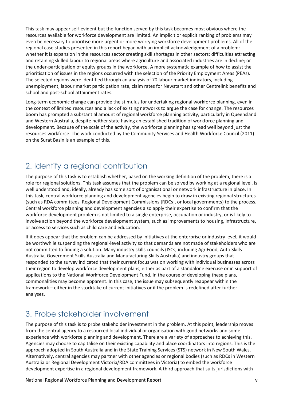This task may appear self-evident but the function served by this task becomes most obvious where the resources available for workforce development are limited. An implicit or explicit ranking of problems may even be necessary to prioritise more urgent or more worrying workforce development problems. All of the regional case studies presented in this report began with an implicit acknowledgement of a problem: whether it is expansion in the resources sector creating skill shortages in other sectors; difficulties attracting and retaining skilled labour to regional areas where agriculture and associated industries are in decline; or the under-participation of equity groups in the workforce. A more systematic example of how to assist the prioritisation of issues in the regions occurred with the selection of the Priority Employment Areas (PEAs). The selected regions were identified through an analysis of 70 labour market indicators, including unemployment, labour market participation rate, claim rates for Newstart and other Centrelink benefits and school and post-school attainment rates.

Long-term economic change can provide the stimulus for undertaking regional workforce planning, even in the context of limited resources and a lack of existing networks to argue the case for change. The resources boom has prompted a substantial amount of regional workforce planning activity, particularly in Queensland and Western Australia, despite neither state having an established tradition of workforce planning and development. Because of the scale of the activity, the workforce planning has spread well beyond just the resources workforce. The work conducted by the Community Services and Health Workforce Council (2011) on the Surat Basin is an example of this.

# <span id="page-4-0"></span>2. Identify a regional contribution

The purpose of this task is to establish whether, based on the working definition of the problem, there is a role for regional solutions. This task assumes that the problem can be solved by working at a regional level, is well understood and, ideally, already has some sort of organisational or network infrastructure in place. In this task, central workforce planning and development agencies begin to draw in existing regional structures (such as RDA committees, Regional Development Commissions [RDCs], or local governments) to the process. Central workforce planning and development agencies also apply their expertise to confirm that the workforce development problem is not limited to a single enterprise, occupation or industry, or is likely to involve action beyond the workforce development system, such as improvements to housing, infrastructure, or access to services such as child care and education.

If it does appear that the problem can be addressed by initiatives at the enterprise or industry level, it would be worthwhile suspending the regional-level activity so that demands are not made of stakeholders who are not committed to finding a solution. Many industry skills councils (ISCs; including AgriFood, Auto Skills Australia, Government Skills Australia and Manufacturing Skills Australia) and industry groups that responded to the survey indicated that their current focus was on working with individual businesses across their region to develop workforce development plans, either as part of a standalone exercise or in support of applications to the National Workforce Development Fund. In the course of developing these plans, commonalities may become apparent. In this case, the issue may subsequently reappear within the framework – either in the stocktake of current initiatives or if the problem is redefined after further analyses.

# <span id="page-4-1"></span>3. Probe stakeholder involvement

The purpose of this task is to probe stakeholder investment in the problem. At this point, leadership moves from the central agency to a resourced local individual or organisation with good networks and some experience with workforce planning and development. There are a variety of approaches to achieving this. Agencies may choose to capitalise on their existing capability and place coordinators into regions. This is the approach adopted in South Australia and in the State Training Services (STS) network in New South Wales. Alternatively, central agencies may partner with other agencies or regional bodies (such as RDCs in Western Australia or Regional Development Victoria/RDA committees in Victoria) to embed the workforce development expertise in a regional development framework. A third approach that suits jurisdictions with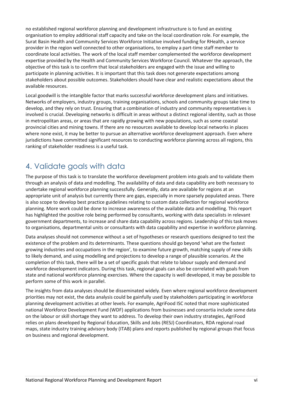no established regional workforce planning and development infrastructure is to fund an existing organisation to employ additional staff capacity and take on the local coordination role. For example, the Surat Basin Health and Community Services Workforce Initiative involved funding for RHealth, a service provider in the region well connected to other organisations, to employ a part-time staff member to coordinate local activities. The work of the local staff member complemented the workforce development expertise provided by the Health and Community Services Workforce Council. Whatever the approach, the objective of this task is to confirm that local stakeholders are engaged with the issue and willing to participate in planning activities. It is important that this task does not generate expectations among stakeholders about possible outcomes. Stakeholders should have clear and realistic expectations about the available resources.

Local goodwill is the intangible factor that marks successful workforce development plans and initiatives. Networks of employers, industry groups, training organisations, schools and community groups take time to develop, and they rely on trust. Ensuring that a combination of industry and community representatives is involved is crucial. Developing networks is difficult in areas without a distinct regional identity, such as those in metropolitan areas, or areas that are rapidly growing with new populations, such as some coastal provincial cities and mining towns. If there are no resources available to develop local networks in places where none exist, it may be better to pursue an alternative workforce development approach. Even where jurisdictions have committed significant resources to conducting workforce planning across all regions, this ranking of stakeholder readiness is a useful task.

# <span id="page-5-0"></span>4. Validate goals with data

The purpose of this task is to translate the workforce development problem into goals and to validate them through an analysis of data and modelling. The availability of data and data capability are both necessary to undertake regional workforce planning successfully. Generally, data are available for regions at an appropriate unit of analysis but currently there are gaps, especially in more sparsely populated areas. There is also scope to develop best practice guidelines relating to custom data collection for regional workforce planning. More work could be done to increase awareness of the available data and modelling. This report has highlighted the positive role being performed by consultants, working with data specialists in relevant government departments, to increase and share data capability across regions. Leadership of this task moves to organisations, departmental units or consultants with data capability and expertise in workforce planning.

Data analyses should not commence without a set of hypotheses or research questions designed to test the existence of the problem and its determinants. These questions should go beyond 'what are the fastest growing industries and occupations in the region', to examine future growth, matching supply of new skills to likely demand, and using modelling and projections to develop a range of plausible scenarios. At the completion of this task, there will be a set of specific goals that relate to labour supply and demand and workforce development indicators. During this task, regional goals can also be correlated with goals from state and national workforce planning exercises. Where the capacity is well developed, it may be possible to perform some of this work in parallel.

The insights from data analyses should be disseminated widely. Even where regional workforce development priorities may not exist, the data analysis could be gainfully used by stakeholders participating in workforce planning development activities at other levels. For example, AgriFood ISC noted that more sophisticated national Workforce Development Fund (WDF) applications from businesses and consortia include some data on the labour or skill shortage they want to address. To develop their own industry strategies, AgriFood relies on plans developed by Regional Education, Skills and Jobs (RESJ) Coordinators, RDA regional road maps, state industry training advisory body (ITAB) plans and reports published by regional groups that focus on business and regional development.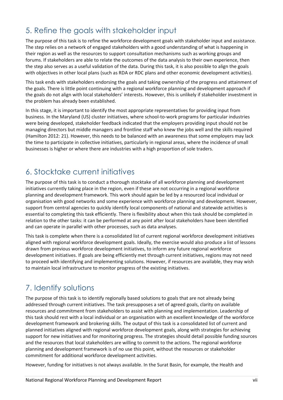# <span id="page-6-0"></span>5. Refine the goals with stakeholder input

The purpose of this task is to refine the workforce development goals with stakeholder input and assistance. The step relies on a network of engaged stakeholders with a good understanding of what is happening in their region as well as the resources to support consultation mechanisms such as working groups and forums. If stakeholders are able to relate the outcomes of the data analysis to their own experience, then the step also serves as a useful validation of the data. During this task, it is also possible to align the goals with objectives in other local plans (such as RDA or RDC plans and other economic development activities).

This task ends with stakeholders endorsing the goals and taking ownership of the progress and attainment of the goals. There is little point continuing with a regional workforce planning and development approach if the goals do not align with local stakeholders' interests. However, this is unlikely if stakeholder investment in the problem has already been established.

In this stage, it is important to identify the most appropriate representatives for providing input from business. In the Maryland (US) cluster initiatives, where school-to-work programs for particular industries were being developed, stakeholder feedback indicated that the employers providing input should not be managing directors but middle managers and frontline staff who knew the jobs well and the skills required (Hamilton 2012: 21). However, this needs to be balanced with an awareness that some employers may lack the time to participate in collective initiatives, particularly in regional areas, where the incidence of small businesses is higher or where there are industries with a high proportion of sole traders.

## <span id="page-6-1"></span>6. Stocktake current initiatives

The purpose of this task is to conduct a thorough stocktake of all workforce planning and development initiatives currently taking place in the region, even if these are not occurring in a regional workforce planning and development framework. This work should again be led by a resourced local individual or organisation with good networks and some experience with workforce planning and development. However, support from central agencies to quickly identify local components of national and statewide activities is essential to completing this task efficiently. There is flexibility about when this task should be completed in relation to the other tasks: it can be performed at any point after local stakeholders have been identified and can operate in parallel with other processes, such as data analyses.

This task is complete when there is a consolidated list of current regional workforce development initiatives aligned with regional workforce development goals. Ideally, the exercise would also produce a list of lessons drawn from previous workforce development initiatives, to inform any future regional workforce development initiatives. If goals are being efficiently met through current initiatives, regions may not need to proceed with identifying and implementing solutions. However, if resources are available, they may wish to maintain local infrastructure to monitor progress of the existing initiatives.

# <span id="page-6-2"></span>7. Identify solutions

The purpose of this task is to identify regionally based solutions to goals that are not already being addressed through current initiatives. The task presupposes a set of agreed goals, clarity on available resources and commitment from stakeholders to assist with planning and implementation. Leadership of this task should rest with a local individual or an organisation with an excellent knowledge of the workforce development framework and brokering skills. The output of this task is a consolidated list of current and planned initiatives aligned with regional workforce development goals, along with strategies for achieving support for new initiatives and for monitoring progress. The strategies should detail possible funding sources and the resources that local stakeholders are willing to commit to the actions. The regional workforce planning and development framework is of no use this point, without the resources or stakeholder commitment for additional workforce development activities.

However, funding for initiatives is not always available. In the Surat Basin, for example, the Health and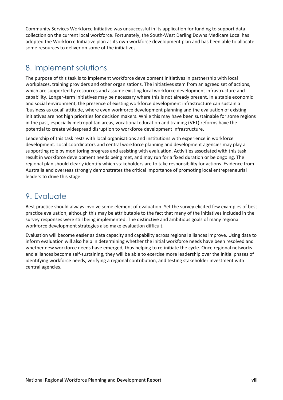Community Services Workforce Initiative was unsuccessful in its application for funding to support data collection on the current local workforce. Fortunately, the South-West Darling Downs Medicare Local has adopted the Workforce Initiative plan as its own workforce development plan and has been able to allocate some resources to deliver on some of the initiatives.

## <span id="page-7-0"></span>8. Implement solutions

The purpose of this task is to implement workforce development initiatives in partnership with local workplaces, training providers and other organisations. The initiatives stem from an agreed set of actions, which are supported by resources and assume existing local workforce development infrastructure and capability. Longer-term initiatives may be necessary where this is not already present. In a stable economic and social environment, the presence of existing workforce development infrastructure can sustain a 'business as usual' attitude, where even workforce development planning and the evaluation of existing initiatives are not high priorities for decision makers. While this may have been sustainable for some regions in the past, especially metropolitan areas, vocational education and training (VET) reforms have the potential to create widespread disruption to workforce development infrastructure.

Leadership of this task rests with local organisations and institutions with experience in workforce development. Local coordinators and central workforce planning and development agencies may play a supporting role by monitoring progress and assisting with evaluation. Activities associated with this task result in workforce development needs being met, and may run for a fixed duration or be ongoing. The regional plan should clearly identify which stakeholders are to take responsibility for actions. Evidence from Australia and overseas strongly demonstrates the critical importance of promoting local entrepreneurial leaders to drive this stage.

# <span id="page-7-1"></span>9. Evaluate

Best practice should always involve some element of evaluation. Yet the survey elicited few examples of best practice evaluation, although this may be attributable to the fact that many of the initiatives included in the survey responses were still being implemented. The distinctive and ambitious goals of many regional workforce development strategies also make evaluation difficult.

Evaluation will become easier as data capacity and capability across regional alliances improve. Using data to inform evaluation will also help in determining whether the initial workforce needs have been resolved and whether new workforce needs have emerged, thus helping to re-initiate the cycle. Once regional networks and alliances become self-sustaining, they will be able to exercise more leadership over the initial phases of identifying workforce needs, verifying a regional contribution, and testing stakeholder investment with central agencies.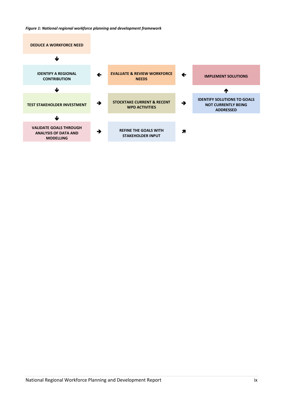*Figure 1: National regional workforce planning and development framework*

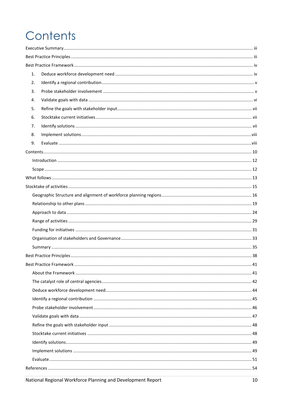# <span id="page-9-0"></span>Contents

| 1. |  |  |  |  |  |
|----|--|--|--|--|--|
| 2. |  |  |  |  |  |
| 3. |  |  |  |  |  |
| 4. |  |  |  |  |  |
| 5. |  |  |  |  |  |
| 6. |  |  |  |  |  |
| 7. |  |  |  |  |  |
| 8. |  |  |  |  |  |
| 9. |  |  |  |  |  |
|    |  |  |  |  |  |
|    |  |  |  |  |  |
|    |  |  |  |  |  |
|    |  |  |  |  |  |
|    |  |  |  |  |  |
|    |  |  |  |  |  |
|    |  |  |  |  |  |
|    |  |  |  |  |  |
|    |  |  |  |  |  |
|    |  |  |  |  |  |
|    |  |  |  |  |  |
|    |  |  |  |  |  |
|    |  |  |  |  |  |
|    |  |  |  |  |  |
|    |  |  |  |  |  |
|    |  |  |  |  |  |
|    |  |  |  |  |  |
|    |  |  |  |  |  |
|    |  |  |  |  |  |
|    |  |  |  |  |  |
|    |  |  |  |  |  |
|    |  |  |  |  |  |
|    |  |  |  |  |  |
|    |  |  |  |  |  |
|    |  |  |  |  |  |
|    |  |  |  |  |  |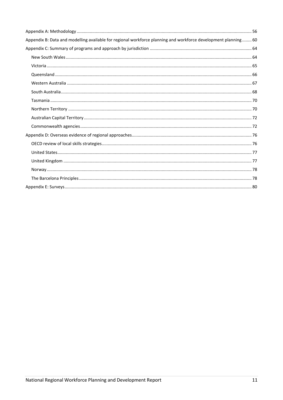| Appendix B: Data and modelling available for regional workforce planning and workforce development planning 60 |  |
|----------------------------------------------------------------------------------------------------------------|--|
|                                                                                                                |  |
|                                                                                                                |  |
|                                                                                                                |  |
|                                                                                                                |  |
|                                                                                                                |  |
|                                                                                                                |  |
|                                                                                                                |  |
|                                                                                                                |  |
|                                                                                                                |  |
|                                                                                                                |  |
|                                                                                                                |  |
|                                                                                                                |  |
|                                                                                                                |  |
|                                                                                                                |  |
|                                                                                                                |  |
|                                                                                                                |  |
|                                                                                                                |  |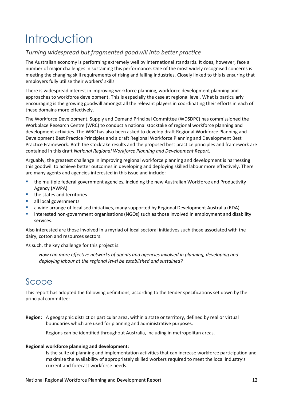# <span id="page-11-0"></span>Introduction

## *Turning widespread but fragmented goodwill into better practice*

The Australian economy is performing extremely well by international standards. It does, however, face a number of major challenges in sustaining this performance. One of the most widely recognised concerns is meeting the changing skill requirements of rising and falling industries. Closely linked to this is ensuring that employers fully utilise their workers' skills.

There is widespread interest in improving workforce planning, workforce development planning and approaches to workforce development. This is especially the case at regional level. What is particularly encouraging is the growing goodwill amongst all the relevant players in coordinating their efforts in each of these domains more effectively.

The Workforce Development, Supply and Demand Principal Committee (WDSDPC) has commissioned the Workplace Research Centre (WRC) to conduct a national stocktake of regional workforce planning and development activities. The WRC has also been asked to develop draft Regional Workforce Planning and Development Best Practice Principles and a draft Regional Workforce Planning and Development Best Practice Framework*.* Both the stocktake results and the proposed best practice principles and framework are contained in this draft *National Regional Workforce Planning and Development Report.*

Arguably, the greatest challenge in improving regional workforce planning and development is harnessing this goodwill to achieve better outcomes in developing and deploying skilled labour more effectively. There are many agents and agencies interested in this issue and include:

- the multiple federal government agencies, including the new Australian Workforce and Productivity Agency (AWPA)
- the states and territories
- **all local governments**
- a wide arrange of localised initiatives, many supported by Regional Development Australia (RDA)
- **EXTERGHTM** interested non-government organisations (NGOs) such as those involved in employment and disability services.

Also interested are those involved in a myriad of local sectoral initiatives such those associated with the dairy, cotton and resources sectors.

As such, the key challenge for this project is:

*How can more effective networks of agents and agencies involved in planning, developing and deploying labour at the regional level be established and sustained?*

# <span id="page-11-1"></span>Scope

This report has adopted the following definitions, according to the tender specifications set down by the principal committee:

**Region:** A geographic district or particular area, within a state or territory, defined by real or virtual boundaries which are used for planning and administrative purposes.

Regions can be identified throughout Australia, including in metropolitan areas.

## **Regional workforce planning and development:**

Is the suite of planning and implementation activities that can increase workforce participation and maximise the availability of appropriately skilled workers required to meet the local industry's current and forecast workforce needs.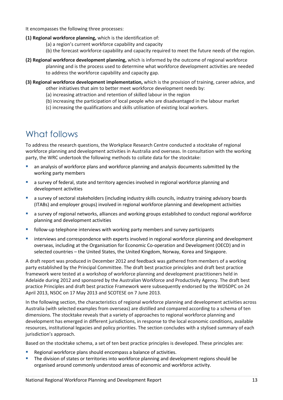It encompasses the following three processes:

- **(1) Regional workforce planning,** which is the identification of:
	- (a) a region's current workforce capability and capacity
	- (b) the forecast workforce capability and capacity required to meet the future needs of the region.
- **(2) Regional workforce development planning,** which is informed by the outcome of regional workforce planning and is the process used to determine what workforce development activities are needed to address the workforce capability and capacity gap.
- **(3) Regional workforce development implementation,** which is the provision of training, career advice, and other initiatives that aim to better meet workforce development needs by:
	- (a) increasing attraction and retention of skilled labour in the region
	- (b) increasing the participation of local people who are disadvantaged in the labour market
	- (c) increasing the qualifications and skills utilisation of existing local workers.

# <span id="page-12-0"></span>What follows

To address the research questions, the Workplace Research Centre conducted a stocktake of regional workforce planning and development activities in Australia and overseas. In consultation with the working party, the WRC undertook the following methods to collate data for the stocktake:

- an analysis of workforce plans and workforce planning and analysis documents submitted by the working party members
- a survey of federal, state and territory agencies involved in regional workforce planning and development activities
- a survey of sectoral stakeholders (including industry skills councils, industry training advisory boards (ITABs) and employer groups) involved in regional workforce planning and development activities
- a survey of regional networks, alliances and working groups established to conduct regional workforce planning and development activities
- follow-up telephone interviews with working party members and survey participants
- **EXP** interviews and correspondence with experts involved in regional workforce planning and development overseas, including at the Organisation for Economic Co-operation and Development (OECD) and in selected countries – the United States, the United Kingdom, Norway, Korea and Singapore.

A draft report was produced in December 2012 and feedback was gathered from members of a working party established by the Principal Committee. The draft best practice principles and draft best practice framework were tested at a workshop of workforce planning and development practitioners held in Adelaide during 2012 and sponsored by the Australian Workforce and Productivity Agency. The draft best practice Principles and draft best practice Framework were subsequently endorsed by the WDSDPC on 24 April 2013, NSOC on 17 May 2013 and SCOTESE on 7 June 2013.

In the following section, the characteristics of regional workforce planning and development activities across Australia (with selected examples from overseas) are distilled and compared according to a schema of ten dimensions. The stocktake reveals that a variety of approaches to regional workforce planning and development has emerged in different jurisdictions, in response to the local economic conditions, available resources, institutional legacies and policy priorities. The section concludes with a stylised summary of each jurisdiction's approach.

Based on the stocktake schema, a set of ten best practice principles is developed. These principles are:

- Regional workforce plans should encompass a balance of activities.
- The division of states or territories into workforce planning and development regions should be organised around commonly understood areas of economic and workforce activity.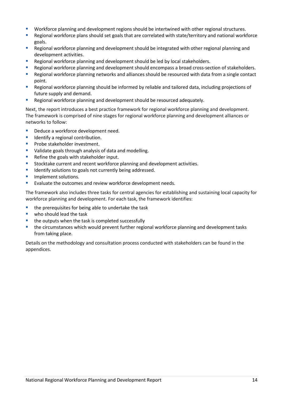- Workforce planning and development regions should be intertwined with other regional structures.
- Regional workforce plans should set goals that are correlated with state/territory and national workforce goals.
- **Regional workforce planning and development should be integrated with other regional planning and** development activities.
- Regional workforce planning and development should be led by local stakeholders.
- **EXECT** Regional workforce planning and development should encompass a broad cross-section of stakeholders.
- **Regional workforce planning networks and alliances should be resourced with data from a single contact** point.
- Regional workforce planning should be informed by reliable and tailored data, including projections of future supply and demand.
- Regional workforce planning and development should be resourced adequately.

Next, the report introduces a best practice framework for regional workforce planning and development. The framework is comprised of nine stages for regional workforce planning and development alliances or networks to follow:

- Deduce a workforce development need.
- **IDED** Identify a regional contribution.
- **Probe stakeholder investment.**
- **U** Validate goals through analysis of data and modelling.
- **Refine the goals with stakeholder input.**
- **Stocktake current and recent workforce planning and development activities.**
- **IDENTIFY** solutions to goals not currently being addressed.
- **Implement solutions.**
- **Evaluate the outcomes and review workforce development needs.**

The framework also includes three tasks for central agencies for establishing and sustaining local capacity for workforce planning and development. For each task, the framework identifies:

- the prerequisites for being able to undertake the task
- **who should lead the task**
- the outputs when the task is completed successfully
- the circumstances which would prevent further regional workforce planning and development tasks from taking place.

Details on the methodology and consultation process conducted with stakeholders can be found in the appendices.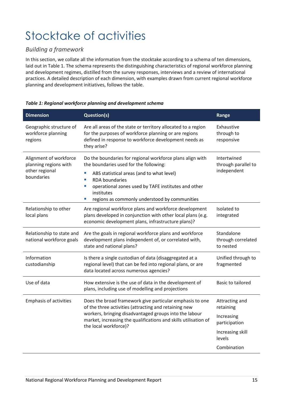# <span id="page-14-0"></span>Stocktake of activities

## *Building a framework*

In this section, we collate all the information from the stocktake according to a schema of ten dimensions, laid out in Table 1. The schema represents the distinguishing characteristics of regional workforce planning and development regimes, distilled from the survey responses, interviews and a review of international practices. A detailed description of each dimension, with examples drawn from current regional workforce planning and development initiatives, follows the table.

| <b>Dimension</b>                                                                | <b>Question(s)</b>                                                                                                                                                                                                                                                                                                     | Range                                             |  |  |
|---------------------------------------------------------------------------------|------------------------------------------------------------------------------------------------------------------------------------------------------------------------------------------------------------------------------------------------------------------------------------------------------------------------|---------------------------------------------------|--|--|
| Geographic structure of<br>workforce planning<br>regions                        | Are all areas of the state or territory allocated to a region<br>for the purposes of workforce planning or are regions<br>defined in response to workforce development needs as<br>they arise?                                                                                                                         | Exhaustive<br>through to<br>responsive            |  |  |
| Alignment of workforce<br>planning regions with<br>other regional<br>boundaries | Do the boundaries for regional workforce plans align with<br>the boundaries used for the following:<br>L.<br>ABS statistical areas (and to what level)<br>×,<br><b>RDA</b> boundaries<br>operational zones used by TAFE institutes and other<br>L.<br>institutes<br>regions as commonly understood by communities<br>ш | Intertwined<br>through parallel to<br>independent |  |  |
| Relationship to other<br>local plans                                            | Are regional workforce plans and workforce development<br>plans developed in conjunction with other local plans (e.g.<br>economic development plans, infrastructure plans)?                                                                                                                                            | Isolated to<br>integrated                         |  |  |
| Relationship to state and<br>national workforce goals                           | Are the goals in regional workforce plans and workforce<br>development plans independent of, or correlated with,<br>state and national plans?                                                                                                                                                                          | Standalone<br>through correlated<br>to nested     |  |  |
| Information<br>custodianship                                                    | Is there a single custodian of data (disaggregated at a<br>regional level) that can be fed into regional plans, or are<br>data located across numerous agencies?                                                                                                                                                       | Unified through to<br>fragmented                  |  |  |
| Use of data                                                                     | How extensive is the use of data in the development of<br>plans, including use of modelling and projections                                                                                                                                                                                                            | <b>Basic to tailored</b>                          |  |  |
| <b>Emphasis of activities</b>                                                   | Does the broad framework give particular emphasis to one<br>of the three activities (attracting and retaining new                                                                                                                                                                                                      | Attracting and<br>retaining                       |  |  |
|                                                                                 | workers, bringing disadvantaged groups into the labour<br>market, increasing the qualifications and skills utilisation of<br>the local workforce)?                                                                                                                                                                     | Increasing<br>participation                       |  |  |
|                                                                                 |                                                                                                                                                                                                                                                                                                                        | Increasing skill<br>levels                        |  |  |
|                                                                                 |                                                                                                                                                                                                                                                                                                                        | Combination                                       |  |  |

## *Table 1: Regional workforce planning and development schema*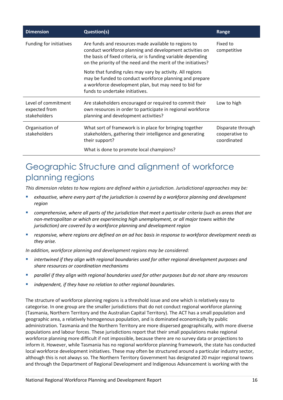| <b>Dimension</b>                                     | <b>Question(s)</b>                                                                                                                                                                                                                                 | Range                                              |  |
|------------------------------------------------------|----------------------------------------------------------------------------------------------------------------------------------------------------------------------------------------------------------------------------------------------------|----------------------------------------------------|--|
| Funding for initiatives                              | Are funds and resources made available to regions to<br>conduct workforce planning and development activities on<br>the basis of fixed criteria, or is funding variable depending<br>on the priority of the need and the merit of the initiatives? | Fixed to<br>competitive                            |  |
|                                                      | Note that funding rules may vary by activity. All regions<br>may be funded to conduct workforce planning and prepare<br>a workforce development plan, but may need to bid for<br>funds to undertake initiatives.                                   |                                                    |  |
| Level of commitment<br>expected from<br>stakeholders | Are stakeholders encouraged or required to commit their<br>own resources in order to participate in regional workforce<br>planning and development activities?                                                                                     | Low to high                                        |  |
| Organisation of<br>stakeholders                      | What sort of framework is in place for bringing together<br>stakeholders, gathering their intelligence and generating<br>their support?                                                                                                            | Disparate through<br>cooperative to<br>coordinated |  |
|                                                      | What is done to promote local champions?                                                                                                                                                                                                           |                                                    |  |

# <span id="page-15-0"></span>Geographic Structure and alignment of workforce planning regions

*This dimension relates to how regions are defined within a jurisdiction. Jurisdictional approaches may be:*

- *exhaustive, where every part of the jurisdiction is covered by a workforce planning and development region*
- *comprehensive, where all parts of the jurisdiction that meet a particular criteria (such as areas that are non-metropolitan or which are experiencing high unemployment, or all major towns within the jurisdiction) are covered by a workforce planning and development region*
- *responsive, where regions are defined on an ad hoc basis in response to workforce development needs as they arise.*

*In addition, workforce planning and development regions may be considered:*

- *intertwined if they align with regional boundaries used for other regional development purposes and share resources or coordination mechanisms*
- *parallel if they align with regional boundaries used for other purposes but do not share any resources*
- *independent, if they have no relation to other regional boundaries.*

The structure of workforce planning regions is a threshold issue and one which is relatively easy to categorise. In one group are the smaller jurisdictions that do not conduct regional workforce planning (Tasmania, Northern Territory and the Australian Capital Territory). The ACT has a small population and geographic area, a relatively homogenous population, and is dominated economically by public administration. Tasmania and the Northern Territory are more dispersed geographically, with more diverse populations and labour forces. These jurisdictions report that their small populations make regional workforce planning more difficult if not impossible, because there are no survey data or projections to inform it. However, while Tasmania has no regional workforce planning framework, the state has conducted local workforce development initiatives. These may often be structured around a particular industry sector, although this is not always so. The Northern Territory Government has designated 20 major regional towns and through the Department of Regional Development and Indigenous Advancement is working with the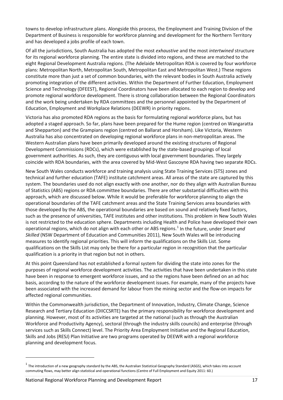towns to develop infrastructure plans. Alongside this process, the Employment and Training Division of the Department of Business is responsible for workforce planning and development for the Northern Territory and has developed a jobs profile of each town.

Of all the jurisdictions, South Australia has adopted the most *exhaustive* and the most *intertwined* structure for its regional workforce planning. The entire state is divided into regions, and these are matched to the eight Regional Development Australia regions. (The Adelaide Metropolitan RDA is covered by four workforce plans: Metropolitan North, Metropolitan South, Metropolitan East and Metropolitan West.) These regions constitute more than just a set of common boundaries, with the relevant bodies in South Australia actively promoting integration of the different activities. Within the Department of Further Education, Employment Science and Technology (DFEEST), Regional Coordinators have been allocated to each region to develop and promote regional workforce development. There is strong collaboration between the Regional Coordinators and the work being undertaken by RDA committees and the personnel appointed by the Department of Education, Employment and Workplace Relations (DEEWR) in priority regions.

Victoria has also promoted RDA regions as the basis for formulating regional workforce plans, but has adopted a staged approach. So far, plans have been prepared for the Hume region (centred on Wangaratta and Shepparton) and the Grampians region (centred on Ballarat and Horsham). Like Victoria, Western Australia has also concentrated on developing regional workforce plans in non-metropolitan areas. The Western Australian plans have been primarily developed around the existing structures of Regional Development Commissions (RDCs), which were established by the state-based groupings of local government authorities. As such, they are contiguous with local government boundaries. They largely coincide with RDA boundaries, with the area covered by Mid-West Gascoyne RDA having two separate RDCs.

New South Wales conducts workforce and training analysis using State Training Services (STS) zones and technical and further education (TAFE) institute catchment areas. All areas of the state are captured by this system. The boundaries used do not align exactly with one another, nor do they align with Australian Bureau of Statistics (ABS) regions or RDA committee boundaries. There are other substantial difficulties with this approach, which are discussed below. While it would be preferable for workforce planning to align the operational boundaries of the TAFE catchment areas and the State Training Services area boundaries with those developed by the ABS, the operational boundaries are based on sound and relatively fixed factors, such as the presence of universities, TAFE institutes and other institutions. This problem in New South Wales is not restricted to the education sphere. Departments including Health and Police have developed their own operational regions, which do not align with each other or ABS regions.<sup>[1](#page-16-0)</sup> In the future, under *Smart and Skilled* (NSW Department of Education and Communities 2011), New South Wales will be introducing measures to identify regional priorities. This will inform the qualifications on the Skills List. Some qualifications on the Skills List may only be there for a particular region in recognition that the particular qualification is a priority in that region but not in others.

At this point Queensland has not established a formal system for dividing the state into zones for the purposes of regional workforce development activities. The activities that have been undertaken in this state have been in response to emergent workforce issues, and so the regions have been defined on an ad hoc basis, according to the nature of the workforce development issues. For example, many of the projects have been associated with the increased demand for labour from the mining sector and the flow-on impacts for affected regional communities.

Within the Commonwealth jurisdiction, the Department of Innovation, Industry, Climate Change, Science Research and Tertiary Education (DIICCSRTE) has the primary responsibility for workforce development and planning. However, most of its activities are targeted at the national (such as through the Australian Workforce and Productivity Agency), sectoral (through the industry skills councils) and enterprise (through services such as Skills Connect) level. The Priority Area Employment Initiative and the Regional Education, Skills and Jobs (RESJ) Plan Initiative are two programs operated by DEEWR with a regional workforce planning and development focus.

 $\overline{a}$ 

<span id="page-16-0"></span> $1$  The introduction of a new geography standard by the ABS, the Australian Statistical Geography Standard (ASGS), which takes into account commuting flows, may better align statistical and operational functions (Centre of Full Employment and Equity 2011: 60.)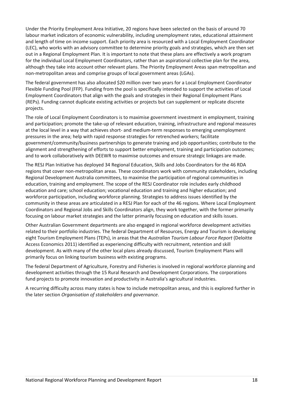Under the Priority Employment Area Initiative, 20 regions have been selected on the basis of around 70 labour market indicators of economic vulnerability, including unemployment rates, educational attainment and length of time on income support. Each priority area is resourced with a Local Employment Coordinator (LEC), who works with an advisory committee to determine priority goals and strategies, which are then set out in a Regional Employment Plan. It is important to note that these plans are effectively a work program for the individual Local Employment Coordinators, rather than an aspirational collective plan for the area, although they take into account other relevant plans. The Priority Employment Areas span metropolitan and non-metropolitan areas and comprise groups of local government areas (LGAs).

The federal government has also allocated \$20 million over two years for a Local Employment Coordinator Flexible Funding Pool (FFP). Funding from the pool is specifically intended to support the activities of Local Employment Coordinators that align with the goals and strategies in their Regional Employment Plans (REPs). Funding cannot duplicate existing activities or projects but can supplement or replicate discrete projects.

The role of Local Employment Coordinators is to maximise government investment in employment, training and participation; promote the take-up of relevant education, training, infrastructure and regional measures at the local level in a way that achieves short- and medium-term responses to emerging unemployment pressures in the area; help with rapid response strategies for retrenched workers; facilitate government/community/business partnerships to generate training and job opportunities; contribute to the alignment and strengthening of efforts to support better employment, training and participation outcomes; and to work collaboratively with DEEWR to maximise outcomes and ensure strategic linkages are made.

The RESJ Plan Initiative has deployed 34 Regional Education, Skills and Jobs Coordinators for the 46 RDA regions that cover non-metropolitan areas. These coordinators work with community stakeholders, including Regional Development Australia committees, to maximise the participation of regional communities in education, training and employment. The scope of the RESJ Coordinator role includes early childhood education and care; school education; vocational education and training and higher education; and workforce participation, including workforce planning. Strategies to address issues identified by the community in these areas are articulated in a RESJ Plan for each of the 46 regions. Where Local Employment Coordinators and Regional Jobs and Skills Coordinators align, they work together, with the former primarily focusing on labour market strategies and the latter primarily focusing on education and skills issues.

Other Australian Government departments are also engaged in regional workforce development activities related to their portfolio industries. The federal Department of Resources, Energy and Tourism is developing eight Tourism Employment Plans (TEPs), in areas that the *Australian Tourism Labour Force Report* (Deloitte Access Economics 2011) identified as experiencing difficulty with recruitment, retention and skill development. As with many of the other local plans already discussed, Tourism Employment Plans will primarily focus on linking tourism business with existing programs.

The federal Department of Agriculture, Forestry and Fisheries is involved in regional workforce planning and development activities through the 15 Rural Research and Development Corporations. The corporations fund projects to promote innovation and productivity in Australia's agricultural industries.

A recurring difficulty across many states is how to include metropolitan areas, and this is explored further in the later section *Organisation of stakeholders and governance*.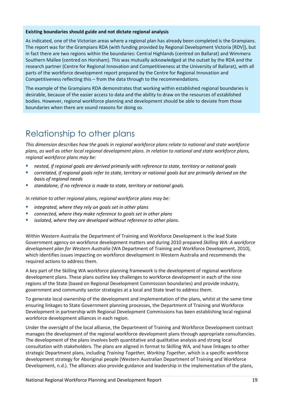## **Existing boundaries should guide and not dictate regional analysis**

As indicated, one of the Victorian areas where a regional plan has already been completed is the Grampians. The report was for the Grampians RDA (with funding provided by Regional Development Victoria [RDV]), but in fact there are two regions within the boundaries: Central Highlands (centred on Ballarat) and Wimmera Southern Mallee (centred on Horsham). This was mutually acknowledged at the outset by the RDA and the research partner (Centre for Regional Innovation and Competitiveness at the University of Ballarat), with all parts of the workforce development report prepared by the Centre for Regional Innovation and Competitiveness reflecting this – from the data through to the recommendations.

The example of the Grampians RDA demonstrates that working within established regional boundaries is desirable, because of the easier access to data and the ability to draw on the resources of established bodies. However, regional workforce planning and development should be able to deviate from those boundaries when there are sound reasons for doing so.

# <span id="page-18-0"></span>Relationship to other plans

*This dimension describes how the goals in regional workforce plans relate to national and state workforce plans, as well as other local regional development plans. In relation to national and state workforce plans, regional workforce plans may be:*

- *nested, if regional goals are derived primarily with reference to state, territory or national goals*
- *correlated, if regional goals refer to state, territory or national goals but are primarily derived on the basis of regional needs*
- *standalone, if no reference is made to state, territory or national goals.*

*In relation to other regional plans, regional workforce plans may be:*

- *integrated, where they rely on goals set in other plans*
- *connected, where they make reference to goals set in other plans*
- *isolated, where they are developed without reference to other plans.*

Within Western Australia the Department of Training and Workforce Development is the lead State Government agency on workforce development matters and during 2010 prepared *Skilling WA: A workforce development plan for Western Australia* (WA Department of Training and Workforce Development, 2010), which identifies issues impacting on workforce development in Western Australia and recommends the required actions to address them.

A key part of the Skilling WA workforce planning framework is the development of regional workforce development plans. These plans outline key challenges to workforce development in each of the nine regions of the State (based on Regional Development Commission boundaries) and provide industry, government and community sector strategies at a local and State level to address them.

To generate local ownership of the development and implementation of the plans, whilst at the same time ensuring linkages to State Government planning processes, the Department of Training and Workforce Development in partnership with Regional Development Commissions has been establishing local regional workforce development alliances in each region.

Under the oversight of the local alliance, the Department of Training and Workforce Development contract manages the development of the regional workforce development plans through appropriate consultancies. The development of the plans involves both quantitative and qualitative analysis and strong local consultation with stakeholders. The plans are aligned in format to Skilling WA*,* and have linkages to other strategic Department plans, including *Training Together, Working Together*, which is a specific workforce development strategy for Aboriginal people (Western Australian Department of Training and Workforce Development, n.d.). The alliances also provide guidance and leadership in the implementation of the plans,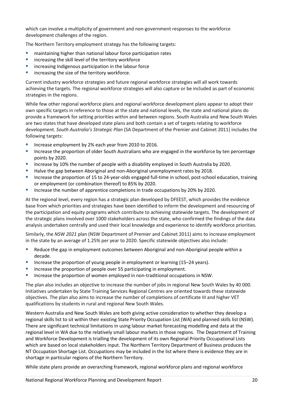which can involve a multiplicity of government and non-government responses to the workforce development challenges of the region.

The Northern Territory employment strategy has the following targets:

- **EXECT** maintaining higher than national labour force participation rates
- increasing the skill level of the territory workforce
- **EXTERGIVER IN** increasing Indigenous participation in the labour force
- **EXEC** increasing the size of the territory workforce.

Current industry workforce strategies and future regional workforce strategies will all work towards achieving the targets. The regional workforce strategies will also capture or be included as part of economic strategies in the regions.

While few other regional workforce plans and regional workforce development plans appear to adopt their own specific targets in reference to those at the state and national levels, the state and national plans do provide a framework for setting priorities within and between regions. South Australia and New South Wales are two states that have developed state plans and both contain a set of targets relating to workforce development. *South Australia's Strategic Plan* (SA Department of the Premier and Cabinet 2011) includes the following targets:

- **Increase employment by 2% each year from 2010 to 2016.**
- **Increase the proportion of older South Australians who are engaged in the workforce by ten percentage** points by 2020.
- Increase by 10% the number of people with a disability employed in South Australia by 2020.
- Halve the gap between Aboriginal and non-Aboriginal unemployment rates by 2018.
- Increase the proportion of 15 to 24-year-olds engaged full-time in school, post-school education, training or employment (or combination thereof) to 85% by 2020.
- Increase the number of apprentice completions in trade occupations by 20% by 2020.

At the regional level, every region has a strategic plan developed by DFEEST, which provides the evidence base from which priorities and strategies have been identified to inform the development and resourcing of the participation and equity programs which contribute to achieving statewide targets. The development of the strategic plans involved over 1000 stakeholders across the state, who confirmed the findings of the data analysis undertaken centrally and used their local knowledge and experience to identify workforce priorities.

Similarly, the *NSW 2021* plan (NSW Department of Premier and Cabinet 2011) aims to increase employment in the state by an average of 1.25% per year to 2020. Specific statewide objectives also include:

- **BED 2018 Reduce the gap in employment outcomes between Aboriginal and non-Aboriginal people within a** decade.
- Increase the proportion of young people in employment or learning (15–24 years).
- Increase the proportion of people over 55 participating in employment.
- **Increase the proportion of women employed in non-traditional occupations in NSW.**

The plan also includes an objective to increase the number of jobs in regional New South Wales by 40 000. Initiatives undertaken by State Training Services Regional Centres are oriented towards these statewide objectives. The plan also aims to increase the number of completions of certificate III and higher VET qualifications by students in rural and regional New South Wales.

Western Australia and New South Wales are both giving active consideration to whether they develop a regional skills list to sit within their existing State Priority Occupation List (WA) and planned skills list (NSW). There are significant technical limitations in using labour market forecasting modelling and data at the regional level in WA due to the relatively small labour markets in those regions. The Department of Training and Workforce Development is trialling the development of its own Regional Priority Occupational Lists which are based on local stakeholders input. The Northern Territory Department of Business produces the NT Occupation Shortage List. Occupations may be included in the list where there is evidence they are in shortage in particular regions of the Northern Territory.

While state plans provide an overarching framework, regional workforce plans and regional workforce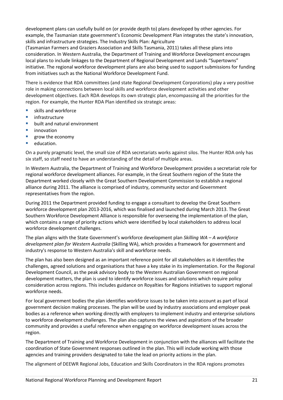development plans can usefully build on (or provide depth to) plans developed by other agencies. For example, the Tasmanian state government's Economic Development Plan integrates the state's innovation, skills and infrastructure strategies. The Industry Skills Plan: Agriculture

(Tasmanian Farmers and Graziers Association and Skills Tasmania, 2011) takes all these plans into consideration. In Western Australia, the Department of Training and Workforce Development encourages local plans to include linkages to the Department of Regional Development and Lands "Supertowns" initiative. The regional workforce development plans are also being used to support submissions for funding from initiatives such as the National Workforce Development Fund.

There is evidence that RDA committees (and state Regional Development Corporations) play a very positive role in making connections between local skills and workforce development activities and other development objectives. Each RDA develops its own strategic plan, encompassing all the priorities for the region. For example, the Hunter RDA Plan identified six strategic areas:

- **skills and workforce**
- $\blacksquare$  infrastructure
- **•** built and natural environment
- **u** innovation
- **grow the economy**
- **education.**

On a purely pragmatic level, the small size of RDA secretariats works against silos. The Hunter RDA only has six staff, so staff need to have an understanding of the detail of multiple areas.

In Western Australia, the Department of Training and Workforce Development provides a secretariat role for regional workforce development alliances. For example, in the Great Southern region of the State the Department worked closely with the Great Southern Development Commission to establish a regional alliance during 2011. The alliance is comprised of industry, community sector and Government representatives from the region.

During 2011 the Department provided funding to engage a consultant to develop the Great Southern workforce development plan 2013-2016, which was finalised and launched during March 2013. The Great Southern Workforce Development Alliance is responsible for overseeing the implementation of the plan, which contains a range of priority actions which were identified by local stakeholders to address local workforce development challenges.

The plan aligns with the State Government's workforce development plan *Skilling WA – A workforce development plan for Western Australia* (Skilling WA), which provides a framework for government and industry's response to Western Australia's skill and workforce needs.

The plan has also been designed as an important reference point for all stakeholders as it identifies the challenges, agreed solutions and organisations that have a key stake in its implementation. For the Regional Development Council, as the peak advisory body to the Western Australian Government on regional development matters, the plan is used to identify workforce issues and solutions which require policy consideration across regions. This includes guidance on Royalties for Regions initiatives to support regional workforce needs.

For local government bodies the plan identifies workforce issues to be taken into account as part of local government decision making processes. The plan will be used by industry associations and employer peak bodies as a reference when working directly with employers to implement industry and enterprise solutions to workforce development challenges. The plan also captures the views and aspirations of the broader community and provides a useful reference when engaging on workforce development issues across the region.

The Department of Training and Workforce Development in conjunction with the alliances will facilitate the coordination of State Government responses outlined in the plan. This will include working with those agencies and training providers designated to take the lead on priority actions in the plan.

The alignment of DEEWR Regional Jobs, Education and Skills Coordinators in the RDA regions promotes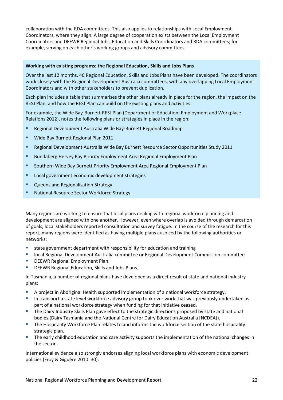collaboration with the RDA committees. This also applies to relationships with Local Employment Coordinators, where they align. A large degree of cooperation exists between the Local Employment Coordinators and DEEWR Regional Jobs, Education and Skills Coordinators and RDA committees; for example, serving on each other's working groups and advisory committees.

## **Working with existing programs: the Regional Education, Skills and Jobs Plans**

Over the last 12 months, 46 Regional Education, Skills and Jobs Plans have been developed. The coordinators work closely with the Regional Development Australia committees, with any overlapping Local Employment Coordinators and with other stakeholders to prevent duplication.

Each plan includes a table that summarises the other plans already in place for the region, the impact on the RESJ Plan, and how the RESJ Plan can build on the existing plans and activities.

For example, the Wide Bay-Burnett RESJ Plan (Department of Education, Employment and Workplace Relations 2012), notes the following plans or strategies in place in the region:

- Regional Development Australia Wide Bay-Burnett Regional Roadmap
- **Wide Bay Burnett Regional Plan 2011**
- Regional Development Australia Wide Bay Burnett Resource Sector Opportunities Study 2011
- **Bundaberg Hervey Bay Priority Employment Area Regional Employment Plan**
- **Southern Wide Bay Burnett Priority Employment Area Regional Employment Plan**
- **Local government economic development strategies**
- Queensland Regionalisation Strategy
- National Resource Sector Workforce Strategy.

Many regions are working to ensure that local plans dealing with regional workforce planning and development are aligned with one another. However, even where overlap is avoided through demarcation of goals, local stakeholders reported consultation and survey fatigue. In the course of the research for this report, many regions were identified as having multiple plans auspiced by the following authorities or networks:

- **E** state government department with responsibility for education and training
- local Regional Development Australia committee or Regional Development Commission committee
- DEEWR Regional Employment Plan
- DEEWR Regional Education, Skills and Jobs Plans.

In Tasmania, a number of regional plans have developed as a direct result of state and national industry plans:

- A project in Aboriginal Health supported implementation of a national workforce strategy.
- In transport a state level workforce advisory group took over work that was previously undertaken as part of a national workforce strategy when funding for that initiative ceased.
- **The Dairy Industry Skills Plan gave effect to the strategic directions proposed by state and national** bodies (Dairy Tasmania and the National Centre for Dairy Education Australia [NCDEA]).
- **The Hospitality Workforce Plan relates to and informs the workforce section of the state hospitality** strategic plan.
- **The early childhood education and care activity supports the implementation of the national changes in** the sector.

International evidence also strongly endorses aligning local workforce plans with economic development policies (Froy & Giguère 2010: 30):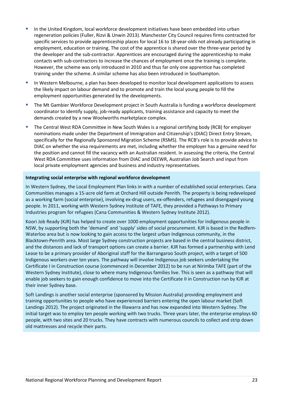- In the United Kingdom, local workforce development initiatives have been embedded into urban regeneration policies (Fuller, Rizvi & Unwin 2013). Manchester City Council requires firms contracted for specific services to provide apprenticeship places for local 16 to 18-year-olds not already participating in employment, education or training. The cost of the apprentice is shared over the three-year period by the developer and the sub-contractor. Apprentices are encouraged during the apprenticeship to make contacts with sub-contractors to increase the chances of employment once the training is complete. However, the scheme was only introduced in 2010 and thus far only one apprentice has completed training under the scheme. A similar scheme has also been introduced in Southampton.
- In Western Melbourne, a plan has been developed to monitor local development applications to assess the likely impact on labour demand and to promote and train the local young people to fill the employment opportunities generated by the developments.
- The Mt Gambier Workforce Development project in South Australia is funding a workforce development coordinator to identify supply, job-ready applicants, training assistance and capacity to meet the demands created by a new Woolworths marketplace complex.
- The Central West RDA Committee in New South Wales is a regional certifying body (RCB) for employer nominations made under the Department of Immigration and Citizenship's (DIAC) Direct Entry Stream, specifically for the Regionally Sponsored Migration Scheme (RSMS). The RCB's role is to provide advice to DIAC on whether the visa requirements are met, including whether the employer has a genuine need for the position and cannot fill the vacancy with an Australian resident. In assessing the criteria, the Central West RDA Committee uses information from DIAC and DEEWR, Australian Job Search and input from local private employment agencies and business and industry representatives.

## **Integrating social enterprise with regional workforce development**

In Western Sydney, the Local Employment Plan links in with a number of established social enterprises. Cana Communities manages a 15-acre old farm at Orchard Hill outside Penrith. The property is being redeveloped as a working farm (social enterprise), involving ex-drug users, ex-offenders, refugees and disengaged young people. In 2011, working with Western Sydney Institute of TAFE, they provided a Pathways to Primary Industries program for refugees (Cana Communities & Western Sydney Institute 2012).

Koori Job Ready (KJR) has helped to create over 1000 employment opportunities for Indigenous people in NSW, by supporting both the 'demand' and 'supply' sides of social procurement. KJR is based in the Redfern-Waterloo area but is now looking to gain access to the largest urban Indigenous community, in the Blacktown-Penrith area. Most large Sydney construction projects are based in the central business district, and the distances and lack of transport options can create a barrier. KJR has formed a partnership with Lend Lease to be a primary provider of Aboriginal staff for the Barrangaroo South project, with a target of 500 Indigenous workers over ten years. The pathway will involve Indigenous job seekers undertaking the Certificate I in Construction course (commenced in December 2012) to be run at Nirimba TAFE (part of the Western Sydney Institute), close to where many Indigenous families live. This is seen as a pathway that will enable job seekers to gain enough confidence to move into the Certificate II in Construction run by KJR at their inner Sydney base.

Soft Landings is another social enterprise (sponsored by Mission Australia) providing employment and training opportunities to people who have experienced barriers entering the open labour market (Soft Landings 2012). The project originated in the Illawarra and has now expanded into Western Sydney. The initial target was to employ ten people working with two trucks. Three years later, the enterprise employs 60 people, with two sites and 20 trucks. They have contracts with numerous councils to collect and strip down old mattresses and recycle their parts.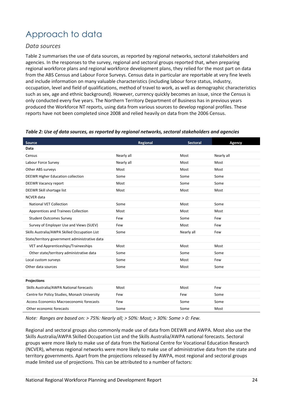# Approach to data

## *Data sources*

Table 2 summarises the use of data sources, as reported by regional networks, sectoral stakeholders and agencies. In the responses to the survey, regional and sectoral groups reported that, when preparing regional workforce plans and regional workforce development plans, they relied for the most part on data from the ABS Census and Labour Force Surveys. Census data in particular are reportable at very fine levels and include information on many valuable characteristics (including labour force status, industry, occupation, level and field of qualifications, method of travel to work, as well as demographic characteristics such as sex, age and ethnic background). However, currency quickly becomes an issue, since the Census is only conducted every five years. The Northern Territory Department of Business has in previous years produced the Workforce NT reports, using data from various sources to develop regional profiles. These reports have not been completed since 2008 and relied heavily on data from the 2006 Census.

| Source                                         | Regional   | <b>Sectoral</b> | <b>Agency</b> |
|------------------------------------------------|------------|-----------------|---------------|
| Data                                           |            |                 |               |
| Census                                         | Nearly all | Most            | Nearly all    |
| Labour Force Survey                            | Nearly all | Most            | Most          |
| Other ABS surveys                              | Most       | Most            | Most          |
| <b>DEEWR Higher Education collection</b>       | Some       | Some            | Some          |
| <b>DEEWR Vacancy report</b>                    | Most       | Some            | Some          |
| DEEWR Skill shortage list                      | Most       | Most            | Most          |
| <b>NCVER</b> data                              |            |                 |               |
| <b>National VET Collection</b>                 | Some       | Most            | Some          |
| Apprentices and Trainees Collection            | Most       | Most            | Most          |
| <b>Student Outcomes Survey</b>                 | Few        | Some            | Few           |
| Survey of Employer Use and Views (SUEV)        | Few        | Most            | Few           |
| Skills Australia/AWPA Skilled Occupation List  | Some       | Nearly all      | Few           |
| State/territory government administrative data |            |                 |               |
| VET and Apprenticeships/Traineeships           | Most       | Most            | Most          |
| Other state/territory administrative data      | Some       | Some            | Some          |
| Local custom surveys                           | Some       | Most            | Few           |
| Other data sources                             | Some       | Most            | Some          |
|                                                |            |                 |               |
| <b>Projections</b>                             |            |                 |               |
| Skills Australia/AWPA National forecasts       | Most       | Most            | Few           |
| Centre for Policy Studies, Monash University   | Few        | Few             | Some          |
| Access Economics Macroeconomic forecasts       | Few        | Some            | Some          |
| Other economic forecasts                       | Some       | Some            | Most          |

## *Table 2: Use of data sources, as reported by regional networks, sectoral stakeholders and agencies*

*Note: Ranges are based on: > 75%: Nearly all; > 50%: Most; > 30%: Some > 0: Few.*

Regional and sectoral groups also commonly made use of data from DEEWR and AWPA. Most also use the Skills Australia/AWPA Skilled Occupation List and the Skills Australia/AWPA national forecasts. Sectoral groups were more likely to make use of data from the National Centre for Vocational Education Research (NCVER), whereas regional networks were more likely to make use of administrative data from the state and territory governments. Apart from the projections released by AWPA, most regional and sectoral groups made limited use of projections. This can be attributed to a number of factors: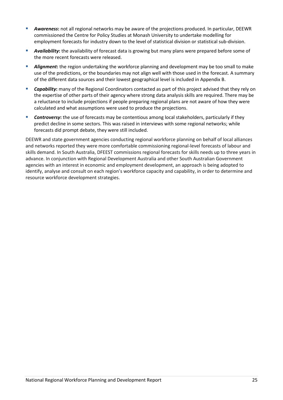- *Awareness***:** not all regional networks may be aware of the projections produced. In particular, DEEWR commissioned the Centre for Policy Studies at Monash University to undertake modelling for employment forecasts for industry down to the level of statistical division or statistical sub-division.
- *Availability***:** the availability of forecast data is growing but many plans were prepared before some of the more recent forecasts were released.
- *Alignment***:** the region undertaking the workforce planning and development may be too small to make use of the predictions, or the boundaries may not align well with those used in the forecast. A summary of the different data sources and their lowest geographical level is included in Appendix B.
- *Capability***:** many of the Regional Coordinators contacted as part of this project advised that they rely on the expertise of other parts of their agency where strong data analysis skills are required. There may be a reluctance to include projections if people preparing regional plans are not aware of how they were calculated and what assumptions were used to produce the projections.
- *Controversy***:** the use of forecasts may be contentious among local stakeholders, particularly if they predict decline in some sectors. This was raised in interviews with some regional networks; while forecasts did prompt debate, they were still included.

DEEWR and state government agencies conducting regional workforce planning on behalf of local alliances and networks reported they were more comfortable commissioning regional-level forecasts of labour and skills demand. In South Australia, DFEEST commissions regional forecasts for skills needs up to three years in advance. In conjunction with Regional Development Australia and other South Australian Government agencies with an interest in economic and employment development, an approach is being adopted to identify, analyse and consult on each region's workforce capacity and capability, in order to determine and resource workforce development strategies.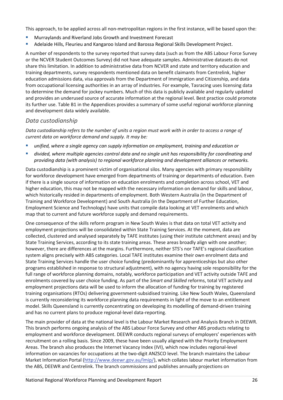This approach, to be applied across all non-metropolitan regions in the first instance, will be based upon the:

- Murraylands and Riverland Jobs Growth and Investment Forecast
- Adelaide Hills, Fleurieu and Kangaroo Island and Barossa Regional Skills Development Project.

A number of respondents to the survey reported that survey data (such as from the ABS Labour Force Survey or the NCVER Student Outcomes Survey) did not have adequate samples. Administrative datasets do not share this limitation. In addition to administrative data from NCVER and state and territory education and training departments, survey respondents mentioned data on benefit claimants from Centrelink, higher education admissions data, visa approvals from the Department of Immigration and Citizenship, and data from occupational licensing authorities in an array of industries. For example, Tasracing uses licensing data to determine the demand for jockey numbers. Much of this data is publicly available and regularly updated and provides an underused source of accurate information at the regional level. Best practice could promote its further use. Table B1 in the Appendices provides a summary of some useful regional workforce planning and development data widely available.

## *Data custodianship*

*Data custodianship refers to the number of units a region must work with in order to access a range of current data on workforce demand and supply. It may be:*

- *unified, where a single agency can supply information on employment, training and education or*
- *divided, where multiple agencies control data and no single unit has responsibility for coordinating and providing data (with analysis) to regional workforce planning and development alliances or networks.*

Data custodianship is a prominent victim of organisational silos. Many agencies with primary responsibility for workforce development have emerged from departments of training or departments of education. Even if there is a single source of information on education enrolments and completion across school, VET and higher education, this may not be mapped with the necessary information on demand for skills and labour, which historically resided in departments of employment. Both Western Australia (in the Department of Training and Workforce Development) and South Australia (in the Department of Further Education, Employment Science and Technology) have units that compile data looking at VET enrolments and which map that to current and future workforce supply and demand requirements.

One consequence of the skills reform program in New South Wales is that data on total VET activity and employment projections will be consolidated within State Training Services. At the moment, data are collected, clustered and analysed separately by TAFE institutes (using their institute catchment areas) and by State Training Services, according to its state training areas. These areas broadly align with one another; however, there are differences at the margins. Furthermore, neither STS's nor TAFE's regional classification system aligns precisely with ABS categories. Local TAFE institutes examine their own enrolment data and State Training Services handle the user choice funding (predominantly for apprenticeships but also other programs established in response to structural adjustment), with no agency having sole responsibility for the full range of workforce planning domains, notably, workforce participation and VET activity outside TAFE and enrolments covered by user choice funding. As part of the *Smart and Skilled* reforms, total VET activity and employment projections data will be used to inform the allocation of funding for training by registered training organisations (RTOs) delivering government-subsidised training. Like New South Wales, Queensland is currently reconsidering its workforce planning data requirements in light of the move to an entitlement model. Skills Queensland is currently concentrating on developing its modelling of demand-driven training and has no current plans to produce regional-level data-reporting.

The main provider of data at the national level is the Labour Market Research and Analysis Branch in DEEWR. This branch performs ongoing analysis of the ABS Labour Force Survey and other ABS products relating to employment and workforce development. DEEWR conducts regional surveys of employers' experiences with recruitment on a rolling basis. Since 2009, these have been usually aligned with the Priority Employment Areas. The branch also produces the Internet Vacancy Index (IVI), which now includes regional-level information on vacancies for occupations at the two-digit ANZSCO level. The branch maintains the Labour Market Information Portal [\(http://www.deewr.gov.au/lmip/\)](http://www.deewr.gov.au/lmip/), which collates labour market information from the ABS, DEEWR and Centrelink. The branch commissions and publishes annually projections on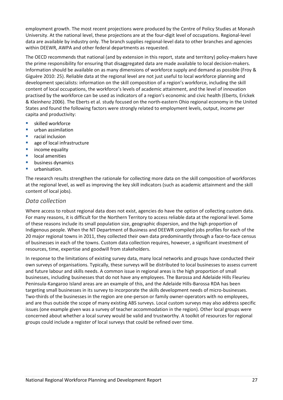employment growth. The most recent projections were produced by the Centre of Policy Studies at Monash University. At the national level, these projections are at the four-digit level of occupations. Regional-level data are available by industry only. The branch supplies regional-level data to other branches and agencies within DEEWR, AWPA and other federal departments as requested.

The OECD recommends that national (and by extension in this report, state and territory) policy-makers have the prime responsibility for ensuring that disaggregated data are made available to local decision-makers. Information should be available on as many dimensions of workforce supply and demand as possible (Froy & Giguère 2010: 25). Reliable data at the regional level are not just useful to local workforce planning and development specialists: information on the skill composition of a region's workforce, including the skill content of local occupations, the workforce's levels of academic attainment, and the level of innovation practised by the workforce can be used as indicators of a region's economic and civic health (Eberts, Erickek & Kleinhenz 2006). The Eberts et al. study focused on the north-eastern Ohio regional economy in the United States and found the following factors were strongly related to employment levels, output, income per capita and productivity:

- **skilled workforce**
- **urban assimilation**
- **F** racial inclusion
- **age of local infrastructure**
- income equality
- **lacal amenities**
- **business dynamics**
- **urbanisation.**

The research results strengthen the rationale for collecting more data on the skill composition of workforces at the regional level, as well as improving the key skill indicators (such as academic attainment and the skill content of local jobs).

## *Data collection*

Where access to robust regional data does not exist, agencies do have the option of collecting custom data. For many reasons, it is difficult for the Northern Territory to access reliable data at the regional level. Some of these reasons include its small population size, geographic dispersion, and the high proportion of Indigenous people. When the NT Department of Business and DEEWR compiled jobs profiles for each of the 20 major regional towns in 2011, they collected their own data predominantly through a face-to-face census of businesses in each of the towns. Custom data collection requires, however, a significant investment of resources, time, expertise and goodwill from stakeholders.

In response to the limitations of existing survey data, many local networks and groups have conducted their own surveys of organisations. Typically, these surveys will be distributed to local businesses to assess current and future labour and skills needs. A common issue in regional areas is the high proportion of small businesses, including businesses that do not have any employees. The Barossa and Adelaide Hills Fleurieu Peninsula-Kangaroo Island areas are an example of this, and the Adelaide Hills-Barossa RDA has been targeting small businesses in its survey to incorporate the skills development needs of micro-businesses. Two-thirds of the businesses in the region are one-person or family owner-operators with no employees, and are thus outside the scope of many existing ABS surveys. Local custom surveys may also address specific issues (one example given was a survey of teacher accommodation in the region). Other local groups were concerned about whether a local survey would be valid and trustworthy. A toolkit of resources for regional groups could include a register of local surveys that could be refined over time.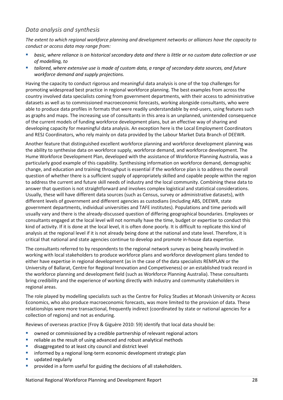## *Data analysis and synthesis*

*The extent to which regional workforce planning and development networks or alliances have the capacity to conduct or access data may range from:*

- *basic, where reliance is on historical secondary data and there is little or no custom data collection or use of modelling, to*
- *tailored, where extensive use is made of custom data, a range of secondary data sources, and future workforce demand and supply projections.*

Having the capacity to conduct rigorous and meaningful data analysis is one of the top challenges for promoting widespread best practice in regional workforce planning. The best examples from across the country involved data specialists coming from government departments, with their access to administrative datasets as well as to commissioned macroeconomic forecasts, working alongside consultants, who were able to produce data profiles in formats that were readily understandable by end-users, using features such as graphs and maps. The increasing use of consultants in this area is an unplanned, unintended consequence of the current models of funding workforce development plans, but an effective way of sharing and developing capacity for meaningful data analysis. An exception here is the Local Employment Coordinators and RESJ Coordinators, who rely mainly on data provided by the Labour Market Data Branch of DEEWR.

Another feature that distinguished excellent workforce planning and workforce development planning was the ability to synthesise data on workforce supply, workforce demand, and workforce development. The Hume Workforce Development Plan, developed with the assistance of Workforce Planning Australia, was a particularly good example of this capability. Synthesising information on workforce demand, demographic change, and education and training throughput is essential if the workforce plan is to address the overall question of whether there is a sufficient supply of appropriately skilled and capable people within the region to address the current and future skill needs of industry and the local community. Combining these data to answer that question is not straightforward and involves complex logistical and statistical considerations. Usually, these will have different data sources (such as Census, survey or administrative datasets), with different levels of government and different agencies as custodians (including ABS, DEEWR, state government departments, individual universities and TAFE institutes). Populations and time periods will usually vary and there is the already-discussed question of differing geographical boundaries. Employees or consultants engaged at the local level will not normally have the time, budget or expertise to conduct this kind of activity. If it is done at the local level, it is often done poorly. It is difficult to replicate this kind of analysis at the regional level if it is not already being done at the national and state level. Therefore, it is critical that national and state agencies continue to develop and promote in-house data expertise.

The consultants referred to by respondents to the regional network survey as being heavily involved in working with local stakeholders to produce workforce plans and workforce development plans tended to either have expertise in regional development (as in the case of the data specialists REMPLAN or the University of Ballarat, Centre for Regional Innovation and Competiveness) or an established track record in the workforce planning and development field (such as Workforce Planning Australia). These consultants bring credibility and the experience of working directly with industry and community stakeholders in regional areas.

The role played by modelling specialists such as the Centre for Policy Studies at Monash University or Access Economics, who also produce macroeconomic forecasts, was more limited to the provision of data. These relationships were more transactional, frequently indirect (coordinated by state or national agencies for a collection of regions) and not as enduring.

Reviews of overseas practice (Froy & Giguère 2010: 59) identify that local data should be:

- owned or commissioned by a credible partnership of relevant regional actors
- **•** reliable as the result of using advanced and robust analytical methods
- disaggregated to at least city council and district level
- **EXEDENT INCOCOLLET INCOCOLLET INCOCOLLET INTERETATIONS IN A THE INCOCOLLET INCOCOLLET INCOCOLLET INCOCOLLET INCOCOLLET INCOCOLLET INCOCOLLET INCOCOLLET INCOCOLLET INCOCOLLET INCOCOLLET INCOCOLLET INCOCOLLET INCOCOLLET INC**
- updated regularly
- **P** provided in a form useful for guiding the decisions of all stakeholders.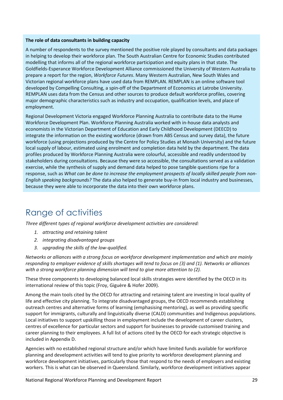## **The role of data consultants in building capacity**

A number of respondents to the survey mentioned the positive role played by consultants and data packages in helping to develop their workforce plan. The South Australian Centre for Economic Studies contributed modelling that informs all of the regional workforce participation and equity plans in that state. The Goldfields-Esperance Workforce Development Alliance commissioned the University of Western Australia to prepare a report for the region, *Workforce Futures*. Many Western Australian, New South Wales and Victorian regional workforce plans have used data from REMPLAN. REMPLAN is an online software tool developed by Compelling Consulting, a spin-off of the Department of Economics at Latrobe University. REMPLAN uses data from the Census and other sources to produce default workforce profiles, covering major demographic characteristics such as industry and occupation, qualification levels, and place of employment.

Regional Development Victoria engaged Workforce Planning Australia to contribute data to the Hume Workforce Development Plan. Workforce Planning Australia worked with in-house data analysts and economists in the Victorian Department of Education and Early Childhood Development (DEECD) to integrate the information on the existing workforce (drawn from ABS Census and survey data), the future workforce (using projections produced by the Centre for Policy Studies at Monash University) and the future local supply of labour, estimated using enrolment and completion data held by the department. The data profiles produced by Workforce Planning Australia were colourful, accessible and readily understood by stakeholders during consultations. Because they were so accessible, the consultations served as a validation exercise, while the synthesis of supply and demand data helped to pose tangible questions ripe for a response, such as *What can be done to increase the employment prospects of locally skilled people from non-English speaking backgrounds?* The data also helped to generate buy-in from local industry and businesses, because they were able to incorporate the data into their own workforce plans.

# <span id="page-28-0"></span>Range of activities

*Three different types of regional workforce development activities are considered:*

- *1. attracting and retaining talent*
- *2. integrating disadvantaged groups*
- *3. upgrading the skills of the low-qualified.*

*Networks or alliances with a strong focus on workforce development implementation and which are mainly responding to employer evidence of skills shortages will tend to focus on (3) and (1). Networks or alliances with a strong workforce planning dimension will tend to give more attention to (2).*

These three components to developing balanced local skills strategies were identified by the OECD in its international review of this topic (Froy, Giguère & Hofer 2009).

Among the main tools cited by the OECD for attracting and retaining talent are investing in local quality of life and effective city planning. To integrate disadvantaged groups, the OECD recommends establishing outreach centres and alternative forms of learning (emphasising mentoring), as well as providing specific support for immigrants, culturally and linguistically diverse (CALD) communities and Indigenous populations. Local initiatives to support upskilling those in employment include the development of career clusters, centres of excellence for particular sectors and support for businesses to provide customised training and career planning to their employees. A full list of actions cited by the OECD for each strategic objective is included in Appendix D.

Agencies with no established regional structure and/or which have limited funds available for workforce planning and development activities will tend to give priority to workforce development planning and workforce development initiatives, particularly those that respond to the needs of employers and existing workers. This is what can be observed in Queensland. Similarly, workforce development initiatives appear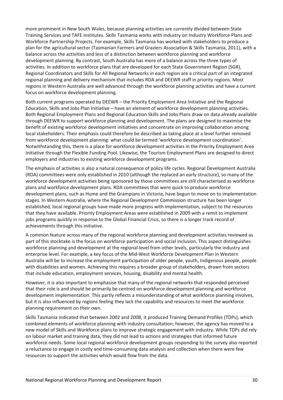more prominent in New South Wales, because planning activities are currently divided between State Training Services and TAFE institutes. Skills Tasmania works with industry on Industry Workforce Plans and Workforce Partnership Projects. For example, Skills Tasmania has worked with stakeholders to produce a plan for the agricultural sector (Tasmanian Farmers and Graziers Association & Skills Tasmania, 2011), with a balance across the activities and less of a distinction between workforce planning and workforce development planning. By contrast, South Australia has more of a balance across the three types of activities. In addition to workforce plans that are developed for each State Government Region (SGR), Regional Coordinators and Skills for All Regional Networks in each region are a critical part of an integrated regional planning and delivery mechanism that includes RDA and DEEWR staff in priority regions. Most regions in Western Australia are well advanced through the workforce planning activities and have a current focus on workforce development planning.

Both current programs operated by DEEWR – the Priority Employment Area Initiative and the Regional Education, Skills and Jobs Plan Initiative – have an element of workforce development planning activities. Both Regional Employment Plans and Regional Education Skills and Jobs Plans draw on data already available through DEEWR to support workforce planning and development. The plans are designed to maximise the benefit of existing workforce development initiatives and concentrate on improving collaboration among local stakeholders. Their emphasis could therefore be described as taking place at a level further removed from workforce development planning: what could be termed 'workforce development coordination'. Notwithstanding this, there is a place for workforce development activities in the Priority Employment Area Initiative through the Flexible Funding Pool. Likewise, the Tourism Employment Plans are designed to direct employers and industries to existing workforce development programs.

The emphasis of activities is also a natural consequence of policy life cycles. Regional Development Australia (RDA) committees were only established in 2010 (although the replaced an early structure), so many of the workforce development activities being sponsored by those committees are still characterised as workforce plans and workforce development plans. RDA committees that were quick to produce workforce development plans, such as Hume and the Grampians in Victoria, have begun to move on to implementation stages. In Western Australia, where the Regional Development Commission structure has been longer established, local regional groups have made more progress with implementation, subject to the resources that they have available. Priority Employment Areas were established in 2009 with a remit to implement jobs programs quickly in response to the Global Financial Crisis, so there is a longer track record of achievements through this initiative.

A common feature across many of the regional workforce planning and development activities reviewed as part of this stocktake is the focus on workforce participation and social inclusion. This aspect distinguishes workforce planning and development at the regional level from other levels, particularly the industry and enterprise level. For example, a key focus of the Mid-West Workforce Development Plan in Western Australia will be to increase the employment participation of older people, youth, Indigenous people, people with disabilities and women. Achieving this requires a broader group of stakeholders, drawn from sectors that include education, employment services, housing, disability and mental health.

However, it is also important to emphasise that many of the regional networks that responded perceived that their role is and should be primarily be centred on workforce development planning and workforce development implementation. This partly reflects a misunderstanding of what workforce planning involves, but it is also influenced by regions feeling they lack the capability and resources to meet the workforce planning requirement on their own.

Skills Tasmania indicated that between 2002 and 2008, it produced Training Demand Profiles (TDPs), which combined elements of workforce planning with industry consultation; however, the agency has moved to a new model of Skills and Workforce plans to improve strategic engagement with industry. While TDPs did rely on labour market and training data, they did not lead to actions and strategies that informed future workforce needs. Some local regional workforce development groups responding to the survey also reported a reluctance to engage in costly and time-consuming data analysis and collection when there were few resources to support the activities which would flow from the data.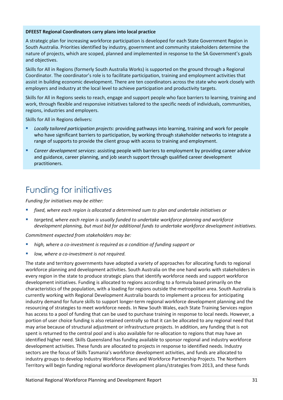## **DFEEST Regional Coordinators carry plans into local practice**

A strategic plan for increasing workforce participation is developed for each State Government Region in South Australia. Priorities identified by industry, government and community stakeholders determine the nature of projects, which are scoped, planned and implemented in response to the SA Government's goals and objectives.

Skills for All in Regions (formerly South Australia Works) is supported on the ground through a Regional Coordinator. The coordinator's role is to facilitate participation, training and employment activities that assist in building economic development. There are ten coordinators across the state who work closely with employers and industry at the local level to achieve participation and productivity targets.

Skills for All in Regions seeks to reach, engage and support people who face barriers to learning, training and work, through flexible and responsive initiatives tailored to the specific needs of individuals, communities, regions, industries and employers.

Skills for All in Regions delivers:

- *Locally tailored participation projects*: providing pathways into learning, training and work for people who have significant barriers to participation, by working through stakeholder networks to integrate a range of supports to provide the client group with access to training and employment.
- *Career development services*: assisting people with barriers to employment by providing career advice and guidance, career planning, and job search support through qualified career development practitioners.

# <span id="page-30-0"></span>Funding for initiatives

*Funding for initiatives may be either:*

- *fixed, where each region is allocated a determined sum to plan and undertake initiatives or*
- *targeted, where each region is usually funded to undertake workforce planning and workforce development planning, but must bid for additional funds to undertake workforce development initiatives.*

*Commitment expected from stakeholders may be:*

- *high, where a co-investment is required as a condition of funding support or*
- *low, where a co-investment is not required.*

The state and territory governments have adopted a variety of approaches for allocating funds to regional workforce planning and development activities. South Australia on the one hand works with stakeholders in every region in the state to produce strategic plans that identify workforce needs and support workforce development initiatives. Funding is allocated to regions according to a formula based primarily on the characteristics of the population, with a loading for regions outside the metropolitan area. South Australia is currently working with Regional Development Australia boards to implement a process for anticipating industry demand for future skills to support longer-term regional workforce development planning and the resourcing of strategies to meet workforce needs. In New South Wales, each State Training Services region has access to a pool of funding that can be used to purchase training in response to local needs. However, a portion of user choice funding is also retained centrally so that it can be allocated to any regional need that may arise because of structural adjustment or infrastructure projects. In addition, any funding that is not spent is returned to the central pool and is also available for re-allocation to regions that may have an identified higher need. Skills Queensland has funding available to sponsor regional and industry workforce development activities. These funds are allocated to projects in response to identified needs. Industry sectors are the focus of Skills Tasmania's workforce development activities, and funds are allocated to industry groups to develop Industry Workforce Plans and Workforce Partnership Projects. The Northern Territory will begin funding regional workforce development plans/strategies from 2013, and these funds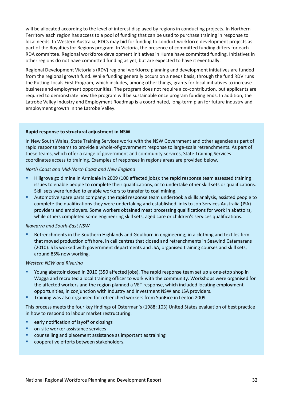will be allocated according to the level of interest displayed by regions in conducting projects. In Northern Territory each region has access to a pool of funding that can be used to purchase training in response to local needs. In Western Australia, RDCs may bid for funding to conduct workforce development projects as part of the Royalties for Regions program. In Victoria, the presence of committed funding differs for each RDA committee. Regional workforce development initiatives in Hume have committed funding. Initiatives in other regions do not have committed funding as yet, but are expected to have it eventually.

Regional Development Victoria's (RDV) regional workforce planning and development initiatives are funded from the regional growth fund. While funding generally occurs on a needs basis, through the fund RDV runs the Putting Locals First Program, which includes, among other things, grants for local initiatives to increase business and employment opportunities. The program does not require a co-contribution, but applicants are required to demonstrate how the program will be sustainable once program funding ends. In addition, the Latrobe Valley Industry and Employment Roadmap is a coordinated, long-term plan for future industry and employment growth in the Latrobe Valley.

## **Rapid response to structural adjustment in NSW**

In New South Wales, State Training Services works with the NSW Government and other agencies as part of rapid response teams to provide a whole-of-government response to large-scale retrenchments. As part of these teams, which offer a range of government and community services, State Training Services coordinates access to training. Examples of responses in regions areas are provided below.

## *North Coast and Mid-North Coast and New England*

- Hillgrove gold mine in Armidale in 2009 (100 affected jobs): the rapid response team assessed training issues to enable people to complete their qualifications, or to undertake other skill sets or qualifications. Skill sets were funded to enable workers to transfer to coal mining.
- Automotive spare parts company: the rapid response team undertook a skills analysis, assisted people to complete the qualifications they were undertaking and established links to Job Services Australia (JSA) providers and employers. Some workers obtained meat processing qualifications for work in abattoirs, while others completed some engineering skill sets, aged care or children's services qualifications.

## *Illawarra and South-East NSW*

 Retrenchments in the Southern Highlands and Goulburn in engineering; in a clothing and textiles firm that moved production offshore, in call centres that closed and retrenchments in Seawind Catamarans (2010): STS worked with government departments and JSA, organised training courses and skill sets, around 85% now working.

## *Western NSW and Riverina*

- Young abattoir closed in 2010 (350 affected jobs). The rapid response team set up a one-stop shop in Wagga and recruited a local training officer to work with the community. Workshops were organised for the affected workers and the region planned a VET response, which included locating employment opportunities, in conjunction with Industry and Investment NSW and JSA providers.
- Training was also organised for retrenched workers from SunRice in Leeton 2009.

This process meets the four key findings of Osterman's (1988: 103) United States evaluation of best practice in how to respond to labour market restructuring:

- **E** early notification of layoff or closings
- on-site worker assistance services
- counselling and placement assistance as important as training
- cooperative efforts between stakeholders.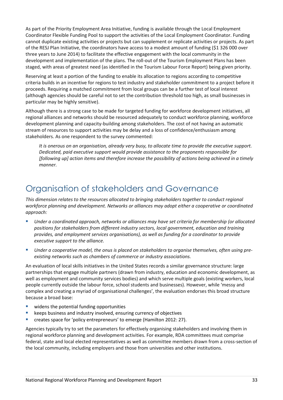As part of the Priority Employment Area Initiative, funding is available through the Local Employment Coordinator Flexible Funding Pool to support the activities of the Local Employment Coordinator. Funding cannot duplicate existing activities or projects but can supplement or replicate activities or projects. As part of the RESJ Plan Initiative, the coordinators have access to a modest amount of funding (\$1 326 000 over three years to June 2014) to facilitate the effective engagement with the local community in the development and implementation of the plans. The roll-out of the Tourism Employment Plans has been staged, with areas of greatest need (as identified in the Tourism Labour Force Report) being given priority.

Reserving at least a portion of the funding to enable its allocation to regions according to competitive criteria builds in an incentive for regions to test industry and stakeholder commitment to a project before it proceeds. Requiring a matched commitment from local groups can be a further test of local interest (although agencies should be careful not to set the contribution threshold too high, as small businesses in particular may be highly sensitive).

Although there is a strong case to be made for targeted funding for workforce development initiatives, all regional alliances and networks should be resourced adequately to conduct workforce planning, workforce development planning and capacity-building among stakeholders. The cost of not having an automatic stream of resources to support activities may be delay and a loss of confidence/enthusiasm among stakeholders. As one respondent to the survey commented:

*It is onerous on an organisation, already very busy, to allocate time to provide the executive support. Dedicated, paid executive support would provide assistance to the proponents responsible for [following up] action items and therefore increase the possibility of actions being achieved in a timely manner.* 

# <span id="page-32-0"></span>Organisation of stakeholders and Governance

*This dimension relates to the resources allocated to bringing stakeholders together to conduct regional workforce planning and development. Networks or alliances may adopt either a cooperative or coordinated approach:*

- *Under a coordinated approach, networks or alliances may have set criteria for membership (or allocated positions for stakeholders from different industry sectors, local government, education and training provides, and employment services organisations), as well as funding for a coordinator to provide executive support to the alliance.*
- *Under a cooperative model, the onus is placed on stakeholders to organise themselves, often using preexisting networks such as chambers of commerce or industry associations.*

An evaluation of local skills initiatives in the United States records a similar governance structure: large partnerships that engage multiple partners (drawn from industry, education and economic development, as well as employment and community services bodies) and which serve multiple goals (existing workers, local people currently outside the labour force, school students and businesses). However, while 'messy and complex and creating a myriad of organisational challenges', the evaluation endorses this broad structure because a broad base:

- widens the potential funding opportunities
- **EXECT** keeps business and industry involved, ensuring currency of objectives
- **E** creates space for 'policy entrepreneurs' to emerge (Hamilton 2012: 27).

Agencies typically try to set the parameters for effectively organising stakeholders and involving them in regional workforce planning and development activities. For example, RDA committees must comprise federal, state and local elected representatives as well as committee members drawn from a cross-section of the local community, including employers and those from universities and other institutions.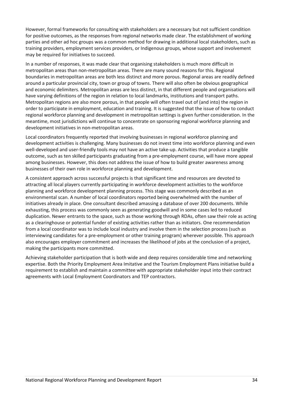However, formal frameworks for consulting with stakeholders are a necessary but not sufficient condition for positive outcomes, as the responses from regional networks made clear. The establishment of working parties and other ad hoc groups was a common method for drawing in additional local stakeholders, such as training providers, employment services providers, or Indigenous groups, whose support and involvement may be required for initiatives to succeed.

In a number of responses, it was made clear that organising stakeholders is much more difficult in metropolitan areas than non-metropolitan areas. There are many sound reasons for this. Regional boundaries in metropolitan areas are both less distinct and more porous. Regional areas are readily defined around a particular provincial city, town or group of towns. There will also often be obvious geographical and economic delimiters. Metropolitan areas are less distinct, in that different people and organisations will have varying definitions of the region in relation to local landmarks, institutions and transport paths. Metropolitan regions are also more porous, in that people will often travel out of (and into) the region in order to participate in employment, education and training. It is suggested that the issue of how to conduct regional workforce planning and development in metropolitan settings is given further consideration. In the meantime, most jurisdictions will continue to concentrate on sponsoring regional workforce planning and development initiatives in non-metropolitan areas.

Local coordinators frequently reported that involving businesses in regional workforce planning and development activities is challenging. Many businesses do not invest time into workforce planning and even well-developed and user-friendly tools may not have an active take-up. Activities that produce a tangible outcome, such as ten skilled participants graduating from a pre-employment course, will have more appeal among businesses. However, this does not address the issue of how to build greater awareness among businesses of their own role in workforce planning and development.

A consistent approach across successful projects is that significant time and resources are devoted to attracting all local players currently participating in workforce development activities to the workforce planning and workforce development planning process. This stage was commonly described as an environmental scan. A number of local coordinators reported being overwhelmed with the number of initiatives already in place. One consultant described amassing a database of over 200 documents. While exhausting, this process was commonly seen as generating goodwill and in some cases led to reduced duplication. Newer entrants to the space, such as those working through RDAs, often saw their role as acting as a clearinghouse or potential funder of existing activities rather than as initiators. One recommendation from a local coordinator was to include local industry and involve them in the selection process (such as interviewing candidates for a pre-employment or other training program) wherever possible. This approach also encourages employer commitment and increases the likelihood of jobs at the conclusion of a project, making the participants more committed.

Achieving stakeholder participation that is both wide and deep requires considerable time and networking expertise. Both the Priority Employment Area Imitative and the Tourism Employment Plans initiative build a requirement to establish and maintain a committee with appropriate stakeholder input into their contract agreements with Local Employment Coordinators and TEP contractors.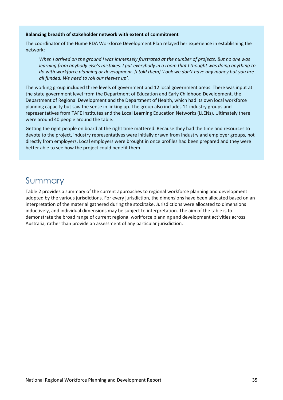#### **Balancing breadth of stakeholder network with extent of commitment**

The coordinator of the Hume RDA Workforce Development Plan relayed her experience in establishing the network:

*When I arrived on the ground I was immensely frustrated at the number of projects. But no one was learning from anybody else's mistakes. I put everybody in a room that I thought was doing anything to do with workforce planning or development. [I told them] 'Look we don't have any money but you are all funded. We need to roll our sleeves up'.*

The working group included three levels of government and 12 local government areas. There was input at the state government level from the Department of Education and Early Childhood Development, the Department of Regional Development and the Department of Health, which had its own local workforce planning capacity but saw the sense in linking up. The group also includes 11 industry groups and representatives from TAFE institutes and the Local Learning Education Networks (LLENs). Ultimately there were around 40 people around the table.

Getting the right people on board at the right time mattered. Because they had the time and resources to devote to the project, industry representatives were initially drawn from industry and employer groups, not directly from employers. Local employers were brought in once profiles had been prepared and they were better able to see how the project could benefit them.

# <span id="page-34-0"></span>Summary

Table 2 provides a summary of the current approaches to regional workforce planning and development adopted by the various jurisdictions. For every jurisdiction, the dimensions have been allocated based on an interpretation of the material gathered during the stocktake. Jurisdictions were allocated to dimensions inductively, and individual dimensions may be subject to interpretation. The aim of the table is to demonstrate the broad range of current regional workforce planning and development activities across Australia, rather than provide an assessment of any particular jurisdiction.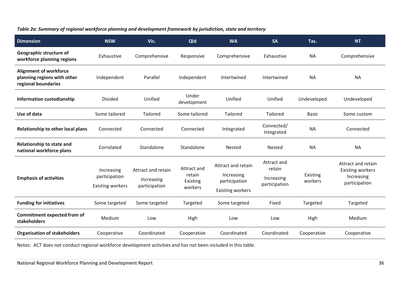## *Table 2a: Summary of regional workforce planning and development framework by jurisdiction, state and territory*

| <b>Dimension</b>                                                                    | <b>NSW</b>                                             | Vic.                                              | Qld                                          | <b>WA</b>                                                                    | <b>SA</b>                                            | Tas.                | <b>NT</b>                                                                    |
|-------------------------------------------------------------------------------------|--------------------------------------------------------|---------------------------------------------------|----------------------------------------------|------------------------------------------------------------------------------|------------------------------------------------------|---------------------|------------------------------------------------------------------------------|
| Geographic structure of<br>workforce planning regions                               | Exhaustive                                             | Comprehensive                                     | Responsive                                   | Comprehensive                                                                | Exhaustive                                           | <b>NA</b>           | Comprehensive                                                                |
| <b>Alignment of workforce</b><br>planning regions with other<br>regional boundaries | Independent                                            | Parallel                                          | Independent                                  | Intertwined                                                                  | Intertwined                                          | <b>NA</b>           | <b>NA</b>                                                                    |
| Information custodianship                                                           | <b>Divided</b>                                         | Unified                                           | Under<br>development                         | Unified                                                                      | Unified                                              | Undeveloped         | Undeveloped                                                                  |
| Use of data                                                                         | Some tailored                                          | Tailored                                          | Some tailored                                | Tailored                                                                     | Tailored                                             | <b>Basic</b>        | Some custom                                                                  |
| Relationship to other local plans                                                   | Connected                                              | Connected                                         | Connected                                    | Integrated                                                                   | Connected/<br>Integrated                             | <b>NA</b>           | Connected                                                                    |
| Relationship to state and<br>national workforce plans                               | Correlated                                             | Standalone                                        | Standalone                                   | <b>Nested</b>                                                                | <b>Nested</b>                                        | <b>NA</b>           | <b>NA</b>                                                                    |
| <b>Emphasis of activities</b>                                                       | Increasing<br>participation<br><b>Existing workers</b> | Attract and retain<br>Increasing<br>participation | Attract and<br>retain<br>Existing<br>workers | Attract and retain<br>Increasing<br>participation<br><b>Existing workers</b> | Attract and<br>retain<br>Increasing<br>participation | Existing<br>workers | Attract and retain<br><b>Existing workers</b><br>Increasing<br>participation |
| <b>Funding for initiatives</b>                                                      | Some targeted                                          | Some targeted                                     | Targeted                                     | Some targeted                                                                | Fixed                                                | Targeted            | Targeted                                                                     |
| <b>Commitment expected from of</b><br>stakeholders                                  | Medium                                                 | Low                                               | High                                         | Low                                                                          | Low                                                  | High                | Medium                                                                       |
| <b>Organisation of stakeholders</b>                                                 | Cooperative                                            | Coordinated                                       | Cooperative                                  | Coordinated                                                                  | Coordinated                                          | Cooperative         | Cooperative                                                                  |

Notes: ACT does not conduct regional workforce development activities and has not been included in this table.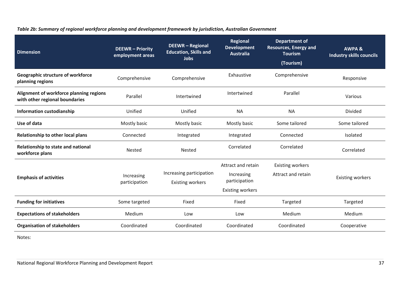| <b>Dimension</b>                                                          | <b>DEEWR-Priority</b><br>employment areas | <b>DEEWR-Regional</b><br><b>Education, Skills and</b><br><b>Jobs</b> | <b>Regional</b><br><b>Development</b><br><b>Australia</b>                    | <b>Department of</b><br><b>Resources, Energy and</b><br><b>Tourism</b><br>(Tourism) | <b>AWPA &amp;</b><br><b>Industry skills councils</b> |
|---------------------------------------------------------------------------|-------------------------------------------|----------------------------------------------------------------------|------------------------------------------------------------------------------|-------------------------------------------------------------------------------------|------------------------------------------------------|
| <b>Geographic structure of workforce</b><br>planning regions              | Comprehensive                             | Comprehensive                                                        | Exhaustive                                                                   | Comprehensive                                                                       | Responsive                                           |
| Alignment of workforce planning regions<br>with other regional boundaries | Parallel                                  | Intertwined                                                          | Intertwined                                                                  | Parallel                                                                            | Various                                              |
| <b>Information custodianship</b>                                          | Unified                                   | Unified                                                              | <b>NA</b>                                                                    | <b>NA</b>                                                                           | Divided                                              |
| Use of data                                                               | Mostly basic                              | Mostly basic                                                         | Mostly basic                                                                 | Some tailored                                                                       | Some tailored                                        |
| Relationship to other local plans                                         | Connected                                 | Integrated                                                           | Integrated                                                                   | Connected                                                                           | Isolated                                             |
| Relationship to state and national<br>workforce plans                     | Nested                                    | Nested                                                               | Correlated                                                                   | Correlated                                                                          | Correlated                                           |
| <b>Emphasis of activities</b>                                             | Increasing<br>participation               | Increasing participation<br><b>Existing workers</b>                  | Attract and retain<br>Increasing<br>participation<br><b>Existing workers</b> | <b>Existing workers</b><br>Attract and retain                                       | <b>Existing workers</b>                              |
| <b>Funding for initiatives</b>                                            | Some targeted                             | Fixed                                                                | Fixed                                                                        | Targeted                                                                            | Targeted                                             |
| <b>Expectations of stakeholders</b>                                       | Medium                                    | Low                                                                  | Low                                                                          | Medium                                                                              | Medium                                               |
| <b>Organisation of stakeholders</b>                                       | Coordinated                               | Coordinated                                                          | Coordinated                                                                  | Coordinated                                                                         | Cooperative                                          |

### *Table 2b: Summary of regional workforce planning and development framework by jurisdiction, Australian Government*

Notes: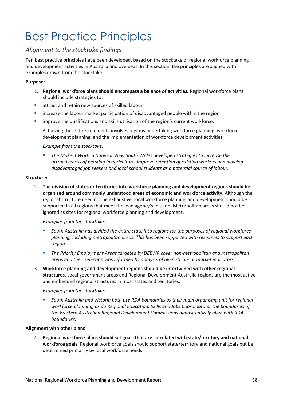# Best Practice Principles

### *Alignment to the stocktake findings*

Ten best practice principles have been developed, based on the stocktake of regional workforce planning and development activities in Australia and overseas. In this section, the principles are aligned with examples drawn from the stocktake.

### **Purpose:**

- 1. **Regional workforce plans should encompass a balance of activities.** Regional workforce plans should include strategies to:
- **E** attract and retain new sources of skilled labour
- increase the labour market participation of disadvantaged people within the region
- improve the qualifications and skills utilisation of the region's current workforce.

Achieving these three elements involves regions undertaking workforce planning, workforce development planning, and the implementation of workforce development activities.

### *Example from the stocktake:*

 *The Make it Work initiative in New South Wales developed strategies to increase the attractiveness of working in agriculture, improve retention of existing workers and develop disadvantaged job seekers and local school students as a potential source of labour.*

### **Structure:**

2. **The division of states or territories into workforce planning and development regions should be organised around commonly understood areas of economic and workforce activity.** Although the regional structure need not be exhaustive, local workforce planning and development should be supported in all regions that meet the lead agency's mission. Metropolitan areas should not be ignored as sites for regional workforce planning and development.

### *Examples from the stocktake:*

- *South Australia has divided the entire state into regions for the purposes of regional workforce planning, including metropolitan areas. This has been supported with resources to support each region.*
- *The Priority Employment Areas targeted by DEEWR cover non-metropolitan and metropolitan areas and their selection was informed by analysis of over 70 labour market indicators .*
- 3. **Workforce planning and development regions should be intertwined with other regional structures**. Local government areas and Regional Development Australia regions are the most active and embedded regional structures in most states and territories.

### *Examples from the stocktake:*

 *South Australia and Victoria both use RDA boundaries as their main organising unit for regional workforce planning, as do Regional Education, Skills and Jobs Coordinators. The boundaries of the Western Australian Regional Development Commissions almost entirely align with RDA boundaries.*

### **Alignment with other plans**

4. **Regional workforce plans should set goals that are correlated with state/territory and national workforce goals.** Regional workforce goals should support state/territory and national goals but be determined primarily by local workforce needs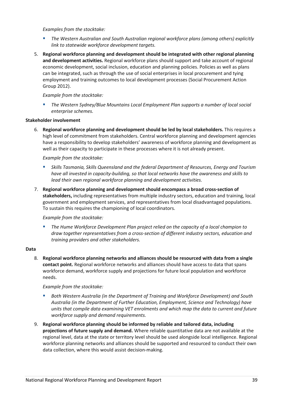### *Examples from the stocktake:*

- *The Western Australian and South Australian regional workforce plans (among others) explicitly link to statewide workforce development targets.*
- 5. **Regional workforce planning and development should be integrated with other regional planning and development activities.** Regional workforce plans should support and take account of regional economic development, social inclusion, education and planning policies. Policies as well as plans can be integrated, such as through the use of social enterprises in local procurement and tying employment and training outcomes to local development processes (Social Procurement Action Group 2012).

### *Example from the stocktake:*

 *The Western Sydney/Blue Mountains Local Employment Plan supports a number of local social enterprise schemes.*

### **Stakeholder involvement**

6. **Regional workforce planning and development should be led by local stakeholders.** This requires a high level of commitment from stakeholders. Central workforce planning and development agencies have a responsibility to develop stakeholders' awareness of workforce planning and development as well as their capacity to participate in these processes where it is not already present.

### *Example from the stocktake:*

- *Skills Tasmania, Skills Queensland and the federal Department of Resources, Energy and Tourism have all invested in capacity-building, so that local networks have the awareness and skills to lead their own regional workforce planning and development activities.*
- 7. **Regional workforce planning and development should encompass a broad cross-section of stakeholders,** including representatives from multiple industry sectors, education and training, local government and employment services, and representatives from local disadvantaged populations. To sustain this requires the championing of local coordinators.

### *Example from the stocktake:*

 *The Hume Workforce Development Plan project relied on the capacity of a local champion to draw together representatives from a cross-section of different industry sectors, education and training providers and other stakeholders.*

### **Data**

8. **Regional workforce planning networks and alliances should be resourced with data from a single contact point.** Regional workforce networks and alliances should have access to data that spans workforce demand, workforce supply and projections for future local population and workforce needs.

### *Example from the stocktake:*

- *Both Western Australia (in the Department of Training and Workforce Development) and South Australia (in the Department of Further Education, Employment, Science and Technology) have units that compile data examining VET enrolments and which map the data to current and future workforce supply and demand requirements.*
- 9. **Regional workforce planning should be informed by reliable and tailored data, including projections of future supply and demand.** Where reliable quantitative data are not available at the regional level, data at the state or territory level should be used alongside local intelligence. Regional workforce planning networks and alliances should be supported and resourced to conduct their own data collection, where this would assist decision-making.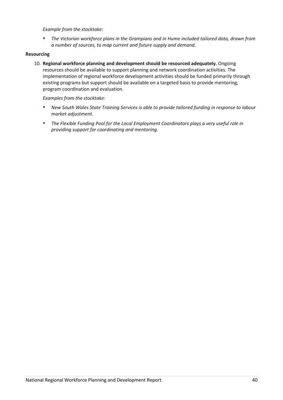### *Example from the stocktake:*

 *The Victorian workforce plans in the Grampians and in Hume included tailored data, drawn from a number of sources, to map current and future supply and demand.*

### **Resourcing**

10. **Regional workforce planning and development should be resourced adequately.** Ongoing resources should be available to support planning and network coordination activities. The implementation of regional workforce development activities should be funded primarily through existing programs but support should be available on a targeted basis to provide mentoring, program coordination and evaluation.

*Examples from the stocktake:*

- *New South Wales State Training Services is able to provide tailored funding in response to labour market adjustment.*
- *The Flexible Funding Pool for the Local Employment Coordinators plays a very useful role in providing support for coordinating and mentoring.*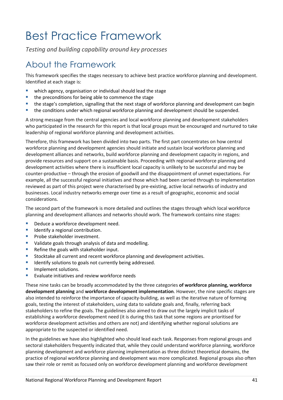# Best Practice Framework

*Testing and building capability around key processes*

# About the Framework

This framework specifies the stages necessary to achieve best practice workforce planning and development. Identified at each stage is:

- which agency, organisation or individual should lead the stage
- **the preconditions for being able to commence the stage**
- the stage's completion, signalling that the next stage of workforce planning and development can begin
- **the conditions under which regional workforce planning and development should be suspended.**

A strong message from the central agencies and local workforce planning and development stakeholders who participated in the research for this report is that local groups must be encouraged and nurtured to take leadership of regional workforce planning and development activities.

Therefore, this framework has been divided into two parts. The first part concentrates on how central workforce planning and development agencies should initiate and sustain local workforce planning and development alliances and networks, build workforce planning and development capacity in regions, and provide resources and support on a sustainable basis. Proceeding with regional workforce planning and development activities where there is insufficient local capacity is unlikely to be successful and may be counter-productive – through the erosion of goodwill and the disappointment of unmet expectations. For example, all the successful regional initiatives and those which had been carried through to implementation reviewed as part of this project were characterised by pre-existing, active local networks of industry and businesses. Local industry networks emerge over time as a result of geographic, economic and social considerations.

The second part of the framework is more detailed and outlines the stages through which local workforce planning and development alliances and networks should work. The framework contains nine stages:

- Deduce a workforce development need.
- $\blacksquare$  Identify a regional contribution.
- **Probe stakeholder investment.**
- **U** Validate goals through analysis of data and modelling.
- Refine the goals with stakeholder input.
- **Stocktake all current and recent workforce planning and development activities.**
- Identify solutions to goals not currently being addressed.
- **Implement solutions.**
- **EVALUATE:** Evaluate initiatives and review workforce needs

These nine tasks can be broadly accommodated by the three categories **of workforce planning, workforce development planning** and **workforce development implementation**. However, the nine specific stages are also intended to reinforce the importance of capacity-building, as well as the iterative nature of forming goals, testing the interest of stakeholders, using data to validate goals and, finally, referring back stakeholders to refine the goals. The guidelines also aimed to draw out the largely implicit tasks of establishing a workforce development need (it is during this task that some regions are prioritised for workforce development activities and others are not) and identifying whether regional solutions are appropriate to the suspected or identified need.

In the guidelines we have also highlighted who should lead each task. Responses from regional groups and sectoral stakeholders frequently indicated that, while they could understand workforce planning, workforce planning development and workforce planning implementation as three distinct theoretical domains, the practice of regional workforce planning and development was more complicated. Regional groups also often saw their role or remit as focused only on workforce development planning and workforce development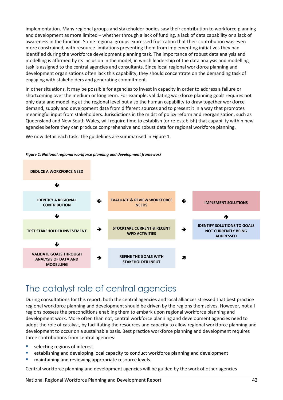implementation. Many regional groups and stakeholder bodies saw their contribution to workforce planning and development as more limited – whether through a lack of funding, a lack of data capability or a lack of awareness in the function. Some regional groups expressed frustration that their contribution was even more constrained, with resource limitations preventing them from implementing initiatives they had identified during the workforce development planning task. The importance of robust data analysis and modelling is affirmed by its inclusion in the model, in which leadership of the data analysis and modelling task is assigned to the central agencies and consultants. Since local regional workforce planning and development organisations often lack this capability, they should concentrate on the demanding task of engaging with stakeholders and generating commitment.

In other situations, it may be possible for agencies to invest in capacity in order to address a failure or shortcoming over the medium or long term. For example, validating workforce planning goals requires not only data and modelling at the regional level but also the human capability to draw together workforce demand, supply and development data from different sources and to present it in a way that promotes meaningful input from stakeholders. Jurisdictions in the midst of policy reform and reorganisation, such as Queensland and New South Wales, will require time to establish (or re-establish) that capability within new agencies before they can produce comprehensive and robust data for regional workforce planning.

We now detail each task. The guidelines are summarised in Figure 1.





## The catalyst role of central agencies

During consultations for this report, both the central agencies and local alliances stressed that best practice regional workforce planning and development should be driven by the regions themselves. However, not all regions possess the preconditions enabling them to embark upon regional workforce planning and development work. More often than not, central workforce planning and development agencies need to adopt the role of catalyst, by facilitating the resources and capacity to allow regional workforce planning and development to occur on a sustainable basis. Best practice workforce planning and development requires three contributions from central agencies:

- selecting regions of interest
- establishing and developing local capacity to conduct workforce planning and development
- maintaining and reviewing appropriate resource levels.

Central workforce planning and development agencies will be guided by the work of other agencies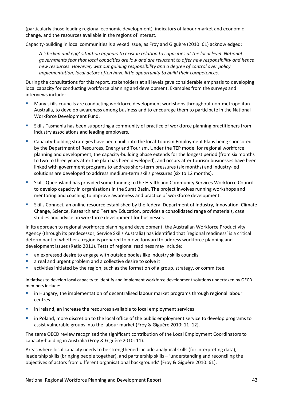(particularly those leading regional economic development), indicators of labour market and economic change, and the resources available in the regions of interest.

Capacity-building in local communities is a vexed issue, as Froy and Giguère (2010: 61) acknowledged:

*A 'chicken and egg' situation appears to exist in relation to capacities at the local level. National governments fear that local capacities are low and are reluctant to offer new responsibility and hence new resources. However, without gaining responsibility and a degree of control over policy implementation, local actors often have little opportunity to build their competences*.

During the consultations for this report, stakeholders at all levels gave considerable emphasis to developing local capacity for conducting workforce planning and development. Examples from the surveys and interviews include:

- Many skills councils are conducting workforce development workshops throughout non-metropolitan Australia, to develop awareness among business and to encourage them to participate in the National Workforce Development Fund.
- Skills Tasmania has been supporting a community of practice of workforce planning practitioners from industry associations and leading employers.
- Capacity-building strategies have been built into the local Tourism Employment Plans being sponsored by the Department of Resources, Energy and Tourism. Under the TEP model for regional workforce planning and development, the capacity-building phase extends for the longest period (from six months to two to three years after the plan has been developed), and occurs after tourism businesses have been linked with government programs to address short-term pressures (six months) and industry-led solutions are developed to address medium-term skills pressures (six to 12 months).
- Skills Queensland has provided some funding to the Health and Community Services Workforce Council to develop capacity in organisations in the Surat Basin. The project involves running workshops and mentoring and coaching to improve awareness and practice of workforce development.
- Skills Connect, an online resource established by the federal Department of Industry, Innovation, Climate Change, Science, Research and Tertiary Education, provides a consolidated range of materials, case studies and advice on workforce development for businesses.

In its approach to regional workforce planning and development, the Australian Workforce Productivity Agency (through its predecessor, Service Skills Australia) has identified that 'regional readiness' is a critical determinant of whether a region is prepared to move forward to address workforce planning and development issues (Ratio 2011). Tests of regional readiness may include:

- an expressed desire to engage with outside bodies like industry skills councils
- a real and urgent problem and a collective desire to solve it
- activities initiated by the region, such as the formation of a group, strategy, or committee.

Initiatives to develop local capacity to identify and implement workforce development solutions undertaken by OECD members include:

- in Hungary, the implementation of decentralised labour market programs through regional labour centres
- in Ireland, an increase the resources available to local employment services
- in Poland, more discretion to the local office of the public employment service to develop programs to assist vulnerable groups into the labour market (Froy & Giguère 2010: 11–12).

The same OECD review recognised the significant contribution of the Local Employment Coordinators to capacity-building in Australia (Froy & Giguère 2010: 11).

Areas where local capacity needs to be strengthened include analytical skills (for interpreting data), leadership skills (bringing people together), and partnership skills – 'understanding and reconciling the objectives of actors from different organisational backgrounds' (Froy & Giguère 2010: 61).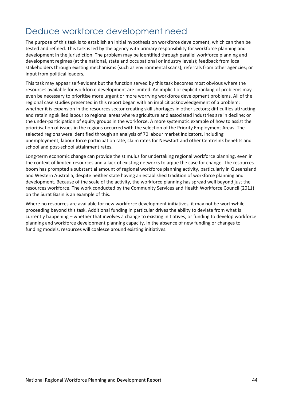# Deduce workforce development need

The purpose of this task is to establish an initial hypothesis on workforce development, which can then be tested and refined. This task is led by the agency with primary responsibility for workforce planning and development in the jurisdiction. The problem may be identified through parallel workforce planning and development regimes (at the national, state and occupational or industry levels); feedback from local stakeholders through existing mechanisms (such as environmental scans); referrals from other agencies; or input from political leaders.

This task may appear self-evident but the function served by this task becomes most obvious where the resources available for workforce development are limited. An implicit or explicit ranking of problems may even be necessary to prioritise more urgent or more worrying workforce development problems. All of the regional case studies presented in this report began with an implicit acknowledgement of a problem: whether it is expansion in the resources sector creating skill shortages in other sectors; difficulties attracting and retaining skilled labour to regional areas where agriculture and associated industries are in decline; or the under-participation of equity groups in the workforce. A more systematic example of how to assist the prioritisation of issues in the regions occurred with the selection of the Priority Employment Areas. The selected regions were identified through an analysis of 70 labour market indicators, including unemployment, labour force participation rate, claim rates for Newstart and other Centrelink benefits and school and post-school attainment rates.

Long-term economic change can provide the stimulus for undertaking regional workforce planning, even in the context of limited resources and a lack of existing networks to argue the case for change. The resources boom has prompted a substantial amount of regional workforce planning activity, particularly in Queensland and Western Australia, despite neither state having an established tradition of workforce planning and development. Because of the scale of the activity, the workforce planning has spread well beyond just the resources workforce. The work conducted by the Community Services and Health Workforce Council (2011) on the Surat Basin is an example of this.

Where no resources are available for new workforce development initiatives, it may not be worthwhile proceeding beyond this task. Additional funding in particular drives the ability to deviate from what is currently happening – whether that involves a change to existing initiatives, or funding to develop workforce planning and workforce development planning capacity. In the absence of new funding or changes to funding models, resources will coalesce around existing initiatives.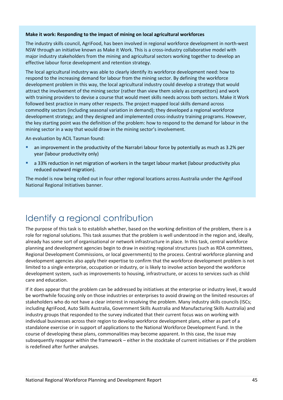### **Make it work: Responding to the impact of mining on local agricultural workforces**

The industry skills council, AgriFood, has been involved in regional workforce development in north-west NSW through an initiative known as Make it Work. This is a cross-industry collaborative model with major industry stakeholders from the mining and agricultural sectors working together to develop an effective labour force development and retention strategy.

The local agricultural industry was able to clearly identify its workforce development need: how to respond to the increasing demand for labour from the mining sector. By defining the workforce development problem in this way, the local agricultural industry could develop a strategy that would attract the involvement of the mining sector (rather than view them solely as competitors) and work with training providers to devise a course that would meet skills needs across both sectors. Make it Work followed best practice in many other respects. The project mapped local skills demand across commodity sectors (including seasonal variation in demand); they developed a regional workforce development strategy; and they designed and implemented cross-industry training programs. However, the key starting point was the definition of the problem: how to respond to the demand for labour in the mining sector in a way that would draw in the mining sector's involvement.

An evaluation by ACIL Tasman found:

- an improvement in the productivity of the Narrabri labour force by potentially as much as 3.2% per year (labour productivity only)
- a 33% reduction in net migration of workers in the target labour market (labour productivity plus reduced outward migration).

The model is now being rolled out in four other regional locations across Australia under the AgriFood National Regional Initiatives banner.

# Identify a regional contribution

The purpose of this task is to establish whether, based on the working definition of the problem, there is a role for regional solutions. This task assumes that the problem is well understood in the region and, ideally, already has some sort of organisational or network infrastructure in place. In this task, central workforce planning and development agencies begin to draw in existing regional structures (such as RDA committees, Regional Development Commissions, or local governments) to the process. Central workforce planning and development agencies also apply their expertise to confirm that the workforce development problem is not limited to a single enterprise, occupation or industry, or is likely to involve action beyond the workforce development system, such as improvements to housing, infrastructure, or access to services such as child care and education.

If it does appear that the problem can be addressed by initiatives at the enterprise or industry level, it would be worthwhile focusing only on those industries or enterprises to avoid drawing on the limited resources of stakeholders who do not have a clear interest in resolving the problem. Many industry skills councils (ISCs; including AgriFood, Auto Skills Australia, Government Skills Australia and Manufacturing Skills Australia) and industry groups that responded to the survey indicated that their current focus was on working with individual businesses across their region to develop workforce development plans, either as part of a standalone exercise or in support of applications to the National Workforce Development Fund. In the course of developing these plans, commonalities may become apparent. In this case, the issue may subsequently reappear within the framework – either in the stocktake of current initiatives or if the problem is redefined after further analyses.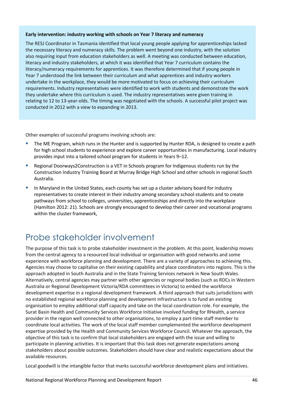#### **Early intervention: industry working with schools on Year 7 literacy and numeracy**

The RESJ Coordinator in Tasmania identified that local young people applying for apprenticeships lacked the necessary literacy and numeracy skills. The problem went beyond one industry, with the solution also requiring input from education stakeholders as well. A meeting was conducted between education, literacy and industry stakeholders, at which it was identified that Year 7 curriculum contains the literacy/numeracy requirements for apprentices. It was therefore determined that if young people in Year 7 understood the link between their curriculum and what apprentices and industry workers undertake in the workplace, they would be more motivated to focus on achieving their curriculum requirements. Industry representatives were identified to work with students and demonstrate the work they undertake where this curriculum is used. The industry representatives were given training in relating to 12 to 13-year-olds. The timing was negotiated with the schools. A successful pilot project was conducted in 2012 with a view to expanding in 2013.

Other examples of successful programs involving schools are:

- The ME Program, which runs in the Hunter and is supported by Hunter RDA, is designed to create a path for high school students to experience and explore career opportunities in manufacturing. Local industry provides input into a tailored school program for students in Years 9–12.
- Regional Doorways2Construction is a VET in Schools program for Indigenous students run by the Construction Industry Training Board at Murray Bridge High School and other schools in regional South Australia.
- In Maryland in the United States, each county has set up a cluster advisory board for industry representatives to create interest in their industry among secondary school students and to create pathways from school to colleges, universities, apprenticeships and directly into the workplace (Hamilton 2012: 21). Schools are strongly encouraged to develop their career and vocational programs within the cluster framework,

# Probe stakeholder involvement

The purpose of this task is to probe stakeholder investment in the problem. At this point, leadership moves from the central agency to a resourced local individual or organisation with good networks and some experience with workforce planning and development. There are a variety of approaches to achieving this. Agencies may choose to capitalise on their existing capability and place coordinators into regions. This is the approach adopted in South Australia and in the State Training Services network in New South Wales. Alternatively, central agencies may partner with other agencies or regional bodies (such as RDCs in Western Australia or Regional Development Victoria/RDA committees in Victoria) to embed the workforce development expertise in a regional development framework. A third approach that suits jurisdictions with no established regional workforce planning and development infrastructure is to fund an existing organisation to employ additional staff capacity and take on the local coordination role. For example, the Surat Basin Health and Community Services Workforce Initiative involved funding for RHealth, a service provider in the region well connected to other organisations, to employ a part-time staff member to coordinate local activities. The work of the local staff member complemented the workforce development expertise provided by the Health and Community Services Workforce Council. Whatever the approach, the objective of this task is to confirm that local stakeholders are engaged with the issue and willing to participate in planning activities. It is important that this task does not generate expectations among stakeholders about possible outcomes. Stakeholders should have clear and realistic expectations about the available resources.

Local goodwill is the intangible factor that marks successful workforce development plans and initiatives.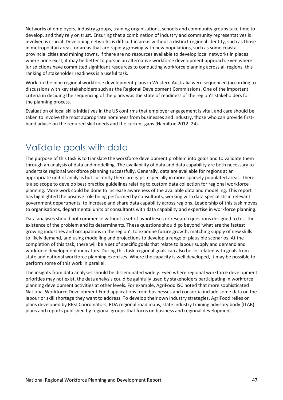Networks of employers, industry groups, training organisations, schools and community groups take time to develop, and they rely on trust. Ensuring that a combination of industry and community representatives is involved is crucial. Developing networks is difficult in areas without a distinct regional identity, such as those in metropolitan areas, or areas that are rapidly growing with new populations, such as some coastal provincial cities and mining towns. If there are no resources available to develop local networks in places where none exist, it may be better to pursue an alternative workforce development approach. Even where jurisdictions have committed significant resources to conducting workforce planning across all regions, this ranking of stakeholder readiness is a useful task.

Work on the nine regional workforce development plans in Western Australia were sequenced (according to discussions with key stakeholders such as the Regional Development Commissions. One of the important criteria in deciding the sequencing of the plans was the state of readiness of the region's stakeholders for the planning process.

Evaluation of local skills initiatives in the US confirms that employer engagement is vital, and care should be taken to involve the most appropriate nominees from businesses and industry, those who can provide firsthand advice on the required skill needs and the current gaps (Hamilton 2012: 24).

# Validate goals with data

The purpose of this task is to translate the workforce development problem into goals and to validate them through an analysis of data and modelling. The availability of data and data capability are both necessary to undertake regional workforce planning successfully. Generally, data are available for regions at an appropriate unit of analysis but currently there are gaps, especially in more sparsely populated areas. There is also scope to develop best practice guidelines relating to custom data collection for regional workforce planning. More work could be done to increase awareness of the available data and modelling. This report has highlighted the positive role being performed by consultants, working with data specialists in relevant government departments, to increase and share data capability across regions. Leadership of this task moves to organisations, departmental units or consultants with data capability and expertise in workforce planning.

Data analyses should not commence without a set of hypotheses or research questions designed to test the existence of the problem and its determinants. These questions should go beyond 'what are the fastest growing industries and occupations in the region', to examine future growth, matching supply of new skills to likely demand, and using modelling and projections to develop a range of plausible scenarios. At the completion of this task, there will be a set of specific goals that relate to labour supply and demand and workforce development indicators. During this task, regional goals can also be correlated with goals from state and national workforce planning exercises. Where the capacity is well developed, it may be possible to perform some of this work in parallel.

The insights from data analyses should be disseminated widely. Even where regional workforce development priorities may not exist, the data analysis could be gainfully used by stakeholders participating in workforce planning development activities at other levels. For example, AgriFood ISC noted that more sophisticated National Workforce Development Fund applications from businesses and consortia include some data on the labour or skill shortage they want to address. To develop their own industry strategies, AgriFood relies on plans developed by RESJ Coordinators, RDA regional road maps, state industry training advisory body (ITAB) plans and reports published by regional groups that focus on business and regional development.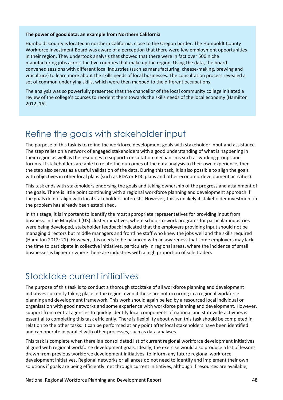### **The power of good data: an example from Northern California**

Humboldt County is located in northern California, close to the Oregon border. The Humboldt County Workforce Investment Board was aware of a perception that there were few employment opportunities in their region. They undertook analysis that showed that there were in fact over 500 niche manufacturing jobs across the five counties that make up the region. Using the data, the board convened sessions with different local industries (such as manufacturing, cheese-making, brewing and viticulture) to learn more about the skills needs of local businesses. The consultation process revealed a set of common underlying skills, which were then mapped to the different occupations.

The analysis was so powerfully presented that the chancellor of the local community college initiated a review of the college's courses to reorient them towards the skills needs of the local economy (Hamilton 2012: 16).

## Refine the goals with stakeholder input

The purpose of this task is to refine the workforce development goals with stakeholder input and assistance. The step relies on a network of engaged stakeholders with a good understanding of what is happening in their region as well as the resources to support consultation mechanisms such as working groups and forums. If stakeholders are able to relate the outcomes of the data analysis to their own experience, then the step also serves as a useful validation of the data. During this task, it is also possible to align the goals with objectives in other local plans (such as RDA or RDC plans and other economic development activities).

This task ends with stakeholders endorsing the goals and taking ownership of the progress and attainment of the goals. There is little point continuing with a regional workforce planning and development approach if the goals do not align with local stakeholders' interests. However, this is unlikely if stakeholder investment in the problem has already been established.

In this stage, it is important to identify the most appropriate representatives for providing input from business. In the Maryland (US) cluster initiatives, where school-to-work programs for particular industries were being developed, stakeholder feedback indicated that the employers providing input should not be managing directors but middle managers and frontline staff who knew the jobs well and the skills required (Hamilton 2012: 21). However, this needs to be balanced with an awareness that some employers may lack the time to participate in collective initiatives, particularly in regional areas, where the incidence of small businesses is higher or where there are industries with a high proportion of sole traders

## Stocktake current initiatives

The purpose of this task is to conduct a thorough stocktake of all workforce planning and development initiatives currently taking place in the region, even if these are not occurring in a regional workforce planning and development framework. This work should again be led by a resourced local individual or organisation with good networks and some experience with workforce planning and development. However, support from central agencies to quickly identify local components of national and statewide activities is essential to completing this task efficiently. There is flexibility about when this task should be completed in relation to the other tasks: it can be performed at any point after local stakeholders have been identified and can operate in parallel with other processes, such as data analyses.

This task is complete when there is a consolidated list of current regional workforce development initiatives aligned with regional workforce development goals. Ideally, the exercise would also produce a list of lessons drawn from previous workforce development initiatives, to inform any future regional workforce development initiatives. Regional networks or alliances do not need to identify and implement their own solutions if goals are being efficiently met through current initiatives, although if resources are available,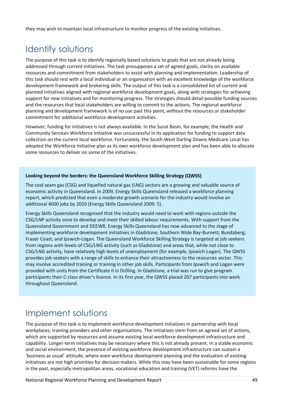they may wish to maintain local infrastructure to monitor progress of the existing initiatives.

# Identify solutions

The purpose of this task is to identify regionally based solutions to goals that are not already being addressed through current initiatives. The task presupposes a set of agreed goals, clarity on available resources and commitment from stakeholders to assist with planning and implementation. Leadership of this task should rest with a local individual or an organisation with an excellent knowledge of the workforce development framework and brokering skills. The output of this task is a consolidated list of current and planned initiatives aligned with regional workforce development goals, along with strategies for achieving support for new initiatives and for monitoring progress. The strategies should detail possible funding sources and the resources that local stakeholders are willing to commit to the actions. The regional workforce planning and development framework is of no use past this point, without the resources or stakeholder commitment for additional workforce development activities.

However, funding for initiatives is not always available. In the Surat Basin, for example, the Health and Community Services Workforce Initiative was unsuccessful in its application for funding to support data collection on the current local workforce. Fortunately, the South-West Darling Downs Medicare Local has adopted the Workforce Initiative plan as its own workforce development plan and has been able to allocate some resources to deliver on some of the initiatives.

### **Looking beyond the borders: the Queensland Workforce Skilling Strategy (QWSS)**

The coal seam gas (CSG) and liquefied natural gas (LNG) sectors are a growing and valuable source of economic activity in Queensland. In 2009, Energy Skills Queensland released a workforce planning report, which predicted that even a moderate growth scenario for the industry would involve an additional 4000 jobs by 2020 (Energy Skills Queensland 2009: 5).

Energy Skills Queensland recognised that the industry would need to work with regions outside the CSG/LNP activity zone to develop and meet their skilled labour requirements. With support from the Queensland Government and DEEWR, Energy Skills Queensland has now advanced to the stage of implementing workforce development initiatives in Gladstone, Southern Wide Bay-Burnett; Bundaberg; Fraser Coast; and Ipswich-Logan. The Queensland Workforce Skilling Strategy is targeted at job seekers from regions with levels of CSG/LNG activity (such as Gladstone) and areas that, while not close to CSG/LNG activity, have relatively high levels of unemployment (for example, Ipswich-Logan). The QWSS provides job seekers with a range of skills to enhance their attractiveness to the resources sector. This may involve accredited training or training in other job skills. Participants from Ipswich and Logan were provided with units from the Certificate II in Drilling. In Gladstone, a trial was run to give program participants their C-class driver's licence. In its first year, the QWSS placed 207 participants into work throughout Queensland.

## Implement solutions

The purpose of this task is to implement workforce development initiatives in partnership with local workplaces, training providers and other organisations. The initiatives stem from an agreed set of actions, which are supported by resources and assume existing local workforce development infrastructure and capability. Longer-term initiatives may be necessary where this is not already present. In a stable economic and social environment, the presence of existing workforce development infrastructure can sustain a 'business as usual' attitude, where even workforce development planning and the evaluation of existing initiatives are not high priorities for decision makers. While this may have been sustainable for some regions in the past, especially metropolitan areas, vocational education and training (VET) reforms have the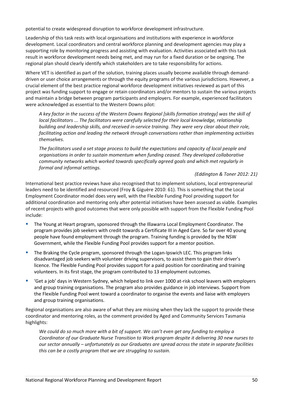potential to create widespread disruption to workforce development infrastructure.

Leadership of this task rests with local organisations and institutions with experience in workforce development. Local coordinators and central workforce planning and development agencies may play a supporting role by monitoring progress and assisting with evaluation. Activities associated with this task result in workforce development needs being met, and may run for a fixed duration or be ongoing. The regional plan should clearly identify which stakeholders are to take responsibility for actions.

Where VET is identified as part of the solution, training places usually become available through demanddriven or user choice arrangements or through the equity programs of the various jurisdictions. However, a crucial element of the best practice regional workforce development initiatives reviewed as part of this project was funding support to engage or retain coordinators and/or mentors to sustain the various projects and maintain a bridge between program participants and employers. For example, experienced facilitators were acknowledged as essential to the Western Downs pilot:

*A key factor in the success of the Western Downs Regional [skills formation strategy] was the skill of local facilitators ... The facilitators were carefully selected for their local knowledge, relationship building and leadership skills, and received in-service training. They were very clear about their role, facilitating action and leading the network through conversations rather than implementing activities themselves.*

*The facilitators used a set stage process to build the expectations and capacity of local people and organisations in order to sustain momentum when funding ceased. They developed collaborative community networks which worked towards specifically agreed goals and which met regularly in formal and informal settings.*

### *(Eddington & Toner 2012: 21)*

International best practice reviews have also recognised that to implement solutions, local entrepreneurial leaders need to be identified and resourced (Froy & Giguère 2010: 61). This is something that the Local Employment Coordinator model does very well, with the Flexible Funding Pool providing support for additional coordination and mentoring only after potential initiatives have been assessed as viable. Examples of recent projects with good outcomes that were only possible with support from the Flexible Funding Pool include:

- The Young at Heart program, sponsored through the Illawarra Local Employment Coordinator. The program provides job seekers with credit towards a Certificate III in Aged Care. So far over 40 young people have found employment through the program. Training funding is provided by the NSW Government, while the Flexible Funding Pool provides support for a mentor position.
- The Braking the Cycle program, sponsored through the Logan-Ipswich LEC. This program links disadvantaged job seekers with volunteer driving supervisors, to assist them to gain their driver's licence. The Flexible Funding Pool provides support for a paid position for coordinating and training volunteers. In its first stage, the program contributed to 13 employment outcomes.
- 'Get a job' days in Western Sydney, which helped to link over 1000 at-risk school leavers with employers and group training organisations. The program also provides guidance in job interviews. Support from the Flexible Funding Pool went toward a coordinator to organise the events and liaise with employers and group training organisations.

Regional organisations are also aware of what they are missing when they lack the support to provide these coordinator and mentoring roles, as the comment provided by Aged and Community Services Tasmania highlights:

*We could do so much more with a bit of support. We can't even get any funding to employ a Coordinator of our Graduate Nurse Transition to Work program despite it delivering 30 new nurses to our sector annually – unfortunately as our Graduates are spread across the state in separate facilities this can be a costly program that we are struggling to sustain.*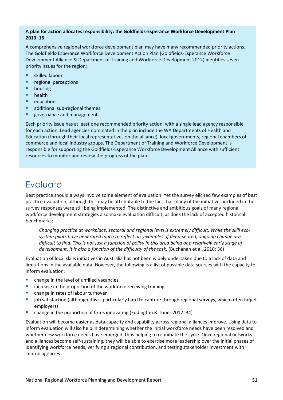### **A plan for action allocates responsibility: the Goldfields-Esperance Workforce Development Plan 2013–16**

A comprehensive regional workforce development plan may have many recommended priority actions. The Goldfields-Esperance Workforce Development Action Plan (Goldfields-Esperance Workforce Development Alliance & Department of Training and Workforce Development 2012) identifies seven priority issues for the region:

- **E** skilled labour
- **•** regional perceptions
- **housing**
- **health**
- $\blacksquare$  education
- **additional sub-regional themes**
- governance and management.

Each priority issue has at least one recommended priority action, with a single lead agency responsible for each action. Lead agencies nominated in the plan include the WA Departments of Health and Education (through their local representatives on the alliance), local governments, regional chambers of commerce and local industry groups. The Department of Training and Workforce Development is responsible for supporting the Goldfields-Esperance Workforce Development Alliance with sufficient resources to monitor and review the progress of the plan.

## Evaluate

Best practice should always involve some element of evaluation. Yet the survey elicited few examples of best practice evaluation, although this may be attributable to the fact that many of the initiatives included in the survey responses were still being implemented. The distinctive and ambitious goals of many regional workforce development strategies also make evaluation difficult, as does the lack of accepted historical benchmarks:

*Changing practice at workplace, sectoral and regional level is extremely difficult. While the skill ecosystem pilots have generated much to reflect on, examples of deep-seated, ongoing change are difficult to find. This is not just a function of policy in this area being at a relatively early stage of development. It is also a function of the difficulty of the task.* (Buchanan et al. 2010: 36)

Evaluation of local skills initiatives in Australia has not been widely undertaken due to a lack of data and limitations in the available data. However, the following is a list of possible data sources with the capacity to inform evaluation:

- change in the level of unfilled vacancies
- **EXEDENT INCREASE IN THE PROPERTION OF SHET CONCRETED FIGURE 1** increase in the proportion of the workforce receiving training
- change in rates of labour turnover
- job satisfaction (although this is particularly hard to capture through regional surveys, which often target employers)
- change in the proportion of firms innovating (Eddington & Toner 2012: 34)

Evaluation will become easier as data capacity and capability across regional alliances improve. Using data to inform evaluation will also help in determining whether the initial workforce needs have been resolved and whether new workforce needs have emerged, thus helping to re-initiate the cycle. Once regional networks and alliances become self-sustaining, they will be able to exercise more leadership over the initial phases of identifying workforce needs, verifying a regional contribution, and testing stakeholder investment with central agencies.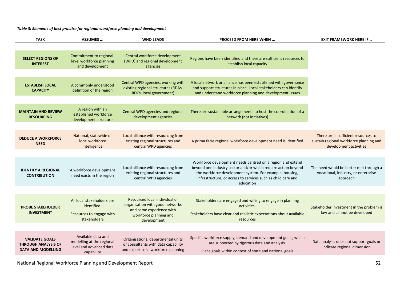*Table 3: Elements of best practice for regional workforce planning and development*

| <b>TASK</b>                                                                      | ASSUMES                                                                                  | <b>WHO LEADS</b>                                                                                                                      | <b>PROCEED FROM HERE WHEN </b>                                                                                                                                                                                                                                      | <b>EXIT FRAMEWORK HERE IF</b>                                                                            |
|----------------------------------------------------------------------------------|------------------------------------------------------------------------------------------|---------------------------------------------------------------------------------------------------------------------------------------|---------------------------------------------------------------------------------------------------------------------------------------------------------------------------------------------------------------------------------------------------------------------|----------------------------------------------------------------------------------------------------------|
| <b>SELECT REGIONS OF</b><br><b>INTEREST</b>                                      | Commitment to regional-<br>level workforce planning                                      | Central workforce development<br>(WPD) and regional development                                                                       | Regions have been identified and there are sufficient resources to<br>establish local capacity                                                                                                                                                                      |                                                                                                          |
|                                                                                  | and development                                                                          | agencies                                                                                                                              |                                                                                                                                                                                                                                                                     |                                                                                                          |
| <b>ESTABLISH LOCAL</b><br><b>CAPACITY</b>                                        | A commonly understood<br>definition of the region                                        | Central WPD agencies, working with<br>existing regional structures (RDAs,<br>RDCs, local government)                                  | A local network or alliance has been established with governance<br>and support structures in place. Local stakeholders can identify<br>and understand workforce planning and development issues                                                                    |                                                                                                          |
| <b>MAINTAIN AND REVIEW</b><br><b>RESOURCING</b>                                  | A region with an<br>established workforce<br>development structure                       | Central WPD agencies and regional<br>development agencies                                                                             | There are sustainable arrangements to host the coordination of a<br>network (not initiatives)                                                                                                                                                                       |                                                                                                          |
|                                                                                  |                                                                                          |                                                                                                                                       |                                                                                                                                                                                                                                                                     |                                                                                                          |
| <b>DEDUCE A WORKFORCE</b><br><b>NEED</b>                                         | National, statewide or<br>local workforce<br>intelligence                                | Local alliance with resourcing from<br>existing regional structures and<br>central WPD agencies                                       | A prima facie regional workforce development need is identified                                                                                                                                                                                                     | There are insufficient resources to<br>sustain regional workforce planning and<br>development activities |
|                                                                                  |                                                                                          |                                                                                                                                       |                                                                                                                                                                                                                                                                     |                                                                                                          |
| <b>IDENTIFY A REGIONAL</b><br><b>CONTRIBUTION</b>                                | A workforce development<br>need exists in the region                                     | Local alliance with resourcing from<br>existing regional structures and<br>central WPD agencies                                       | Workforce development needs centred on a region and extend<br>beyond one industry sector and/or which require action beyond<br>the workforce development system. For example, housing,<br>infrastructure, or access to services such as child care and<br>education | The need would be better met through a<br>vocational, industry, or enterprise<br>approach                |
|                                                                                  |                                                                                          |                                                                                                                                       |                                                                                                                                                                                                                                                                     |                                                                                                          |
| <b>PROBE STAKEHOLDER</b><br><b>INVESTMENT</b>                                    | All local stakeholders are<br>identified.<br>Resources to engage with<br>stakeholders    | Resourced local individual or<br>organisation with good networks<br>and some experience with<br>workforce planning and<br>development | Stakeholders are engaged and willing to engage in planning<br>activities.<br>Stakeholders have clear and realistic expectations about available<br>resources                                                                                                        | Stakeholder investment in the problem is<br>low and cannot be developed                                  |
|                                                                                  |                                                                                          |                                                                                                                                       |                                                                                                                                                                                                                                                                     |                                                                                                          |
| <b>VALIDATE GOALS</b><br><b>THROUGH ANALYSIS OF</b><br><b>DATA AND MODELLING</b> | Available data and<br>modelling at the regional<br>level and advanced data<br>capability | Organisations, departmental units<br>or consultants with data capability<br>and expertise in workforce planning                       | Specific workforce supply, demand and development goals, which<br>are supported by rigorous data and analysis.<br>Place goals within context of state and national goals                                                                                            | Data analysis does not support goals or<br>indicate regional dimension                                   |
|                                                                                  |                                                                                          |                                                                                                                                       |                                                                                                                                                                                                                                                                     |                                                                                                          |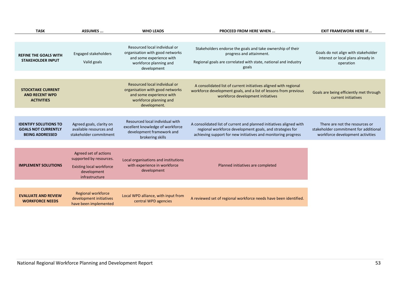| <b>TASK</b>                                                                          | <b>ASSUMES</b>                                                                                                       | <b>WHO LEADS</b>                                                                                                                       | <b>PROCEED FROM HERE WHEN </b>                                                                                                                                                                   | <b>EXIT FRAMEWORK HERE IF</b>                                                                               |
|--------------------------------------------------------------------------------------|----------------------------------------------------------------------------------------------------------------------|----------------------------------------------------------------------------------------------------------------------------------------|--------------------------------------------------------------------------------------------------------------------------------------------------------------------------------------------------|-------------------------------------------------------------------------------------------------------------|
|                                                                                      |                                                                                                                      |                                                                                                                                        |                                                                                                                                                                                                  |                                                                                                             |
| <b>REFINE THE GOALS WITH</b><br><b>STAKEHOLDER INPUT</b>                             | Engaged stakeholders<br>Valid goals                                                                                  | Resourced local individual or<br>organisation with good networks<br>and some experience with<br>workforce planning and<br>development  | Stakeholders endorse the goals and take ownership of their<br>progress and attainment.<br>Regional goals are correlated with state, national and industry<br>goals                               | Goals do not align with stakeholder<br>interest or local plans already in<br>operation                      |
|                                                                                      |                                                                                                                      |                                                                                                                                        |                                                                                                                                                                                                  |                                                                                                             |
| <b>STOCKTAKE CURRENT</b><br><b>AND RECENT WPD</b><br><b>ACTIVITIES</b>               |                                                                                                                      | Resourced local individual or<br>organisation with good networks<br>and some experience with<br>workforce planning and<br>development. | A consolidated list of current initiatives aligned with regional<br>workforce development goals, and a list of lessons from previous<br>workforce development initiatives                        | Goals are being efficiently met through<br>current initiatives                                              |
|                                                                                      |                                                                                                                      |                                                                                                                                        |                                                                                                                                                                                                  |                                                                                                             |
| <b>IDENTIFY SOLUTIONS TO</b><br><b>GOALS NOT CURRENTLY</b><br><b>BEING ADDRESSED</b> | Agreed goals, clarity on<br>available resources and<br>stakeholder commitment                                        | Resourced local individual with<br>excellent knowledge of workforce<br>development framework and<br>brokering skills                   | A consolidated list of current and planned initiatives aligned with<br>regional workforce development goals, and strategies for<br>achieving support for new initiatives and monitoring progress | There are not the resources or<br>stakeholder commitment for additional<br>workforce development activities |
|                                                                                      |                                                                                                                      |                                                                                                                                        |                                                                                                                                                                                                  |                                                                                                             |
| <b>IMPLEMENT SOLUTIONS</b>                                                           | Agreed set of actions<br>supported by resources.<br><b>Existing local workforce</b><br>development<br>infrastructure | Local organisations and institutions<br>with experience in workforce<br>development                                                    | Planned initiatives are completed                                                                                                                                                                |                                                                                                             |
|                                                                                      |                                                                                                                      |                                                                                                                                        |                                                                                                                                                                                                  |                                                                                                             |
| <b>EVALUATE AND REVIEW</b><br><b>WORKFORCE NEEDS</b>                                 | Regional workforce<br>development initiatives<br>have been implemented                                               | Local WPD alliance, with input from<br>central WPD agencies                                                                            | A reviewed set of regional workforce needs have been identified.                                                                                                                                 |                                                                                                             |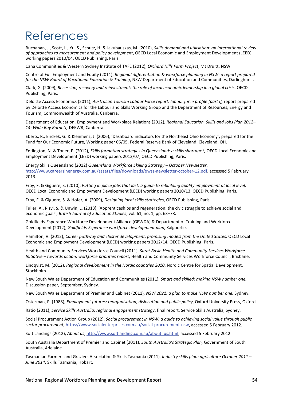# References

Buchanan, J., Scott, L., Yu, S., Schutz, H. & Jakubauskas, M. (2010), *Skills demand and utilisation: an international review of approaches to measurement and policy development*, OECD Local Economic and Employment Development (LEED) working papers 2010/04, OECD Publishing, Paris.

Cana Communities & Western Sydney Institute of TAFE (2012), *Orchard Hills Farm Project*, Mt Druitt, NSW.

Centre of Full Employment and Equity (2011), *Regional differentiation & workforce planning in NSW: a report prepared for the NSW Board of Vocational Education & Training*, NSW Department of Education and Communities, Darlinghurst.

Clark, G. (2009), *Recession, recovery and reinvestment: the role of local economic leadership in a global crisis*, OECD Publishing, Paris.

Deloitte Access Economics (2011), *Australian Tourism Labour Force report: labour force profile [part i]*, report prepared by Deloitte Access Economics for the Labour and Skills Working Group and the Department of Resources, Energy and Tourism, Commonwealth of Australia, Canberra.

Department of Education, Employment and Workplace Relations (2012), *Regional Education, Skills and Jobs Plan 2012– 14: Wide Bay Burnett,* DEEWR, Canberra.

Eberts, R., Erickek, G. & Kleinhenz, J. (2006), 'Dashboard indicators for the Northeast Ohio Economy', prepared for the Fund for Our Economic Future, Working paper 06/05, Federal Reserve Bank of Cleveland, Cleveland, OH.

Eddington, N. & Toner, P. (2012), *Skills formation strategies in Queensland: a skills shortage?,* OECD Local Economic and Employment Development (LEED) working papers 2012/07, OECD Publishing, Paris.

Energy Skills Queensland (2012) *Queensland Workforce Skilling Strategy – October Newsletter*, [http://www.careersinenergy.com.au/assets/files/downloads/qwss-newsletter-october-12.pdf,](http://www.careersinenergy.com.au/assets/files/downloads/qwss-newsletter-october-12.pdf) accessed 5 February 2013.

Froy, F. & Giguère, S. (2010), *Putting in place jobs that last: a guide to rebuilding quality employment at local level,* OECD Local Economic and Employment Development (LEED) working papers 2010/13, OECD Publishing, Paris.

Froy, F. & Giguère, S. & Hofer, A. (2009), *Designing local skills strategies*, OECD Publishing, Paris.

Fuller, A., Rizvi, S. & Unwin, L. (2013), 'Apprenticeships and regeneration: the civic struggle to achieve social and economic goals', *British Journal of Education Studies*, vol. 61, no. 1, pp. 63–78.

Goldfields-Esperance Workforce Development Alliance (GEWDA) & Department of Training and Workforce Development (2012), *Goldfields-Esperance workforce development plan*, Kalgoorlie.

Hamilton, V. (2012), *Career pathway and cluster development: promising models from the United States,* OECD Local Economic and Employment Development (LEED) working papers 2012/14, OECD Publishing, Paris.

Health and Community Services Workforce Council (2011), *Surat Basin Health and Community Services Workforce Initiative – towards action: workforce priorities report*, Health and Community Services Workforce Council, Brisbane.

Lindqvist, M. (2012), *Regional development in the Nordic countries 2010*, Nordic Centre for Spatial Development, Stockholm.

New South Wales Department of Education and Communities (2011), *Smart and skilled: making NSW number one,*  Discussion paper, September, Sydney.

New South Wales Department of Premier and Cabinet (2011)*, NSW 2021: a plan to make NSW number one,* Sydney.

Osterman, P. (1988), *Employment futures: reorganisation, dislocation and public policy*, Oxford University Press, Oxford.

Ratio (2011), *Service Skills Australia: regional engagement strategy*, final report, Service Skills Australia, Sydney.

Social Procurement Action Group (2012), *Social procurement in NSW: a guide to achieving social value through public sector procurement*, [https://www.socialenterprises.com.au/social-procurement-nsw,](https://www.socialenterprises.com.au/social-procurement-nsw) accessed 5 February 2012.

Soft Landings (2012), *About us*, [http://www.softlanding.com.au/about\\_us.html,](http://www.softlanding.com.au/about_us.html) accessed 5 February 2012.

South Australia Department of Premier and Cabinet (2011), *South Australia's Strategic Plan,* Government of South Australia, Adelaide.

Tasmanian Farmers and Graziers Association & Skills Tasmania (2011), *Industry skills plan: agriculture October 2011 – June 2014*, Skills Tasmania, Hobart.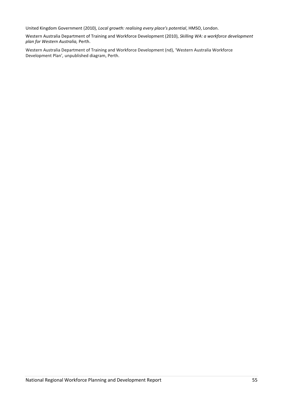United Kingdom Government (2010), *Local growth: realising every place's potential*, HMSO, London.

Western Australia Department of Training and Workforce Development (2010), *Skilling WA: a workforce development plan for Western Australia,* Perth.

Western Australia Department of Training and Workforce Development (nd), 'Western Australia Workforce Development Plan'*,* unpublished diagram, Perth.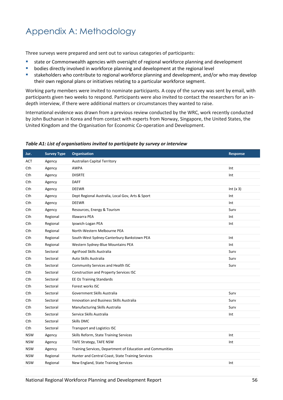# Appendix A: Methodology

Three surveys were prepared and sent out to various categories of participants:

- **state or Commonwealth agencies with oversight of regional workforce planning and development**
- **•** bodies directly involved in workforce planning and development at the regional level
- stakeholders who contribute to regional workforce planning and development, and/or who may develop their own regional plans or initiatives relating to a particular workforce segment.

Working party members were invited to nominate participants. A copy of the survey was sent by email, with participants given two weeks to respond. Participants were also invited to contact the researchers for an indepth interview, if there were additional matters or circumstances they wanted to raise.

International evidence was drawn from a previous review conducted by the WRC, work recently conducted by John Buchanan in Korea and from contact with experts from Norway, Singapore, the United States, the United Kingdom and the Organisation for Economic Co-operation and Development.

| Jur.       | <b>Survey Type</b> | <b>Organisation</b>                                        | <b>Response</b> |
|------------|--------------------|------------------------------------------------------------|-----------------|
| ACT        | Agency             | <b>Australian Capital Territory</b>                        |                 |
| Cth        | Agency             | AWPA                                                       | Int             |
| Cth        | Agency             | <b>DIISRTE</b>                                             | Int             |
| Cth        | Agency             | <b>DAFF</b>                                                |                 |
| Cth        | Agency             | <b>DEEWR</b>                                               | Int $(x 3)$     |
| Cth        | Agency             | Dept Regional Australia, Local Gov, Arts & Sport           | Int             |
| Cth        | Agency             | <b>DEEWR</b>                                               | Int             |
| Cth        | Agency             | Resources, Energy & Tourism                                | Surv            |
| Cth        | Regional           | Illawarra PEA                                              | Int             |
| Cth        | Regional           | Ipswich-Logan PEA                                          | Int             |
| Cth        | Regional           | North-Western Melbourne PEA                                |                 |
| Cth        | Regional           | South-West Sydney-Canterbury Bankstown PEA                 | Int             |
| Cth        | Regional           | Western Sydney-Blue Mountains PEA                          | Int             |
| Cth        | Sectoral           | AgriFood Skills Australia                                  | Surv            |
| Cth        | Sectoral           | Auto Skills Australia                                      | Surv            |
| Cth        | Sectoral           | Community Services and Health ISC                          | Surv            |
| Cth        | Sectoral           | Construction and Property Services ISC                     |                 |
| Cth        | Sectoral           | EE Oz Training Standards                                   |                 |
| Cth        | Sectoral           | Forest works ISC                                           |                 |
| Cth        | Sectoral           | Government Skills Australia                                | Surv            |
| Cth        | Sectoral           | Innovation and Business Skills Australia                   | Surv            |
| Cth        | Sectoral           | Manufacturing Skills Australia                             | Surv            |
| Cth        | Sectoral           | Service Skills Australia                                   | Int             |
| Cth        | Sectoral           | <b>Skills DMC</b>                                          |                 |
| Cth        | Sectoral           | <b>Transport and Logistics ISC</b>                         |                 |
| <b>NSW</b> | Agency             | Skills Reform, State Training Services                     | Int             |
| <b>NSW</b> | Agency             | TAFE Strategy, TAFE NSW                                    | Int             |
| <b>NSW</b> | Agency             | Training Services, Department of Education and Communities |                 |
| <b>NSW</b> | Regional           | Hunter and Central Coast, State Training Services          |                 |
| <b>NSW</b> | Regional           | New England, State Training Services                       | Int             |

#### *Table A1: List of organisations invited to participate by survey or interview*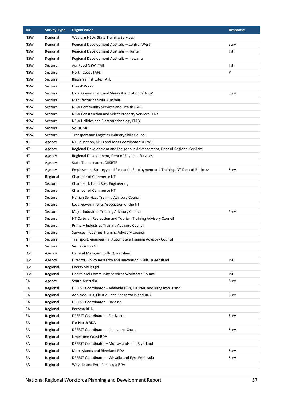| Jur.       | <b>Survey Type</b> | <b>Organisation</b>                                                            | <b>Response</b> |
|------------|--------------------|--------------------------------------------------------------------------------|-----------------|
| <b>NSW</b> | Regional           | Western NSW, State Training Services                                           |                 |
| <b>NSW</b> | Regional           | Regional Development Australia - Central West                                  | Surv            |
| <b>NSW</b> | Regional           | Regional Development Australia - Hunter                                        | Int             |
| <b>NSW</b> | Regional           | Regional Development Australia - Illawarra                                     |                 |
| <b>NSW</b> | Sectoral           | AgriFood NSW ITAB                                                              | Int             |
| <b>NSW</b> | Sectoral           | North Coast TAFE                                                               | P               |
| <b>NSW</b> | Sectoral           | Illawarra Institute, TAFE                                                      |                 |
| <b>NSW</b> | Sectoral           | ForestWorks                                                                    |                 |
| <b>NSW</b> | Sectoral           | Local Government and Shires Association of NSW                                 | Surv            |
| <b>NSW</b> | Sectoral           | Manufacturing Skills Australia                                                 |                 |
| <b>NSW</b> | Sectoral           | NSW Community Services and Health ITAB                                         |                 |
| <b>NSW</b> | Sectoral           | NSW Construction and Select Property Services ITAB                             |                 |
| <b>NSW</b> | Sectoral           | NSW Utilities and Electrotechnology ITAB                                       |                 |
| <b>NSW</b> | Sectoral           | SkillsDMC                                                                      |                 |
| <b>NSW</b> | Sectoral           | Transport and Logistics Industry Skills Council                                |                 |
| ΝT         | Agency             | NT Education, Skills and Jobs Coordinator DEEWR                                |                 |
| ΝT         | Agency             | Regional Development and Indigenous Advancement, Dept of Regional Services     |                 |
| ΝT         | Agency             | Regional Development, Dept of Regional Services                                |                 |
| ΝT         | Agency             | State Team Leader, DIISRTE                                                     |                 |
| ΝT         | Agency             | Employment Strategy and Research, Employment and Training, NT Dept of Business | Surv            |
| ΝT         | Regional           | Chamber of Commerce NT                                                         |                 |
| ΝT         | Sectoral           | Chamber NT and Ross Engineering                                                |                 |
| ΝT         | Sectoral           | Chamber of Commerce NT                                                         |                 |
| ΝT         | Sectoral           | Human Services Training Advisory Council                                       |                 |
| ΝT         | Sectoral           | Local Governments Association of the NT                                        |                 |
| ΝT         | Sectoral           | Major Industries Training Advisory Council                                     | Surv            |
| ΝT         | Sectoral           | NT Cultural, Recreation and Tourism Training Advisory Council                  |                 |
| ΝT         | Sectoral           | Primary Industries Training Advisory Council                                   |                 |
| ΝT         | Sectoral           | Services Industries Training Advisory Council                                  |                 |
| <b>NT</b>  | Sectoral           | Transport, engineering, Automotive Training Advisory Council                   |                 |
| ΝT         | Sectoral           | Verve Group NT                                                                 |                 |
| Qld        | Agency             | General Manager, Skills Queensland                                             |                 |
| Qld        | Agency             | Director, Policy Research and Innovation, Skills Queensland                    | Int             |
| Qld        | Regional           | Energy Skills Qld                                                              |                 |
| Qld        | Regional           | Health and Community Services Workforce Council                                | Int             |
| SA         | Agency             | South Australia                                                                | Surv            |
| SA         | Regional           | DFEEST Coordinator - Adelaide Hills, Fleurieu and Kangaroo Island              |                 |
| SA         | Regional           | Adelaide Hills, Fleurieu and Kangaroo Island RDA                               | Surv            |
| SA         | Regional           | DFEEST Coordinator - Barossa                                                   |                 |
| SА         | Regional           | Barossa RDA                                                                    |                 |
| SА         | Regional           | DFEEST Coordinator - Far North                                                 | Surv            |
| SА         | Regional           | Far North RDA                                                                  |                 |
| SА         | Regional           | DFEEST Coordinator - Limestone Coast                                           | Surv            |
| SА         | Regional           | Limestone Coast RDA                                                            |                 |
| SА         | Regional           | DFEEST Coordinator - Murraylands and Riverland                                 |                 |
| SА         | Regional           | Murraylands and Riverland RDA                                                  | Surv            |
| SА         | Regional           | DFEEST Coordinator - Whyalla and Eyre Peninsula                                | Surv            |
| SA         | Regional           | Whyalla and Eyre Peninsula RDA                                                 |                 |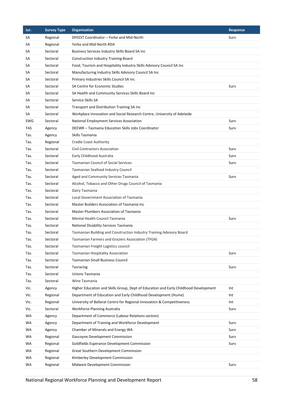| Jur. | <b>Survey Type</b> | <b>Organisation</b>                                                                  | <b>Response</b> |
|------|--------------------|--------------------------------------------------------------------------------------|-----------------|
| SA   | Regional           | DFEEST Coordinator - Yorke and Mid-North                                             | Surv            |
| SА   | Regional           | Yorke and Mid-North RDA                                                              |                 |
| SА   | Sectoral           | Business Services Industry Skills Board SA Inc                                       |                 |
| SА   | Sectoral           | <b>Construction Industry Training Board</b>                                          |                 |
| SА   | Sectoral           | Food, Tourism and Hospitality Industry Skills Advisory Council SA Inc                |                 |
| SА   | Sectoral           | Manufacturing Industry Skills Advisory Council SA Inc                                |                 |
| SА   | Sectoral           | Primary Industries Skills Council SA Inc                                             |                 |
| SА   | Sectoral           | SA Centre for Economic Studies                                                       | Surv            |
| SА   | Sectoral           | SA Health and Community Services Skills Board Inc                                    |                 |
| SА   | Sectoral           | Service Skills SA                                                                    |                 |
| SА   | Sectoral           | Transport and Distribution Training SA Inc                                           |                 |
| SА   | Sectoral           | Workplace Innovation and Social Research Centre, University of Adelaide              |                 |
| SWG  | Sectoral           | <b>National Employment Services Association</b>                                      | Surv            |
| TAS  | Agency             | DEEWR - Tasmania Education Skills Jobs Coordinator                                   | Surv            |
| Tas. | Agency             | Skills Tasmania                                                                      |                 |
| Tas. | Regional           | Cradle Coast Authority                                                               |                 |
| Tas. | Sectoral           | <b>Civil Contractors Association</b>                                                 | Surv            |
| Tas. | Sectoral           | Early Childhood Australia                                                            | Surv            |
| Tas. | Sectoral           | <b>Tasmanian Council of Social Services</b>                                          | Surv            |
| Tas. | Sectoral           | Tasmanian Seafood Industry Council                                                   |                 |
| Tas. | Sectoral           | Aged and Community Services Tasmania                                                 | Surv            |
| Tas. | Sectoral           | Alcohol, Tobacco and Other Drugs Council of Tasmania                                 |                 |
| Tas. | Sectoral           | Dairy Tasmania                                                                       |                 |
| Tas. | Sectoral           | Local Government Association of Tasmania                                             |                 |
| Tas. | Sectoral           | Master Builders Association of Tasmania Inc                                          |                 |
| Tas. | Sectoral           | Master Plumbers Association of Tasmania                                              |                 |
| Tas. | Sectoral           | Mental Health Council Tasmania                                                       | Surv            |
| Tas. | Sectoral           | National Disability Services Tasmania                                                |                 |
| Tas. | Sectoral           | Tasmanian Building and Construction Industry Training Advisory Board                 |                 |
| Tas. | Sectoral           | Tasmanian Farmers and Graziers Association (TFGA)                                    |                 |
| Tas. | Sectoral           | Tasmanian Freight Logistics council                                                  |                 |
| Tas. | Sectoral           | Tasmanian Hospitality Association                                                    | Surv            |
| Tas. | Sectoral           | <b>Tasmanian Small Business Council</b>                                              |                 |
| Tas. | Sectoral           | Tasracing                                                                            | Surv            |
| Tas. | Sectoral           | <b>Unions Tasmania</b>                                                               |                 |
| Tas. | Sectoral           | Wine Tasmania                                                                        |                 |
| Vic. | Agency             | Higher Education and Skills Group, Dept of Education and Early Childhood Development | Int             |
| Vic. | Regional           | Department of Education and Early Childhood Development (Hume)                       | Int             |
| Vic. | Regional           | University of Ballarat Centre for Regional Innovation & Competitiveness              | Int             |
| Vic. | Sectoral           | Workforce Planning Australia                                                         | Surv            |
| WA   | Agency             | Department of Commerce (Labour Relations section)                                    |                 |
| WA   | Agency             | Department of Training and Workforce Development                                     | Surv            |
| WA   | Agency             | Chamber of Minerals and Energy WA                                                    | Surv            |
| WA   | Regional           | Gascoyne Development Commission                                                      | Surv            |
| WA   | Regional           | Goldfields Esperance Development Commission                                          | Surv            |
| WA   | Regional           | Great Southern Development Commission                                                |                 |
| WA   | Regional           | Kimberley Development Commission                                                     |                 |
| WA   | Regional           | Midwest Development Commission                                                       | Surv            |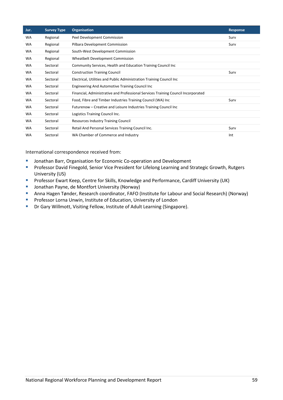| Jur.      | <b>Survey Type</b> | <b>Organisation</b>                                                               | <b>Response</b> |
|-----------|--------------------|-----------------------------------------------------------------------------------|-----------------|
| <b>WA</b> | Regional           | Peel Development Commission                                                       | Surv            |
| <b>WA</b> | Regional           | Pilbara Development Commission                                                    | Surv            |
| WA        | Regional           | South-West Development Commission                                                 |                 |
| <b>WA</b> | Regional           | Wheatbelt Development Commission                                                  |                 |
| <b>WA</b> | Sectoral           | Community Services, Health and Education Training Council Inc                     |                 |
| WA        | Sectoral           | <b>Construction Training Council</b>                                              | Surv            |
| <b>WA</b> | Sectoral           | Electrical, Utilities and Public Administration Training Council Inc              |                 |
| <b>WA</b> | Sectoral           | <b>Engineering And Automotive Training Council Inc.</b>                           |                 |
| WA        | Sectoral           | Financial, Administrative and Professional Services Training Council Incorporated |                 |
| <b>WA</b> | Sectoral           | Food, Fibre and Timber Industries Training Council (WA) Inc                       | Surv            |
| WA        | Sectoral           | Futurenow - Creative and Leisure Industries Training Council Inc                  |                 |
| WA        | Sectoral           | Logistics Training Council Inc.                                                   |                 |
| <b>WA</b> | Sectoral           | Resources Industry Training Council                                               |                 |
| <b>WA</b> | Sectoral           | Retail And Personal Services Training Council Inc.                                | Surv            |
| <b>WA</b> | Sectoral           | WA Chamber of Commerce and Industry                                               | Int             |

International correspondence received from:

- **Jonathan Barr, Organisation for Economic Co-operation and Development**
- **Professor David Finegold, Senior Vice President for Lifelong Learning and Strategic Growth, Rutgers** University (US)
- **Professor Ewart Keep, Centre for Skills, Knowledge and Performance, Cardiff University (UK)**
- **B** Jonathan Payne, de Montfort University (Norway)
- Anna Hagen Tønder, Research coordinator, FAFO (Institute for Labour and Social Research) (Norway)
- **Professor Lorna Unwin, Institute of Education, University of London**
- **•** Dr Gary Willmott, Visiting Fellow, Institute of Adult Learning (Singapore).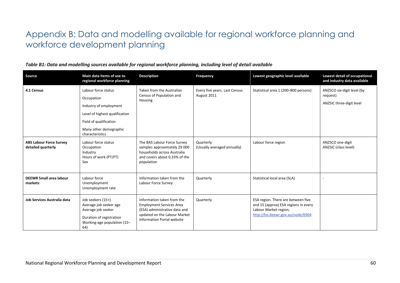# Appendix B: Data and modelling available for regional workforce planning and workforce development planning

| Source                                               | Main data items of use to<br>regional workforce planning                                                                                                             | <b>Description</b>                                                                                                                                                  | Frequency                                    | Lowest geographic level available                                                                                                        | <b>Lowest detail of occupational</b><br>and industry data available |
|------------------------------------------------------|----------------------------------------------------------------------------------------------------------------------------------------------------------------------|---------------------------------------------------------------------------------------------------------------------------------------------------------------------|----------------------------------------------|------------------------------------------------------------------------------------------------------------------------------------------|---------------------------------------------------------------------|
| 4.1 Census                                           | Labour force status<br>Occupation<br>Industry of employment<br>Level of highest qualification<br>Field of qualification<br>Many other demographic<br>characteristics | Taken from the Australian<br>Census of Population and<br>Housing                                                                                                    | Every five years. Last Census<br>August 2011 | Statistical area 1 (200-800 persons)                                                                                                     | ANZSCO six-digit level (by<br>request)<br>ANZSIC three-digit level  |
| <b>ABS Labour Force Survey</b><br>detailed quarterly | Labour force status<br>Occupation<br>Industry<br>Hours of work (PT/FT)<br>Sex                                                                                        | The BAS Labour Force Survey<br>samples approximately 29 000<br>households across Australia<br>and covers about 0.33% of the<br>population                           | Quarterly<br>(Usually averaged annually)     | Labour force region                                                                                                                      | ANZSCO one-digit<br>ANZSIC (class level)                            |
| <b>DEEWR Small area labour</b><br>markets            | Labour force<br>Unemployment<br>Unemployment rate                                                                                                                    | Information taken from the<br>Labour Force Survey                                                                                                                   | Quarterly                                    | Statistical local area (SLA)                                                                                                             |                                                                     |
| Job Services Australia data                          | Job seekers (15+)<br>Average job seeker age<br>Average job seeker<br>Duration of registration<br>Working-age population (15-<br>64)                                  | Information taken from the<br><b>Employment Services Area</b><br>(ESA) administrative data and<br>updated on the Labour Market<br><b>Information Portal website</b> | Quarterly                                    | ESA region. There are between five<br>and 15 (approx) ESA regions in every<br>Labour Market region,<br>http://foi.deewr.gov.au/node/6904 |                                                                     |

### *Table B1: Data and modelling sources available for regional workforce planning, including level of detail available*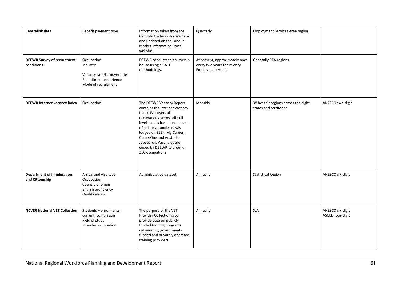| Centrelink data                                     | Benefit payment type                                                                                  | Information taken from the<br>Centrelink administrative data<br>and updated on the Labour<br>Market Information Portal<br>website                                                                                                                                                                                       | Quarterly                                                                                 | <b>Employment Services Area region</b>                         |                                      |
|-----------------------------------------------------|-------------------------------------------------------------------------------------------------------|-------------------------------------------------------------------------------------------------------------------------------------------------------------------------------------------------------------------------------------------------------------------------------------------------------------------------|-------------------------------------------------------------------------------------------|----------------------------------------------------------------|--------------------------------------|
| <b>DEEWR Survey of recruitment</b><br>conditions    | Occupation<br>Industry<br>Vacancy rate/turnover rate<br>Recruitment experience<br>Mode of recruitment | DEEWR conducts this survey in<br>house using a CATI<br>methodology.                                                                                                                                                                                                                                                     | At present, approximately once<br>every two years for Priority<br><b>Employment Areas</b> | Generally PEA regions                                          |                                      |
| <b>DEEWR Internet vacancy index</b>                 | Occupation                                                                                            | The DEEWR Vacancy Report<br>contains the Internet Vacancy<br>Index. IVI covers all<br>occupations, across all skill<br>levels and is based on a count<br>of online vacancies newly<br>lodged on SEEK, My Career,<br>CareerOne and Australian<br>JobSearch. Vacancies are<br>coded by DEEWR to around<br>350 occupations | Monthly                                                                                   | 38 best-fit regions across the eight<br>states and territories | ANZSCO two-digit                     |
| <b>Department of Immigration</b><br>and Citizenship | Arrival and visa type<br>Occupation<br>Country of origin<br>English proficiency<br>Qualifications     | Administrative dataset                                                                                                                                                                                                                                                                                                  | Annually                                                                                  | <b>Statistical Region</b>                                      | ANZSCO six-digit                     |
| <b>NCVER National VET Collection</b>                | Students - enrolments,<br>current, completion<br>Field of study<br>Intended occupation                | The purpose of the VET<br>Provider Collection is to<br>provide data on publicly<br>funded training programs<br>delivered by government-<br>funded and privately operated<br>training providers                                                                                                                          | Annually                                                                                  | <b>SLA</b>                                                     | ANZSCO six-digit<br>ASCED four-digit |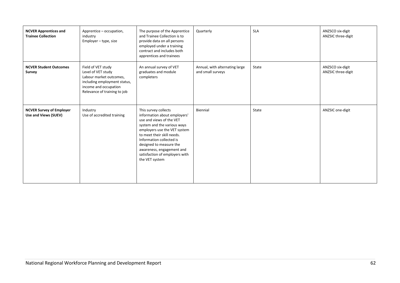| <b>NCVER Apprentices and</b><br><b>Trainee Collection</b> | Apprentice - occupation,<br>industry<br>Employer - type, size                                                                                                | The purpose of the Apprentice<br>and Trainee Collection is to<br>provide data on all persons<br>employed under a training<br>contract and includes both<br>apprentices and trainees                                                                                                                                   | Quarterly                                           | <b>SLA</b> | ANZSCO six-digit<br>ANZSIC three-digit |
|-----------------------------------------------------------|--------------------------------------------------------------------------------------------------------------------------------------------------------------|-----------------------------------------------------------------------------------------------------------------------------------------------------------------------------------------------------------------------------------------------------------------------------------------------------------------------|-----------------------------------------------------|------------|----------------------------------------|
| <b>NCVER Student Outcomes</b><br>Survey                   | Field of VET study<br>Level of VET study<br>Labour market outcomes,<br>including employment status,<br>income and occupation<br>Relevance of training to job | An annual survey of VET<br>graduates and module<br>completers                                                                                                                                                                                                                                                         | Annual, with alternating large<br>and small surveys | State      | ANZSCO six-digit<br>ANZSIC three-digit |
| <b>NCVER Survey of Employer</b><br>Use and Views (SUEV)   | Industry<br>Use of accredited training                                                                                                                       | This survey collects<br>information about employers'<br>use and views of the VET<br>system and the various ways<br>employers use the VET system<br>to meet their skill needs.<br>Information collected is<br>designed to measure the<br>awareness, engagement and<br>satisfaction of employers with<br>the VET system | Biennial                                            | State      | ANZSIC one-digit                       |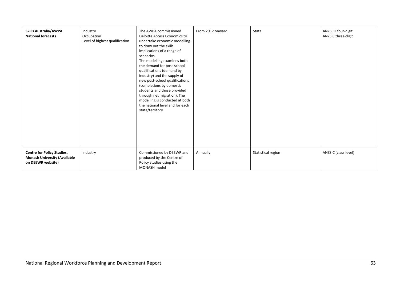| <b>Skills Australia/AWPA</b><br><b>National forecasts</b>                                     | Industry<br>Occupation<br>Level of highest qualification | The AWPA commissioned<br>Deloitte Access Economics to<br>undertake economic modelling<br>to draw out the skills<br>implications of a range of<br>scenarios.<br>The modelling examines both<br>the demand for post-school<br>qualifications (demand by<br>industry) and the supply of<br>new post-school qualifications<br>(completions by domestic<br>students and those provided<br>through net migration). The<br>modelling is conducted at both<br>the national level and for each<br>state/territory | From 2012 onward | State              | ANZSCO four-digit<br>ANZSIC three-digit |
|-----------------------------------------------------------------------------------------------|----------------------------------------------------------|----------------------------------------------------------------------------------------------------------------------------------------------------------------------------------------------------------------------------------------------------------------------------------------------------------------------------------------------------------------------------------------------------------------------------------------------------------------------------------------------------------|------------------|--------------------|-----------------------------------------|
| <b>Centre for Policy Studies,</b><br><b>Monash University (Available</b><br>on DEEWR website) | Industry                                                 | Commissioned by DEEWR and<br>produced by the Centre of<br>Policy studies using the<br>MONASH model                                                                                                                                                                                                                                                                                                                                                                                                       | Annually         | Statistical region | ANZSIC (class level)                    |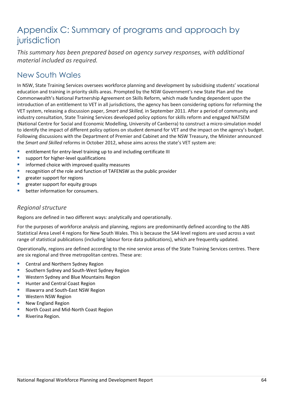# Appendix C: Summary of programs and approach by jurisdiction

*This summary has been prepared based on agency survey responses, with additional material included as required.*

## New South Wales

In NSW, State Training Services oversees workforce planning and development by subsidising students' vocational education and training in priority skills areas. Prompted by the NSW Government's new State Plan and the Commonwealth's National Partnership Agreement on Skills Reform, which made funding dependent upon the introduction of an entitlement to VET in all jurisdictions, the agency has been considering options for reforming the VET system, releasing a discussion paper, *Smart and Skilled,* in September 2011. After a period of community and industry consultation, State Training Services developed policy options for skills reform and engaged NATSEM (National Centre for Social and Economic Modelling, University of Canberra) to construct a micro-simulation model to identify the impact of different policy options on student demand for VET and the impact on the agency's budget. Following discussions with the Department of Premier and Cabinet and the NSW Treasury, the Minister announced the *Smart and Skilled* reforms in October 2012, whose aims across the state's VET system are:

- entitlement for entry-level training up to and including certificate III
- **support for higher-level qualifications**
- informed choice with improved quality measures
- recognition of the role and function of TAFENSW as the public provider
- greater support for regions
- greater support for equity groups
- better information for consumers.

### *Regional structure*

Regions are defined in two different ways: analytically and operationally.

For the purposes of workforce analysis and planning, regions are predominantly defined according to the ABS Statistical Area Level 4 regions for New South Wales. This is because the SA4 level regions are used across a vast range of statistical publications (including labour force data publications), which are frequently updated.

Operationally, regions are defined according to the nine service areas of the State Training Services centres. There are six regional and three metropolitan centres. These are:

- **E** Central and Northern Sydney Region
- **Southern Sydney and South-West Sydney Region**
- Western Sydney and Blue Mountains Region
- Hunter and Central Coast Region
- Illawarra and South-East NSW Region
- Western NSW Region
- New England Region
- North Coast and Mid-North Coast Region
- Riverina Region.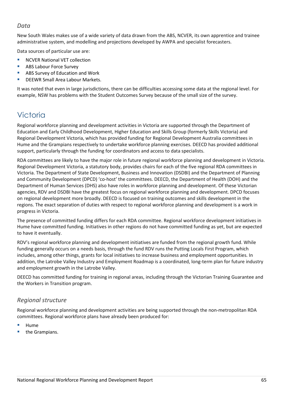### *Data*

New South Wales makes use of a wide variety of data drawn from the ABS, NCVER, its own apprentice and trainee administrative system, and modelling and projections developed by AWPA and specialist forecasters.

Data sources of particular use are:

- NCVER National VET collection
- ABS Labour Force Survey
- **ABS Survey of Education and Work**
- DEEWR Small Area Labour Markets.

It was noted that even in large jurisdictions, there can be difficulties accessing some data at the regional level. For example, NSW has problems with the Student Outcomes Survey because of the small size of the survey.

## **Victoria**

Regional workforce planning and development activities in Victoria are supported through the Department of Education and Early Childhood Development, Higher Education and Skills Group (formerly Skills Victoria) and Regional Development Victoria, which has provided funding for Regional Development Australia committees in Hume and the Grampians respectively to undertake workforce planning exercises. DEECD has provided additional support, particularly through the funding for coordinators and access to data specialists.

RDA committees are likely to have the major role in future regional workforce planning and development in Victoria. Regional Development Victoria, a statutory body, provides chairs for each of the five regional RDA committees in Victoria. The Department of State Development, Business and Innovation (DSDBI) and the Department of Planning and Community Development (DPCD) 'co-host' the committees. DEECD, the Department of Health (DOH) and the Department of Human Services (DHS) also have roles in workforce planning and development. Of these Victorian agencies, RDV and DSDBI have the greatest focus on regional workforce planning and development. DPCD focuses on regional development more broadly. DEECD is focused on training outcomes and skills development in the regions. The exact separation of duties with respect to regional workforce planning and development is a work in progress in Victoria.

The presence of committed funding differs for each RDA committee. Regional workforce development initiatives in Hume have committed funding. Initiatives in other regions do not have committed funding as yet, but are expected to have it eventually.

RDV's regional workforce planning and development initiatives are funded from the regional growth fund. While funding generally occurs on a needs basis, through the fund RDV runs the Putting Locals First Program, which includes, among other things, grants for local initiatives to increase business and employment opportunities. In addition, the Latrobe Valley Industry and Employment Roadmap is a coordinated, long-term plan for future industry and employment growth in the Latrobe Valley.

DEECD has committed funding for training in regional areas, including through the Victorian Training Guarantee and the Workers in Transition program.

### *Regional structure*

Regional workforce planning and development activities are being supported through the non-metropolitan RDA committees. Regional workforce plans have already been produced for:

- Hume
- the Grampians.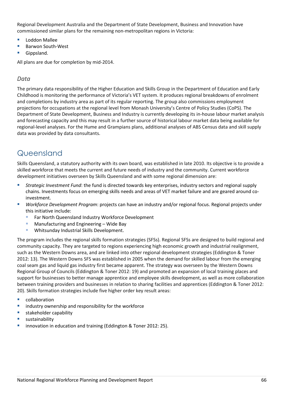Regional Development Australia and the Department of State Development, Business and Innovation have commissioned similar plans for the remaining non-metropolitan regions in Victoria:

- Loddon Mallee
- Barwon South-West
- Gippsland.

All plans are due for completion by mid-2014.

### *Data*

The primary data responsibility of the Higher Education and Skills Group in the Department of Education and Early Childhood is monitoring the performance of Victoria's VET system. It produces regional breakdowns of enrolment and completions by industry area as part of its regular reporting. The group also commissions employment projections for occupations at the regional level from Monash University's Centre of Policy Studies (CoPS). The Department of State Development, Business and Industry is currently developing its in-house labour market analysis and forecasting capacity and this may result in a further source of historical labour market data being available for regional-level analyses. For the Hume and Grampians plans, additional analyses of ABS Census data and skill supply data was provided by data consultants.

### Queensland

Skills Queensland, a statutory authority with its own board, was established in late 2010. Its objective is to provide a skilled workforce that meets the current and future needs of industry and the community. Current workforce development initiatives overseen by Skills Queensland and with some regional dimension are:

- *Strategic Investment Fund*: the fund is directed towards key enterprises, industry sectors and regional supply chains. Investments focus on emerging skills needs and areas of VET market failure and are geared around coinvestment.
- *Workforce Development Program*: projects can have an industry and/or regional focus. Regional projects under this initiative include:
	- Far North Queensland Industry Workforce Development
	- **Manufacturing and Engineering Wide Bay**
	- **Whitsunday Industrial Skills Development.**

The program includes the regional skills formation strategies (SFSs). Regional SFSs are designed to build regional and community capacity. They are targeted to regions experiencing high economic growth and industrial realignment, such as the Western Downs area, and are linked into other regional development strategies (Eddington & Toner 2012: 13). The Western Downs SFS was established in 2005 when the demand for skilled labour from the emerging coal seam gas and liquid gas industry first became apparent. The strategy was overseen by the Western Downs Regional Group of Councils (Eddington & Toner 2012: 19) and promoted an expansion of local training places and support for businesses to better manage apprentice and employee skills development, as well as more collaboration between training providers and businesses in relation to sharing facilities and apprentices (Eddington & Toner 2012: 20). Skills formation strategies include five higher order key result areas:

- **E** collaboration
- industry ownership and responsibility for the workforce
- stakeholder capability
- sustainability
- innovation in education and training (Eddington & Toner 2012: 25).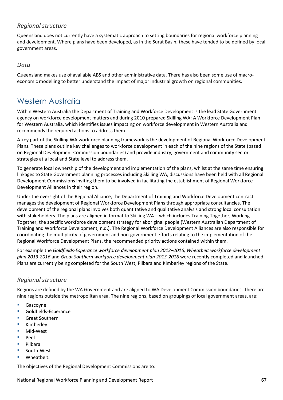### *Regional structure*

Queensland does not currently have a systematic approach to setting boundaries for regional workforce planning and development. Where plans have been developed, as in the Surat Basin, these have tended to be defined by local government areas.

### *Data*

Queensland makes use of available ABS and other administrative data. There has also been some use of macroeconomic modelling to better understand the impact of major industrial growth on regional communities.

### Western Australia

Within Western Australia the Department of Training and Workforce Development is the lead State Government agency on workforce development matters and during 2010 prepared Skilling WA: A Workforce Development Plan for Western Australia, which identifies issues impacting on workforce development in Western Australia and recommends the required actions to address them.

A key part of the Skilling WA workforce planning framework is the development of Regional Workforce Development Plans. These plans outline key challenges to workforce development in each of the nine regions of the State (based on Regional Development Commission boundaries) and provide industry, government and community sector strategies at a local and State level to address them.

To generate local ownership of the development and implementation of the plans, whilst at the same time ensuring linkages to State Government planning processes including Skilling WA, discussions have been held with all Regional Development Commissions inviting them to be involved in facilitating the establishment of Regional Workforce Development Alliances in their region.

Under the oversight of the Regional Alliance, the Department of Training and Workforce Development contract manages the development of Regional Workforce Development Plans through appropriate consultancies. The development of the regional plans involves both quantitative and qualitative analysis and strong local consultation with stakeholders. The plans are aligned in format to Skilling WA – which includes Training Together, Working Together, the specific workforce development strategy for aboriginal people (Western Australian Department of Training and Workforce Development, n.d.). The Regional Workforce Development Alliances are also responsible for coordinating the multiplicity of government and non-government efforts relating to the implementation of the Regional Workforce Development Plans, the recommended priority actions contained within them.

For example the *Goldfields-Esperance workforce development plan 2013–2016, Wheatbelt workforce development plan 2013-2016* and *Great Southern workforce development plan 2013-2016* were recently completed and launched. Plans are currently being completed for the South West, Pilbara and Kimberley regions of the State.

### *Regional structure*

Regions are defined by the WA Government and are aligned to WA Development Commission boundaries. There are nine regions outside the metropolitan area. The nine regions, based on groupings of local government areas, are:

- Gascovne
- **Goldfields-Esperance**
- **Great Southern**
- Kimberley
- Mid-West
- Peel
- Pilbara
- South-West
- Wheatbelt.

The objectives of the Regional Development Commissions are to: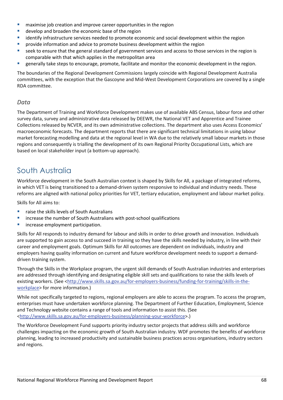- maximise job creation and improve career opportunities in the region
- develop and broaden the economic base of the region
- identify infrastructure services needed to promote economic and social development within the region
- provide information and advice to promote business development within the region
- seek to ensure that the general standard of government services and access to those services in the region is comparable with that which applies in the metropolitan area
- generally take steps to encourage, promote, facilitate and monitor the economic development in the region.

The boundaries of the Regional Development Commissions largely coincide with Regional Development Australia committees, with the exception that the Gascoyne and Mid-West Development Corporations are covered by a single RDA committee.

### *Data*

The Department of Training and Workforce Development makes use of available ABS Census, labour force and other survey data, survey and administrative data released by DEEWR, the National VET and Apprentice and Trainee Collections released by NCVER, and its own administrative collections. The department also uses Access Economics' macroeconomic forecasts. The department reports that there are significant technical limitations in using labour market forecasting modelling and data at the regional level in WA due to the relatively small labour markets in those regions and consequently is trialling the development of its own Regional Priority Occupational Lists, which are based on local stakeholder input (a bottom-up approach).

## South Australia

Workforce development in the South Australian context is shaped by Skills for All, a package of integrated reforms, in which VET is being transitioned to a demand-driven system responsive to individual and industry needs. These reforms are aligned with national policy priorities for VET, tertiary education, employment and labour market policy.

Skills for All aims to:

- raise the skills levels of South Australians
- **E** increase the number of South Australians with post-school qualifications
- **EXECUTE:** increase employment participation.

Skills for All responds to industry demand for labour and skills in order to drive growth and innovation. Individuals are supported to gain access to and succeed in training so they have the skills needed by industry, in line with their career and employment goals. Optimum Skills for All outcomes are dependent on individuals, industry and employers having quality information on current and future workforce development needs to support a demanddriven training system.

Through the Skills in the Workplace program, the urgent skill demands of South Australian industries and enterprises are addressed through identifying and designating eligible skill sets and qualifications to raise the skills levels of existing workers. (See [<http://www.skills.sa.gov.au/for-employers-business/funding-for-training/skills-in-the](http://www.skills.sa.gov.au/for-employers-business/funding-for-training/skills-in-the-workplace)[workplace>](http://www.skills.sa.gov.au/for-employers-business/funding-for-training/skills-in-the-workplace) for more information.)

While not specifically targeted to regions, regional employers are able to access the program. To access the program, enterprises must have undertaken workforce planning. The Department of Further Education, Employment, Science and Technology website contains a range of tools and information to assist this. (See [<http://www.skills.sa.gov.au/for-employers-business/planning-your-workforce>](http://www.skills.sa.gov.au/for-employers-business/planning-your-workforce).)

The Workforce Development Fund supports priority industry sector projects that address skills and workforce challenges impacting on the economic growth of South Australian industry. WDF promotes the benefits of workforce planning, leading to increased productivity and sustainable business practices across organisations, industry sectors and regions.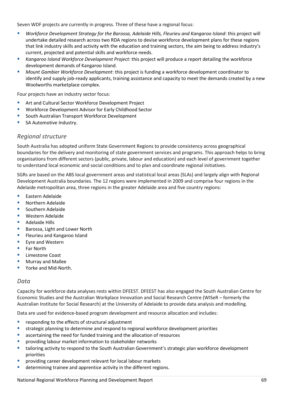Seven WDF projects are currently in progress. Three of these have a regional focus:

- *Workforce Development Strategy for the Barossa, Adelaide Hills, Fleurieu and Kangaroo Island*: this project will undertake detailed research across two RDA regions to devise workforce development plans for these regions that link industry skills and activity with the education and training sectors, the aim being to address industry's current, projected and potential skills and workforce needs.
- *Kangaroo Island Workforce Development Project*: this project will produce a report detailing the workforce development demands of Kangaroo Island.
- *Mount Gambier Workforce Development*: this project is funding a workforce development coordinator to identify and supply job-ready applicants, training assistance and capacity to meet the demands created by a new Woolworths marketplace complex.

Four projects have an industry sector focus:

- Art and Cultural Sector Workforce Development Project
- Workforce Development Advisor for Early Childhood Sector
- South Australian Transport Workforce Development
- SA Automotive Industry.

### *Regional structure*

South Australia has adopted uniform State Government Regions to provide consistency across geographical boundaries for the delivery and monitoring of state government services and programs. This approach helps to bring organisations from different sectors (public, private, labour and education) and each level of government together to understand local economic and social conditions and to plan and coordinate regional initiatives.

SGRs are based on the ABS local government areas and statistical local areas (SLAs) and largely align with Regional Development Australia boundaries. The 12 regions were implemented in 2009 and comprise four regions in the Adelaide metropolitan area, three regions in the greater Adelaide area and five country regions:

- **Eastern Adelaide**
- Northern Adelaide
- Southern Adelaide
- Western Adelaide
- **Adelaide Hills**
- Barossa, Light and Lower North
- Fleurieu and Kangaroo Island
- Eyre and Western
- Far North
- Limestone Coast
- Murray and Mallee
- Yorke and Mid-North.

### *Data*

Capacity for workforce data analyses rests within DFEEST. DFEEST has also engaged the South Australian Centre for Economic Studies and the Australian Workplace Innovation and Social Research Centre (WISeR – formerly the Australian Institute for Social Research) at the University of Adelaide to provide data analysis and modelling.

Data are used for evidence-based program development and resource allocation and includes:

- **•** responding to the effects of structural adjustment
- strategic planning to determine and respond to regional workforce development priorities
- ascertaining the need for funded training and the allocation of resources
- providing labour market information to stakeholder networks
- tailoring activity to respond to the South Australian Government's strategic plan workforce development priorities
- providing career development relevant for local labour markets
- determining trainee and apprentice activity in the different regions.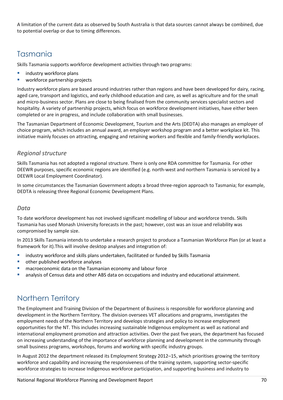A limitation of the current data as observed by South Australia is that data sources cannot always be combined, due to potential overlap or due to timing differences.

## Tasmania

Skills Tasmania supports workforce development activities through two programs:

- industry workforce plans
- workforce partnership projects

Industry workforce plans are based around industries rather than regions and have been developed for dairy, racing, aged care, transport and logistics, and early childhood education and care, as well as agriculture and for the small and micro-business sector. Plans are close to being finalised from the community services specialist sectors and hospitality. A variety of partnership projects, which focus on workforce development initiatives, have either been completed or are in progress, and include collaboration with small businesses.

The Tasmanian Department of Economic Development, Tourism and the Arts (DEDTA) also manages an employer of choice program, which includes an annual award, an employer workshop program and a better workplace kit. This initiative mainly focuses on attracting, engaging and retaining workers and flexible and family-friendly workplaces.

### *Regional structure*

Skills Tasmania has not adopted a regional structure. There is only one RDA committee for Tasmania. For other DEEWR purposes, specific economic regions are identified (e.g. north-west and northern Tasmania is serviced by a DEEWR Local Employment Coordinator).

In some circumstances the Tasmanian Government adopts a broad three-region approach to Tasmania; for example, DEDTA is releasing three Regional Economic Development Plans.

### *Data*

To date workforce development has not involved significant modelling of labour and workforce trends. Skills Tasmania has used Monash University forecasts in the past; however, cost was an issue and reliability was compromised by sample size.

In 2013 Skills Tasmania intends to undertake a research project to produce a Tasmanian Workforce Plan (or at least a framework for it).This will involve desktop analyses and integration of:

- **EXECT** industry workforce and skills plans undertaken, facilitated or funded by Skills Tasmania
- other published workforce analyses
- macroeconomic data on the Tasmanian economy and labour force
- analysis of Census data and other ABS data on occupations and industry and educational attainment.

## Northern Territory

The Employment and Training Division of the Department of Business is responsible for workforce planning and development in the Northern Territory. The division oversees VET allocations and programs, investigates the employment needs of the Northern Territory and develops strategies and policy to increase employment opportunities for the NT. This includes increasing sustainable Indigenous employment as well as national and international employment promotion and attraction activities. Over the past five years, the department has focused on increasing understanding of the importance of workforce planning and development in the community through small business programs, workshops, forums and working with specific industry groups.

In August 2012 the department released its Employment Strategy 2012–15, which prioritises growing the territory workforce and capability and increasing the responsiveness of the training system, supporting sector-specific workforce strategies to increase Indigenous workforce participation, and supporting business and industry to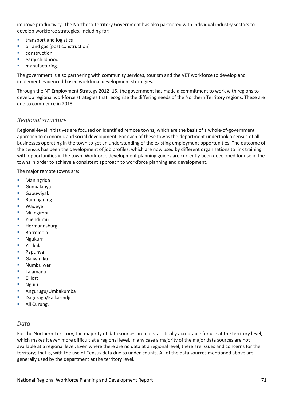improve productivity. The Northern Territory Government has also partnered with individual industry sectors to develop workforce strategies, including for:

- transport and logistics
- oil and gas (post construction)
- **CONSTRUCTION**
- early childhood
- manufacturing.

The government is also partnering with community services, tourism and the VET workforce to develop and implement evidenced-based workforce development strategies.

Through the NT Employment Strategy 2012–15, the government has made a commitment to work with regions to develop regional workforce strategies that recognise the differing needs of the Northern Territory regions. These are due to commence in 2013.

### *Regional structure*

Regional-level initiatives are focused on identified remote towns, which are the basis of a whole-of-government approach to economic and social development. For each of these towns the department undertook a census of all businesses operating in the town to get an understanding of the existing employment opportunities. The outcome of the census has been the development of job profiles, which are now used by different organisations to link training with opportunities in the town. Workforce development planning guides are currently been developed for use in the towns in order to achieve a consistent approach to workforce planning and development.

The major remote towns are:

- **Maningrida**
- Gunbalanya
- Gapuwiyak
- Ramingining
- Wadeye
- **Milingimbi**
- Yuendumu
- Hermannsburg
- Borroloola
- Ngukurr
- Yirrkala
- Papunya
- Galiwin'ku
- Numbulwar
- **Lajamanu**
- **Elliott**
- Nguiu
- Angurugu/Umbakumba
- Daguragu/Kalkarindji
- Ali Curung.

### *Data*

For the Northern Territory, the majority of data sources are not statistically acceptable for use at the territory level, which makes it even more difficult at a regional level. In any case a majority of the major data sources are not available at a regional level. Even where there are no data at a regional level, there are issues and concerns for the territory; that is, with the use of Census data due to under-counts. All of the data sources mentioned above are generally used by the department at the territory level.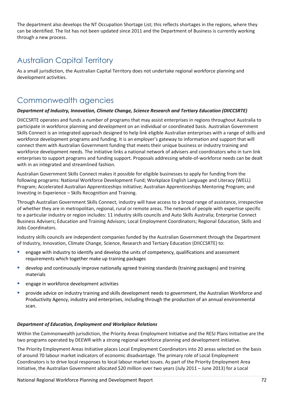The department also develops the NT Occupation Shortage List; this reflects shortages in the regions, where they can be identified. The list has not been updated since 2011 and the Department of Business is currently working through a new process.

## Australian Capital Territory

As a small jurisdiction, the Australian Capital Territory does not undertake regional workforce planning and development activities.

## Commonwealth agencies

### *Department of Industry, Innovation, Climate Change, Science Research and Tertiary Education (DIICCSRTE)*

DIICCSRTE operates and funds a number of programs that may assist enterprises in regions throughout Australia to participate in workforce planning and development on an individual or coordinated basis. Australian Government Skills Connect is an integrated approach designed to help link eligible Australian enterprises with a range of skills and workforce development programs and funding. It is an employer's gateway to information and support that will connect them with Australian Government funding that meets their unique business or industry training and workforce development needs. The initiative links a national network of advisers and coordinators who in turn link enterprises to support programs and funding support. Proposals addressing whole-of-workforce needs can be dealt with in an integrated and streamlined fashion.

Australian Government Skills Connect makes it possible for eligible businesses to apply for funding from the following programs: National Workforce Development Fund; Workplace English Language and Literacy (WELL) Program; Accelerated Australian Apprenticeships initiative; Australian Apprenticeships Mentoring Program; and Investing in Experience – Skills Recognition and Training.

Through Australian Government Skills Connect, industry will have access to a broad range of assistance, irrespective of whether they are in metropolitan, regional, rural or remote areas. The network of people with expertise specific to a particular industry or region includes: 11 industry skills councils and Auto Skills Australia; Enterprise Connect Business Advisers; Education and Training Advisors; Local Employment Coordinators; Regional Education, Skills and Jobs Coordinators.

Industry skills councils are independent companies funded by the Australian Government through the Department of Industry, Innovation, Climate Change, Science, Research and Tertiary Education (DIICCSRTE) to:

- engage with industry to identify and develop the units of competency, qualifications and assessment requirements which together make up training packages
- develop and continuously improve nationally agreed training standards (training packages) and training materials
- engage in workforce development activities
- provide advice on industry training and skills development needs to government, the Australian Workforce and Productivity Agency, industry and enterprises, including through the production of an annual environmental scan.

### *Department of Education, Employment and Workplace Relations*

Within the Commonwealth jurisdiction, the Priority Areas Employment Initiative and the RESJ Plans Initiative are the two programs operated by DEEWR with a strong regional workforce planning and development initiative.

The Priority Employment Areas Initiative places Local Employment Coordinators into 20 areas selected on the basis of around 70 labour market indicators of economic disadvantage. The primary role of Local Employment Coordinators is to drive local responses to local labour market issues. As part of the Priority Employment Area Initiative, the Australian Government allocated \$20 million over two years (July 2011 – June 2013) for a Local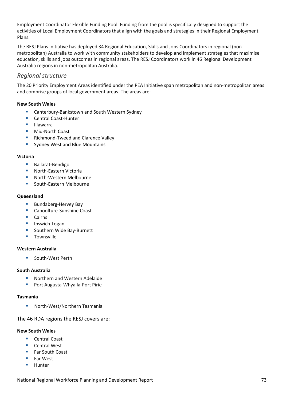Employment Coordinator Flexible Funding Pool. Funding from the pool is specifically designed to support the activities of Local Employment Coordinators that align with the goals and strategies in their Regional Employment Plans.

The RESJ Plans Initiative has deployed 34 Regional Education, Skills and Jobs Coordinators in regional (nonmetropolitan) Australia to work with community stakeholders to develop and implement strategies that maximise education, skills and jobs outcomes in regional areas. The RESJ Coordinators work in 46 Regional Development Australia regions in non-metropolitan Australia.

# *Regional structure*

The 20 Priority Employment Areas identified under the PEA Initiative span metropolitan and non-metropolitan areas and comprise groups of local government areas. The areas are:

# **New South Wales**

- **E** Canterbury-Bankstown and South Western Sydney
- Central Coast-Hunter
- **Illawarra**
- **Mid-North Coast**
- Richmond-Tweed and Clarence Valley
- **Sydney West and Blue Mountains**

# **Victoria**

- **Ballarat-Bendigo**
- North-Eastern Victoria
- North-Western Melbourne
- South-Eastern Melbourne

# **Queensland**

- **Bundaberg-Hervey Bay**
- Caboolture-Sunshine Coast
- **Cairns**
- **I** Ipswich-Logan
- **Southern Wide Bay-Burnett**
- **Townsville**

# **Western Australia**

South-West Perth

# **South Australia**

- **Northern and Western Adelaide**
- **Port Augusta-Whyalla-Port Pirie**

# **Tasmania**

North-West/Northern Tasmania

The 46 RDA regions the RESJ covers are:

### **New South Wales**

- Central Coast
- Central West
- **Far South Coast**
- **Far West**
- **Hunter**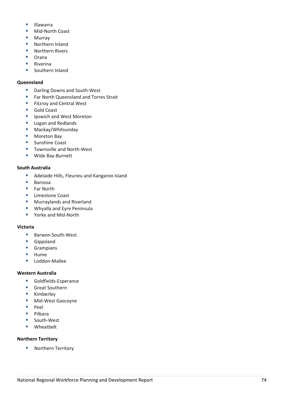- $\blacksquare$ Illawarra
- **Mid-North Coast**
- **Murray**
- **Northern Inland**
- **Northern Rivers**
- **C** Orana
- **Riverina**
- **Southern Inland**

# **Queensland**

- **Darling Downs and South-West**
- **Far North Queensland and Torres Strait**
- **Fitzroy and Central West**
- Gold Coast
- **IDED** Ipswich and West Moreton
- **Logan and Redlands**
- **Mackay/Whitsunday**
- Moreton Bay
- **Sunshine Coast**
- Townsville and North-West
- **Wide Bay-Burnett**

# **South Australia**

- **Adelaide Hills, Fleurieu and Kangaroo Island**
- **Barossa**
- Far North
- **Limestone Coast**
- **Murraylands and Riverland**
- **Whyalla and Eyre Peninsula**
- Yorke and Mid-North

# **Victoria**

- Barwon South-West
- **Gippsland**
- **Grampians**
- $H$ ume
- **Loddon-Mallee**

# **Western Australia**

- **Goldfields-Esperance**
- Great Southern
- **Kimberley**
- **Mid-West Gascoyne**
- Peel
- $\n **Pilbara**\n$
- South-West
- **Nheatbelt**

# **Northern Territory**

**Northern Territory**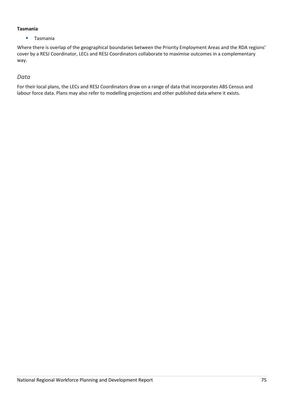### **Tasmania**

**Tasmania** 

Where there is overlap of the geographical boundaries between the Priority Employment Areas and the RDA regions' cover by a RESJ Coordinator, LECs and RESJ Coordinators collaborate to maximise outcomes in a complementary way.

# *Data*

For their local plans, the LECs and RESJ Coordinators draw on a range of data that incorporates ABS Census and labour force data. Plans may also refer to modelling projections and other published data where it exists.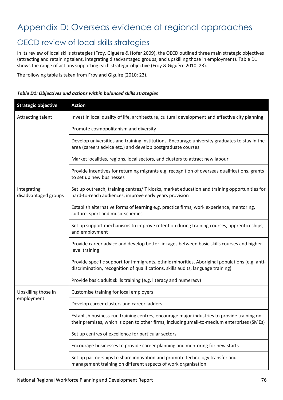# Appendix D: Overseas evidence of regional approaches

# OECD review of local skills strategies

In its review of local skills strategies (Froy, Giguère & Hofer 2009), the OECD outlined three main strategic objectives (attracting and retaining talent, integrating disadvantaged groups, and upskilling those in employment). Table D1 shows the range of actions supporting each strategic objective (Froy & Giguère 2010: 23).

The following table is taken from Froy and Giguire (2010: 23).

# *Table D1: Objectives and actions within balanced skills strategies*

| <b>Strategic objective</b>          | <b>Action</b>                                                                                                                                                                            |  |  |
|-------------------------------------|------------------------------------------------------------------------------------------------------------------------------------------------------------------------------------------|--|--|
| Attracting talent                   | Invest in local quality of life, architecture, cultural development and effective city planning                                                                                          |  |  |
|                                     | Promote cosmopolitanism and diversity                                                                                                                                                    |  |  |
|                                     | Develop universities and training institutions. Encourage university graduates to stay in the<br>area (careers advice etc.) and develop postgraduate courses                             |  |  |
|                                     | Market localities, regions, local sectors, and clusters to attract new labour                                                                                                            |  |  |
|                                     | Provide incentives for returning migrants e.g. recognition of overseas qualifications, grants<br>to set up new businesses                                                                |  |  |
| Integrating<br>disadvantaged groups | Set up outreach, training centres/IT kiosks, market education and training opportunities for<br>hard-to-reach audiences, improve early years provision                                   |  |  |
|                                     | Establish alternative forms of learning e.g. practice firms, work experience, mentoring,<br>culture, sport and music schemes                                                             |  |  |
|                                     | Set up support mechanisms to improve retention during training courses, apprenticeships,<br>and employment                                                                               |  |  |
|                                     | Provide career advice and develop better linkages between basic skills courses and higher-<br>level training                                                                             |  |  |
|                                     | Provide specific support for immigrants, ethnic minorities, Aboriginal populations (e.g. anti-<br>discrimination, recognition of qualifications, skills audits, language training)       |  |  |
|                                     | Provide basic adult skills training (e.g. literacy and numeracy)                                                                                                                         |  |  |
| Upskilling those in                 | Customise training for local employers                                                                                                                                                   |  |  |
| employment                          | Develop career clusters and career ladders                                                                                                                                               |  |  |
|                                     | Establish business-run training centres, encourage major industries to provide training on<br>their premises, which is open to other firms, including small-to-medium enterprises (SMEs) |  |  |
|                                     | Set up centres of excellence for particular sectors                                                                                                                                      |  |  |
|                                     | Encourage businesses to provide career planning and mentoring for new starts                                                                                                             |  |  |
|                                     | Set up partnerships to share innovation and promote technology transfer and<br>management training on different aspects of work organisation                                             |  |  |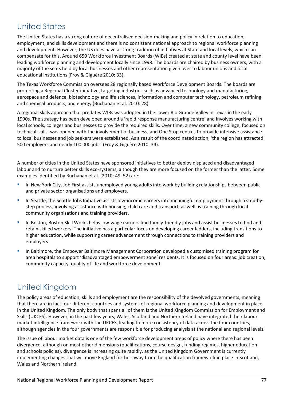# United States

The United States has a strong culture of decentralised decision-making and policy in relation to education, employment, and skills development and there is no consistent national approach to regional workforce planning and development. However, the US does have a strong tradition of initiatives at State and local levels, which can compensate for this. Around 650 Workforce Investment Boards (WIBs) created at state and county level have been leading workforce planning and development locally since 1998. The boards are chaired by business owners, with a majority of the seats held by local businesses and other representation given over to labour unions and local educational institutions (Froy & Giguère 2010: 33).

The Texas Workforce Commission oversees 28 regionally based Workforce Development Boards. The boards are promoting a Regional Cluster initiative, targeting industries such as advanced technology and manufacturing, aerospace and defence, biotechnology and life sciences, information and computer technology, petroleum refining and chemical products, and energy (Buchanan et al. 2010: 28).

A regional skills approach that predates WIBs was adopted in the Lower Rio Grande Valley in Texas in the early 1990s. The strategy has been developed around a 'rapid response manufacturing centre' and involves working with local schools, colleges and businesses to provide the required skills. Over time, a new community college, focused on technical skills, was opened with the involvement of business, and One Stop centres to provide intensive assistance to local businesses and job seekers were established. As a result of the coordinated action, 'the region has attracted 500 employers and nearly 100 000 jobs' (Froy & Giguère 2010: 34).

A number of cities in the United States have sponsored initiatives to better deploy displaced and disadvantaged labour and to nurture better skills eco-systems, although they are more focused on the former than the latter. Some examples identified by Buchanan et al. (2010: 49–52) are:

- In New York City, Job First assists unemployed young adults into work by building relationships between public and private sector organisations and employers.
- In Seattle, the Seattle Jobs Initiative assists low-income earners into meaningful employment through a step-bystep process, involving assistance with housing, child care and transport, as well as training through local community organisations and training providers.
- In Boston, Boston Skill Works helps low-wage earners find family-friendly jobs and assist businesses to find and retain skilled workers. The initiative has a particular focus on developing career ladders, including transitions to higher education, while supporting career advancement through connections to training providers and employers.
- **In Baltimore, the Empower Baltimore Management Corporation developed a customised training program for** area hospitals to support 'disadvantaged empowerment zone' residents. It is focused on four areas: job creation, community capacity, quality of life and workforce development.

# United Kingdom

The policy areas of education, skills and employment are the responsibility of the devolved governments, meaning that there are in fact four different countries and systems of regional workforce planning and development in place in the United Kingdom. The only body that spans all of them is the United Kingdom Commission for Employment and Skills (UKCES). However, in the past few years, Wales, Scotland and Northern Ireland have integrated their labour market intelligence framework with the UKCES, leading to more consistency of data across the four countries, although agencies in the four governments are responsible for producing analysis at the national and regional levels.

The issue of labour market data is one of the few workforce development areas of policy where there has been divergence, although on most other dimensions (qualifications, course design, funding regimes, higher education and schools policies), divergence is increasing quite rapidly, as the United Kingdom Government is currently implementing changes that will move England further away from the qualification framework in place in Scotland, Wales and Northern Ireland.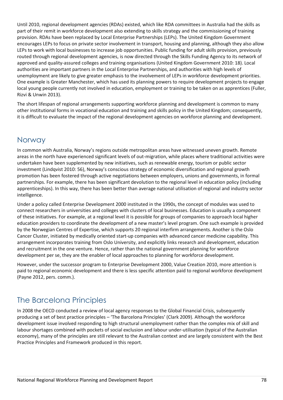Until 2010, regional development agencies (RDAs) existed, which like RDA committees in Australia had the skills as part of their remit in workforce development also extending to skills strategy and the commissioning of training provision. RDAs have been replaced by Local Enterprise Partnerships (LEPs). The United Kingdom Government encourages LEPs to focus on private sector involvement in transport, housing and planning, although they also allow LEPs to work with local businesses to increase job opportunities. Public funding for adult skills provision, previously routed through regional development agencies, is now directed through the Skills Funding Agency to its network of approved and quality-assured colleges and training organisations (United Kingdom Government 2010: 18). Local authorities are important partners in the Local Enterprise Partnerships, and authorities with high levels of unemployment are likely to give greater emphasis to the involvement of LEPs in workforce development priorities. One example is Greater Manchester, which has used its planning powers to require development projects to engage local young people currently not involved in education, employment or training to be taken on as apprentices (Fuller, Rizvi & Unwin 2013).

The short lifespan of regional arrangements supporting workforce planning and development is common to many other institutional forms in vocational education and training and skills policy in the United Kingdom; consequently, it is difficult to evaluate the impact of the regional development agencies on workforce planning and development.

# Norway

In common with Australia, Norway's regions outside metropolitan areas have witnessed uneven growth. Remote areas in the north have experienced significant levels of out-migration, while places where traditional activities were undertaken have been supplemented by new initiatives, such as renewable energy, tourism or public sector investment (Lindqvist 2010: 56), Norway's conscious strategy of economic diversification and regional growth promotion has been fostered through active negotiations between employers, unions and governments, in formal partnerships. For example, there has been significant devolution to the regional level in education policy (including apprenticeships). In this way, there has been better than average national utilisation of regional and industry sector intelligence.

Under a policy called Enterprise Development 2000 instituted in the 1990s, the concept of modules was used to connect researchers in universities and colleges with clusters of local businesses. Education is usually a component of these initiatives. For example, at a regional level it is possible for groups of companies to approach local higher education providers to coordinate the development of a new master's level program. One such example is provided by the Norwegian Centres of Expertise, which supports 20 regional interfirm arrangements. Another is the Oslo Cancer Cluster, initiated by medically oriented start-up companies with advanced cancer medicine capability. This arrangement incorporates training from Oslo University, and explicitly links research and development, education and recruitment in the one venture. Hence, rather than the national government planning for workforce development per se, they are the enabler of local approaches to planning for workforce development.

However, under the successor program to Enterprise Development 2000, Value Creation 2010, more attention is paid to regional economic development and there is less specific attention paid to regional workforce development (Payne 2012, pers. comm.).

# The Barcelona Principles

In 2008 the OECD conducted a review of local agency responses to the Global Financial Crisis, subsequently producing a set of best practice principles – 'The Barcelona Principles' (Clark 2009). Although the workforce development issue involved responding to high structural unemployment rather than the complex mix of skill and labour shortages combined with pockets of social exclusion and labour under-utilisation (typical of the Australian economy), many of the principles are still relevant to the Australian context and are largely consistent with the Best Practice Principles and Framework produced in this report.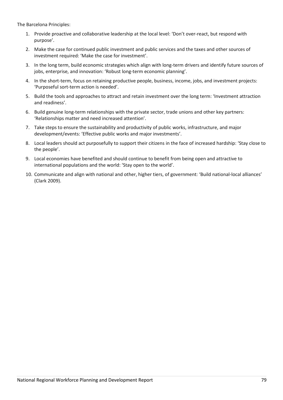The Barcelona Principles:

- 1. Provide proactive and collaborative leadership at the local level: 'Don't over-react, but respond with purpose'.
- 2. Make the case for continued public investment and public services and the taxes and other sources of investment required: 'Make the case for investment'.
- 3. In the long term, build economic strategies which align with long-term drivers and identify future sources of jobs, enterprise, and innovation: 'Robust long-term economic planning'.
- 4. In the short-term, focus on retaining productive people, business, income, jobs, and investment projects: 'Purposeful sort-term action is needed'.
- 5. Build the tools and approaches to attract and retain investment over the long term: 'Investment attraction and readiness'.
- 6. Build genuine long-term relationships with the private sector, trade unions and other key partners: 'Relationships matter and need increased attention'.
- 7. Take steps to ensure the sustainability and productivity of public works, infrastructure, and major development/events: 'Effective public works and major investments'.
- 8. Local leaders should act purposefully to support their citizens in the face of increased hardship: 'Stay close to the people'.
- 9. Local economies have benefited and should continue to benefit from being open and attractive to international populations and the world: 'Stay open to the world'.
- 10. Communicate and align with national and other, higher tiers, of government: 'Build national-local alliances' (Clark 2009).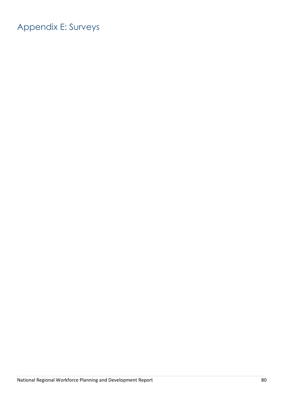# Appendix E: Surveys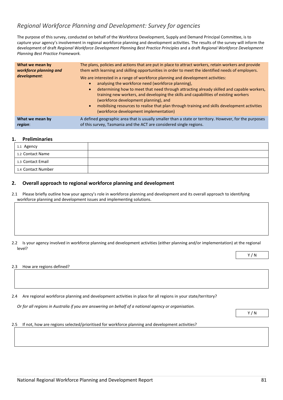# *Regional Workforce Planning and Development: Survey for agencies*

The purpose of this survey, conducted on behalf of the Workforce Development, Supply and Demand Principal Committee, is to capture your agency's involvement in regional workforce planning and development activities. The results of the survey will inform the development of draft *Regional Workforce Development Planning Best Practice Principles* and a draft *Regional Workforce Development Planning Best Practice Framework.*

| What we mean by<br>workforce planning and<br>development: | The plans, policies and actions that are put in place to attract workers, retain workers and provide<br>them with learning and skilling opportunities in order to meet the identified needs of employers.<br>We are interested in a range of workforce planning and development activities:<br>analysing the workforce need (workforce planning),<br>determining how to meet that need through attracting already skilled and capable workers,<br>$\bullet$<br>training new workers, and developing the skills and capabilities of existing workers<br>(workforce development planning), and<br>mobilising resources to realise that plan through training and skills development activities<br>$\bullet$<br>(workforce development implementation) |
|-----------------------------------------------------------|-----------------------------------------------------------------------------------------------------------------------------------------------------------------------------------------------------------------------------------------------------------------------------------------------------------------------------------------------------------------------------------------------------------------------------------------------------------------------------------------------------------------------------------------------------------------------------------------------------------------------------------------------------------------------------------------------------------------------------------------------------|
| What we mean by                                           | A defined geographic area that is usually smaller than a state or territory. However, for the purposes                                                                                                                                                                                                                                                                                                                                                                                                                                                                                                                                                                                                                                              |
| region:                                                   | of this survey, Tasmania and the ACT are considered single regions.                                                                                                                                                                                                                                                                                                                                                                                                                                                                                                                                                                                                                                                                                 |

#### **1. Preliminaries**

| 1.1 Agency         |  |
|--------------------|--|
| 1.2 Contact Name   |  |
| 1.3 Contact Email  |  |
| 1.4 Contact Number |  |

### **2. Overall approach to regional workforce planning and development**

2.1 Please briefly outline how your agency's role in workforce planning and development and its overall approach to identifying workforce planning and development issues and implementing solutions.

2.2 Is your agency involved in workforce planning and development activities (either planning and/or implementation) at the regional level?

2.3 How are regions defined?

2.4 Are regional workforce planning and development activities in place for all regions in your state/territory?

*Or for all regions in Australia if you are answering on behalf of a national agency or organisation.*

Y / N

Y / N

#### 2.5 If not, how are regions selected/prioritised for workforce planning and development activities?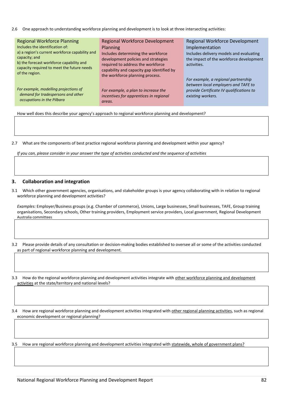2.6 One approach to understanding workforce planning and development is to look at three intersecting activities:

| <b>Regional Workforce Planning</b>                           | <b>Regional Workforce Development</b>     | Regional Workforce Development           |
|--------------------------------------------------------------|-------------------------------------------|------------------------------------------|
| Includes the identification of:                              | <b>Planning</b>                           | Implementation                           |
| a) a region's current workforce capability and               | Includes determining the workforce        | Includes delivery models and evaluating  |
| capacity; and                                                | development policies and strategies       | the impact of the workforce development  |
| b) the forecast workforce capability and                     | required to address the workforce         | activities.                              |
| capacity required to meet the future needs<br>of the region. | capability and capacity gap identified by |                                          |
|                                                              | the workforce planning process.           |                                          |
|                                                              |                                           | For example, a regional partnership      |
| For example, modelling projections of                        |                                           | between local employers and TAFE to      |
| demand for tradespersons and other                           | For example, a plan to increase the       | provide Certificate IV qualifications to |
| occupations in the Pilbara                                   | incentives for apprentices in regional    | existing workers.                        |
|                                                              | $\alpha$ ro $\alpha$ c                    |                                          |

How well does this describe your agency's approach to regional workforce planning and development?

*areas.*

2.7 What are the components of best practice regional workforce planning and development within your agency?

*If you can, please consider in your answer the type of activities conducted and the sequence of activities* 

#### **3. Collaboration and integration**

3.1 Which other government agencies, organisations, and stakeholder groups is your agency collaborating with in relation to regional workforce planning and development activities?

*Examples:* Employer/Business groups (e.g. Chamber of commerce), Unions, Large businesses, Small businesses, TAFE, Group training organisations, Secondary schools, Other training providers, Employment service providers, Local government, Regional Development Australia committees

3.2 Please provide details of any consultation or decision-making bodies established to oversee all or some of the activities conducted as part of regional workforce planning and development.

3.3 How do the regional workforce planning and development activities integrate with other workforce planning and development activities at the state/territory and national levels?

3.4 How are regional workforce planning and development activities integrated with other regional planning activities, such as regional economic development or regional planning?

3.5 How are regional workforce planning and development activities integrated with statewide, whole of government plans?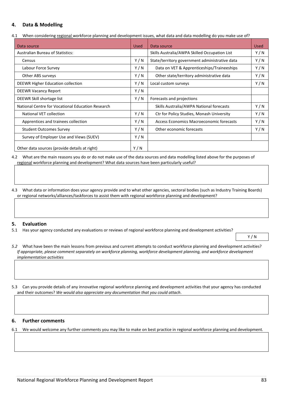### **4. Data & Modelling**

4.1 When considering regional workforce planning and development issues, what data and data modelling do you make use of?

| Data source                                       | Used  | Data source                                    | <b>Used</b> |
|---------------------------------------------------|-------|------------------------------------------------|-------------|
| <b>Australian Bureau of Statistics:</b>           |       | Skills Australia/AWPA Skilled Occupation List  | Y/N         |
| Census                                            | Y/N   | State/territory government administrative data | Y/N         |
| Labour Force Survey                               | Y / N | Data on VET & Apprenticeships/Traineeships     | Y/N         |
| Other ABS surveys                                 | Y/N   | Other state/territory administrative data      | Y/N         |
| DEEWR Higher Education collection                 | Y/N   | Local custom surveys                           | Y/N         |
| <b>DEEWR Vacancy Report</b>                       | Y/N   |                                                |             |
| DEEWR Skill shortage list                         | Y/N   | Forecasts and projections                      |             |
| National Centre for Vocational Education Research |       | Skills Australia/AWPA National forecasts       | Y/N         |
| National VET collection                           | Y/N   | Ctr for Policy Studies, Monash University      | Y/N         |
| Apprentices and trainees collection               | Y/N   | Access Economics Macroeconomic forecasts       | Y/N         |
| <b>Student Outcomes Survey</b>                    | Y/N   | Other economic forecasts                       | Y/N         |
| Survey of Employer Use and Views (SUEV)           | Y/N   |                                                |             |
| Other data sources (provide details at right)     | Y/N   |                                                |             |

4.2 What are the main reasons you do or do not make use of the data sources and data modelling listed above for the purposes of regional workforce planning and development? What data sources have been particularly useful?

4.3 What data or information does your agency provide and to what other agencies, sectoral bodies (such as Industry Training Boards) or regional networks/alliances/taskforces to assist them with regional workforce planning and development?

#### **5. Evaluation**

5.1 Has your agency conducted any evaluations or reviews of regional workforce planning and development activities?

Y / N

- *5.2* What have been the main lessons from previous and current attempts to conduct workforce planning and development activities? *If appropriate, please comment separately on workforce planning, workforce development planning, and workforce development implementation activities*
- 5.3 Can you provide details of any innovative regional workforce planning and development activities that your agency has conducted and their outcomes? *We would also appreciate any documentation that you could attach*.

#### **6. Further comments**

6.1 We would welcome any further comments you may like to make on best practice in regional workforce planning and development.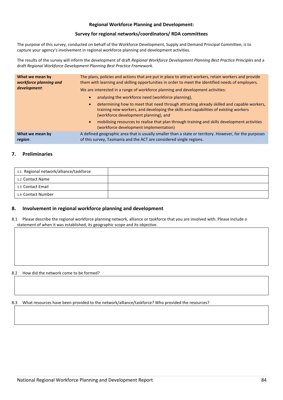#### **Regional Workforce Planning and Development:**

#### **Survey for regional networks/coordinators/ RDA committees**

The purpose of this survey, conducted on behalf of the Workforce Development, Supply and Demand Principal Committee, is to capture your agency's involvement in regional workforce planning and development activities.

The results of the survey will inform the development of draft *Regional Workforce Development Planning Best Practice Principles* and a draft *Regional Workforce Development Planning Best Practice Framework.*

| What we mean by<br>workforce planning and<br>development: | The plans, policies and actions that are put in place to attract workers, retain workers and provide<br>them with learning and skilling opportunities in order to meet the identified needs of employers.<br>We are interested in a range of workforce planning and development activities: |  |  |
|-----------------------------------------------------------|---------------------------------------------------------------------------------------------------------------------------------------------------------------------------------------------------------------------------------------------------------------------------------------------|--|--|
|                                                           | analysing the workforce need (workforce planning),                                                                                                                                                                                                                                          |  |  |
|                                                           | determining how to meet that need through attracting already skilled and capable workers,<br>$\bullet$<br>training new workers, and developing the skills and capabilities of existing workers<br>(workforce development planning), and                                                     |  |  |
|                                                           | mobilising resources to realise that plan through training and skills development activities<br>(workforce development implementation)                                                                                                                                                      |  |  |
| What we mean by<br>region:                                | A defined geographic area that is usually smaller than a state or territory. However, for the purposes<br>of this survey, Tasmania and the ACT are considered single regions.                                                                                                               |  |  |

### **7. Preliminaries**

| 1.1 Regional network/alliance/taskforce |  |
|-----------------------------------------|--|
| 1.2 Contact Name                        |  |
| 1.3 Contact Email                       |  |
| 1.4 Contact Number                      |  |

#### **8. Involvement in regional workforce planning and development**

8.1 Please describe the regional workforce planning network, alliance or taskforce that you are involved with. Please include a statement of when it was established, its geographic scope and its objective.

8.2 How did the network come to be formed?

8.3 What resources have been provided to the network/alliance/taskforce? Who provided the resources?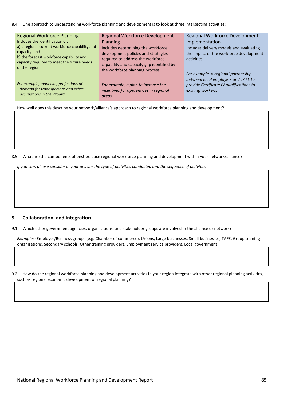8.4 One approach to understanding workforce planning and development is to look at three intersecting activities:

| <b>Regional Workforce Planning</b>                                                     | <b>Regional Workforce Development</b>     | <b>Regional Workforce Development</b>    |
|----------------------------------------------------------------------------------------|-------------------------------------------|------------------------------------------|
| Includes the identification of:                                                        | <b>Planning</b>                           | Implementation                           |
| a) a region's current workforce capability and                                         | Includes determining the workforce        | Includes delivery models and evaluating  |
| capacity; and                                                                          | development policies and strategies       | the impact of the workforce development  |
| b) the forecast workforce capability and<br>capacity required to meet the future needs | required to address the workforce         | activities.                              |
| of the region.                                                                         | capability and capacity gap identified by |                                          |
|                                                                                        | the workforce planning process.           | For example, a regional partnership      |
|                                                                                        |                                           | between local employers and TAFE to      |
| For example, modelling projections of                                                  | For example, a plan to increase the       | provide Certificate IV qualifications to |
| demand for tradespersons and other                                                     | incentives for apprentices in regional    | existing workers.                        |
| occupations in the Pilbara                                                             | areas.                                    |                                          |
|                                                                                        |                                           |                                          |

How well does this describe your network/alliance's approach to regional workforce planning and development?

8.5 What are the components of best practice regional workforce planning and development within your network/alliance?

*If you can, please consider in your answer the type of activities conducted and the sequence of activities* 

### **9. Collaboration and integration**

9.1 Which other government agencies, organisations, and stakeholder groups are involved in the alliance or network?

*Examples:* Employer/Business groups (e.g. Chamber of commerce), Unions, Large businesses, Small businesses, TAFE, Group training organisations, Secondary schools, Other training providers, Employment service providers, Local government

9.2 How do the regional workforce planning and development activities in your region integrate with other regional planning activities, such as regional economic development or regional planning?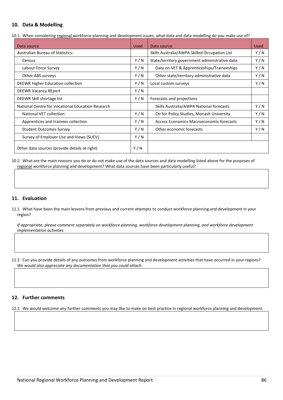#### **10. Data & Modelling**

10.1 When considering regional workforce planning and development issues, what data and data modelling do you make use of?

| Data source                                       | <b>Used</b> | Data source                                    | <b>Used</b> |
|---------------------------------------------------|-------------|------------------------------------------------|-------------|
| <b>Australian Bureau of Statistics:</b>           |             | Skills Australia/AWPA Skilled Occupation List  | Y/N         |
| Census                                            | Y/N         | State/territory government administrative data | Y/N         |
| Labour Force Survey                               | Y/N         | Data on VET & Apprenticeships/Traineeships     | Y/N         |
| Other ABS surveys                                 | Y/N         | Other state/territory administrative data      | Y/N         |
| DEEWR Higher Education collection                 | Y/N         | Local custom surveys                           | Y/N         |
| <b>DEEWR Vacancy REport</b>                       | Y/N         |                                                |             |
| DEEWR Skill shortage list                         | Y/N         | Forecasts and projections                      |             |
| National Centre for Vocational Education Research |             | Skills Australia/AWPA National forecasts       | Y/N         |
| National VET collection                           | Y/N         | Ctr for Policy Studies, Monash University      | Y/N         |
| Apprentices and trainees collection               | Y/N         | Access Economics Macroeconomic forecasts       | Y/N         |
| <b>Student Outcomes Survey</b>                    | Y/N         | Other economic forecasts                       | Y/N         |
| Survey of Employer Use and Views (SUEV)           | Y/N         |                                                |             |
| Other data sources (provide details at right)     | Y/N         |                                                |             |

10.2 What are the main reasons you do or do not make use of the data sources and data modelling listed above for the purposes of regional workforce planning and development? What data sources have been particularly useful?

#### **11. Evaluation**

11.1 What have been the main lessons from previous and current attempts to conduct workforce planning and development in your region?

*If appropriate, please comment separately on workforce planning, workforce development planning, and workforce development implementation activities*

11.2 Can you provide details of any outcomes from workforce planning and development activities that have occurred in your regions? *We would also appreciate any documentation that you could attach*.

#### **12. Further comments**

12.1 We would welcome any further comments you may like to make on best practice in regional workforce planning and development.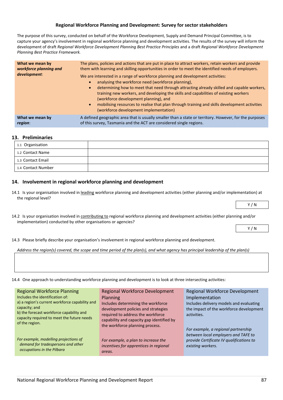#### **Regional Workforce Planning and Development: Survey for sector stakeholders**

The purpose of this survey, conducted on behalf of the Workforce Development, Supply and Demand Principal Committee, is to capture your agency's involvement in regional workforce planning and development activities. The results of the survey will inform the development of draft *Regional Workforce Development Planning Best Practice Principles* and a draft *Regional Workforce Development Planning Best Practice Framework.*

| What we mean by<br>workforce planning and<br>development: | The plans, policies and actions that are put in place to attract workers, retain workers and provide<br>them with learning and skilling opportunities in order to meet the identified needs of employers.<br>We are interested in a range of workforce planning and development activities:<br>analysing the workforce need (workforce planning),<br>determining how to meet that need through attracting already skilled and capable workers,<br>$\bullet$<br>training new workers, and developing the skills and capabilities of existing workers<br>(workforce development planning), and<br>mobilising resources to realise that plan through training and skills development activities<br>$\bullet$ |
|-----------------------------------------------------------|-----------------------------------------------------------------------------------------------------------------------------------------------------------------------------------------------------------------------------------------------------------------------------------------------------------------------------------------------------------------------------------------------------------------------------------------------------------------------------------------------------------------------------------------------------------------------------------------------------------------------------------------------------------------------------------------------------------|
| What we mean by                                           | (workforce development implementation)<br>A defined geographic area that is usually smaller than a state or territory. However, for the purposes                                                                                                                                                                                                                                                                                                                                                                                                                                                                                                                                                          |
| region:                                                   | of this survey, Tasmania and the ACT are considered single regions.                                                                                                                                                                                                                                                                                                                                                                                                                                                                                                                                                                                                                                       |

#### **13. Preliminaries**

| 1.1 Organisation   |  |
|--------------------|--|
| 1.2 Contact Name   |  |
| 1.3 Contact Email  |  |
| 1.4 Contact Number |  |

#### **14. Involvement in regional workforce planning and development**

- 14.1 Is your organisation involved in leading workforce planning and development activities (either planning and/or implementation) at the regional level?
- 14.2 Is your organisation involved in contributing to regional workforce planning and development activities (either planning and/or implementation) conducted by other organisations or agencies?
- 14.3 Please briefly describe your organisation's involvement in regional workforce planning and development.

#### *Address the region(s) covered, the scope and time period of the plan(s), and what agency has principal leadership of the plan(s)*

14.4 One approach to understanding workforce planning and development is to look at three intersecting activities:

| <b>Regional Workforce Planning</b><br>Includes the identification of:<br>a) a region's current workforce capability and<br>capacity; and<br>b) the forecast workforce capability and<br>capacity required to meet the future needs<br>of the region. | <b>Regional Workforce Development</b><br><b>Planning</b><br>Includes determining the workforce<br>development policies and strategies<br>required to address the workforce<br>capability and capacity gap identified by<br>the workforce planning process. | Regional Workforce Development<br>Implementation<br>Includes delivery models and evaluating<br>the impact of the workforce development<br>activities. |
|------------------------------------------------------------------------------------------------------------------------------------------------------------------------------------------------------------------------------------------------------|------------------------------------------------------------------------------------------------------------------------------------------------------------------------------------------------------------------------------------------------------------|-------------------------------------------------------------------------------------------------------------------------------------------------------|
| For example, modelling projections of<br>demand for tradespersons and other<br>occupations in the Pilbara                                                                                                                                            | For example, a plan to increase the<br>incentives for apprentices in regional<br>areas.                                                                                                                                                                    | For example, a regional partnership<br>between local employers and TAFE to<br>provide Certificate IV qualifications to<br>existing workers.           |

Y / N

Y / N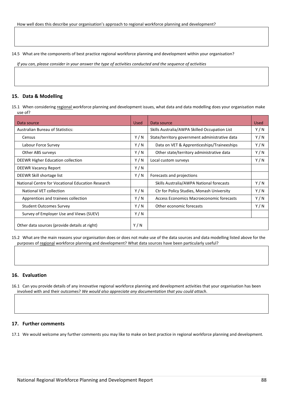14.5 What are the components of best practice regional workforce planning and development within your organisation?

*If you can, please consider in your answer the type of activities conducted and the sequence of activities* 

#### **15. Data & Modelling**

15.1 When considering regional workforce planning and development issues, what data and data modelling does your organisation make use of?

| Data source                                       | Used | Data source                                    | <b>Used</b> |
|---------------------------------------------------|------|------------------------------------------------|-------------|
| <b>Australian Bureau of Statistics:</b>           |      | Skills Australia/AWPA Skilled Occupation List  | Y/N         |
| Census                                            | Y/N  | State/territory government administrative data | Y/N         |
| Labour Force Survey                               | Y/N  | Data on VET & Apprenticeships/Traineeships     | Y/N         |
| Other ABS surveys                                 | Y/N  | Other state/territory administrative data      | Y/N         |
| DEEWR Higher Education collection                 | Y/N  | Local custom surveys                           | Y/N         |
| <b>DEEWR Vacancy Report</b>                       | Y/N  |                                                |             |
| DEEWR Skill shortage list                         | Y/N  | Forecasts and projections                      |             |
| National Centre for Vocational Education Research |      | Skills Australia/AWPA National forecasts       | Y/N         |
| National VET collection                           | Y/N  | Ctr for Policy Studies, Monash University      | Y/N         |
| Apprentices and trainees collection               | Y/N  | Access Economics Macroeconomic forecasts       | Y/N         |
| <b>Student Outcomes Survey</b>                    | Y/N  | Other economic forecasts                       | Y/N         |
| Survey of Employer Use and Views (SUEV)           | Y/N  |                                                |             |
| Other data sources (provide details at right)     | Y/N  |                                                |             |

15.2 What are the main reasons your organisation does or does not make use of the data sources and data modelling listed above for the purposes of regional workforce planning and development? What data sources have been particularly useful?

#### **16. Evaluation**

16.1 Can you provide details of any innovative regional workforce planning and development activities that your organisation has been involved with and their outcomes? *We would also appreciate any documentation that you could attach*.

#### **17. Further comments**

17.1 We would welcome any further comments you may like to make on best practice in regional workforce planning and development.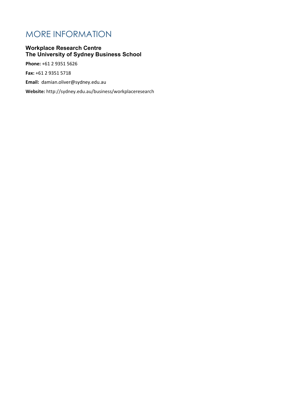# MORE INFORMATION

# **Workplace Research Centre The University of Sydney Business School**

**Phone:** +61 2 9351 5626

**Fax:** +61 2 9351 5718

**Email:** damian.oliver@sydney.edu.au

**Website:** http://sydney.edu.au/business/workplaceresearch